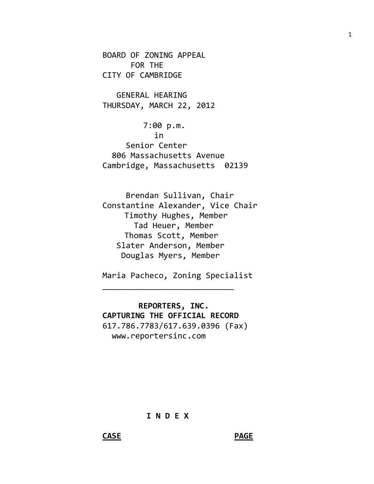BOARD OF ZONING APPEAL FOR THE CITY OF CAMBRIDGE

 GENERAL HEARING THURSDAY, MARCH 22, 2012

 7:00 p.m. in Senior Center 806 Massachusetts Avenue Cambridge, Massachusetts 02139

 Brendan Sullivan, Chair Constantine Alexander, Vice Chair Timothy Hughes, Member Tad Heuer, Member Thomas Scott, Member Slater Anderson, Member Douglas Myers, Member

Maria Pacheco, Zoning Specialist

\_\_\_\_\_\_\_\_\_\_\_\_\_\_\_\_\_\_\_\_\_\_\_\_\_\_\_\_

 **REPORTERS, INC. CAPTURING THE OFFICIAL RECORD** 617.786.7783/617.639.0396 (Fax) www.reportersinc.com

**I N D E X**

1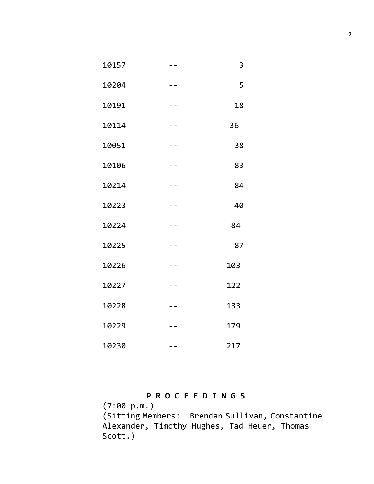| 10157 |                          | 3   |
|-------|--------------------------|-----|
| 10204 |                          | 5   |
| 10191 |                          | 18  |
| 10114 | - -                      | 36  |
| 10051 | $ -$                     | 38  |
| 10106 | $\overline{\phantom{0}}$ | 83  |
| 10214 | $- -$                    | 84  |
| 10223 | - -                      | 40  |
| 10224 | - -                      | 84  |
| 10225 | $ -$                     | 87  |
| 10226 | $-$                      | 103 |
| 10227 | - -                      | 122 |
| 10228 |                          | 133 |
| 10229 |                          | 179 |
| 10230 |                          | 217 |

## **P R O C E E D I N G S**

(7:00 p.m.) (Sitting Members: Brendan Sullivan, Constantine Alexander, Timothy Hughes, Tad Heuer, Thomas Scott.)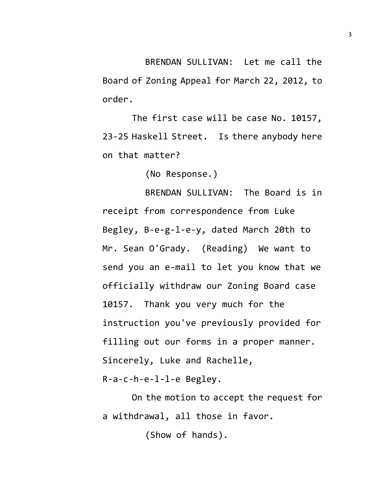BRENDAN SULLIVAN: Let me call the Board of Zoning Appeal for March 22, 2012, to order.

The first case will be case No. 10157, 23-25 Haskell Street. Is there anybody here on that matter?

(No Response.)

BRENDAN SULLIVAN: The Board is in receipt from correspondence from Luke Begley, B-e-g-l-e-y, dated March 20th to Mr. Sean O'Grady. (Reading) We want to send you an e-mail to let you know that we officially withdraw our Zoning Board case 10157. Thank you very much for the instruction you've previously provided for filling out our forms in a proper manner. Sincerely, Luke and Rachelle,

R-a-c-h-e-l-l-e Begley.

On the motion to accept the request for a withdrawal, all those in favor.

(Show of hands).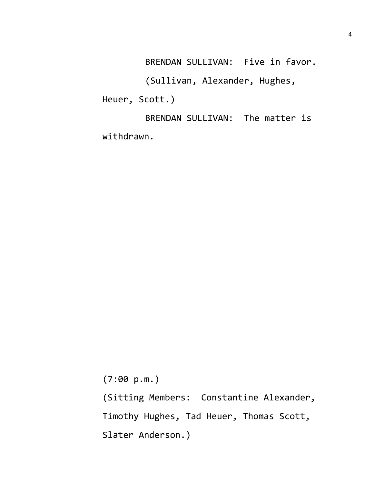BRENDAN SULLIVAN: Five in favor.

(Sullivan, Alexander, Hughes, Heuer, Scott.)

BRENDAN SULLIVAN: The matter is withdrawn.

(7:00 p.m.)

(Sitting Members: Constantine Alexander, Timothy Hughes, Tad Heuer, Thomas Scott, Slater Anderson.)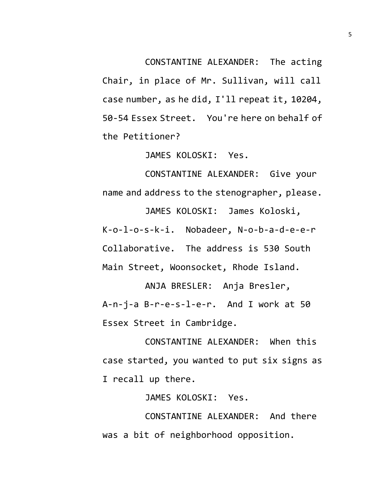CONSTANTINE ALEXANDER: The acting

Chair, in place of Mr. Sullivan, will call case number, as he did, I'll repeat it, 10204, 50-54 Essex Street. You're here on behalf of the Petitioner?

JAMES KOLOSKI: Yes.

CONSTANTINE ALEXANDER: Give your name and address to the stenographer, please.

JAMES KOLOSKI: James Koloski, K-o-l-o-s-k-i. Nobadeer, N-o-b-a-d-e-e-r Collaborative. The address is 530 South Main Street, Woonsocket, Rhode Island.

ANJA BRESLER: Anja Bresler, A-n-j-a B-r-e-s-l-e-r. And I work at 50 Essex Street in Cambridge.

CONSTANTINE ALEXANDER: When this case started, you wanted to put six signs as I recall up there.

JAMES KOLOSKI: Yes.

CONSTANTINE ALEXANDER: And there was a bit of neighborhood opposition.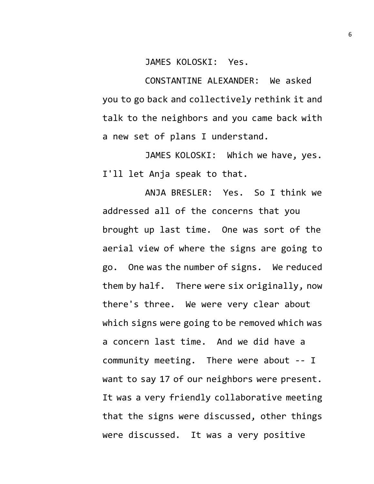## JAMES KOLOSKI: Yes.

CONSTANTINE ALEXANDER: We asked you to go back and collectively rethink it and talk to the neighbors and you came back with a new set of plans I understand.

JAMES KOLOSKI: Which we have, yes. I'll let Anja speak to that.

ANJA BRESLER: Yes. So I think we addressed all of the concerns that you brought up last time. One was sort of the aerial view of where the signs are going to go. One was the number of signs. We reduced them by half. There were six originally, now there's three. We were very clear about which signs were going to be removed which was a concern last time. And we did have a community meeting. There were about -- I want to say 17 of our neighbors were present. It was a very friendly collaborative meeting that the signs were discussed, other things were discussed. It was a very positive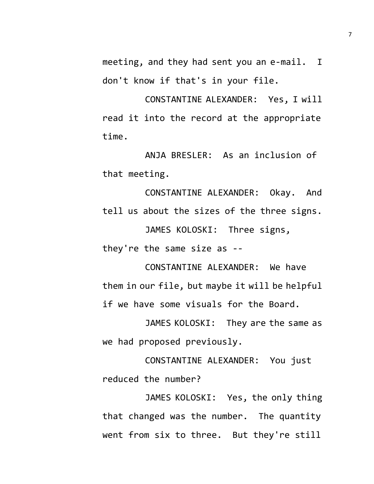meeting, and they had sent you an e-mail. I don't know if that's in your file.

CONSTANTINE ALEXANDER: Yes, I will read it into the record at the appropriate time.

ANJA BRESLER: As an inclusion of that meeting.

CONSTANTINE ALEXANDER: Okay. And tell us about the sizes of the three signs.

JAMES KOLOSKI: Three signs, they're the same size as --

CONSTANTINE ALEXANDER: We have them in our file, but maybe it will be helpful if we have some visuals for the Board.

JAMES KOLOSKI: They are the same as we had proposed previously.

CONSTANTINE ALEXANDER: You just reduced the number?

JAMES KOLOSKI: Yes, the only thing that changed was the number. The quantity went from six to three. But they're still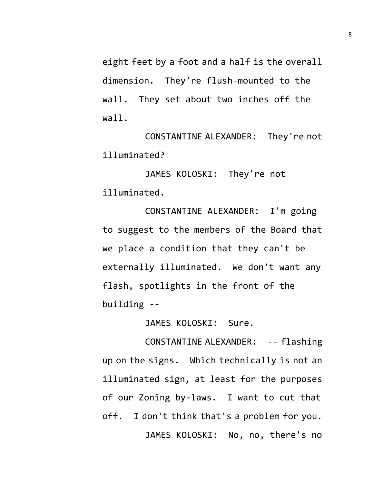eight feet by a foot and a half is the overall dimension. They're flush-mounted to the wall. They set about two inches off the wall.

CONSTANTINE ALEXANDER: They're not illuminated?

JAMES KOLOSKI: They're not illuminated.

CONSTANTINE ALEXANDER: I'm going to suggest to the members of the Board that we place a condition that they can't be externally illuminated. We don't want any flash, spotlights in the front of the building --

JAMES KOLOSKI: Sure.

CONSTANTINE ALEXANDER: -- flashing up on the signs. Which technically is not an illuminated sign, at least for the purposes of our Zoning by-laws. I want to cut that off. I don't think that's a problem for you. JAMES KOLOSKI: No, no, there's no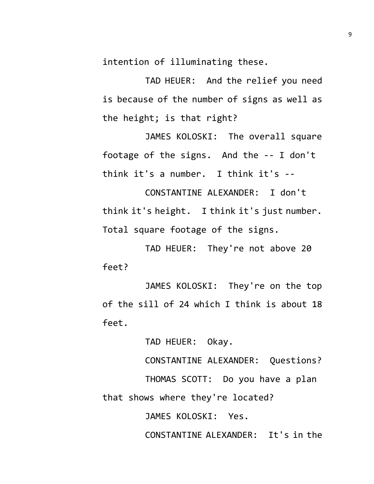intention of illuminating these.

TAD HEUER: And the relief you need is because of the number of signs as well as the height; is that right?

JAMES KOLOSKI: The overall square footage of the signs. And the -- I don't think it's a number. I think it's --

CONSTANTINE ALEXANDER: I don't think it's height. I think it's just number. Total square footage of the signs.

TAD HEUER: They're not above 20 feet?

JAMES KOLOSKI: They're on the top of the sill of 24 which I think is about 18 feet.

TAD HEUER: Okay.

CONSTANTINE ALEXANDER: Questions? THOMAS SCOTT: Do you have a plan

that shows where they're located?

JAMES KOLOSKI: Yes.

CONSTANTINE ALEXANDER: It's in the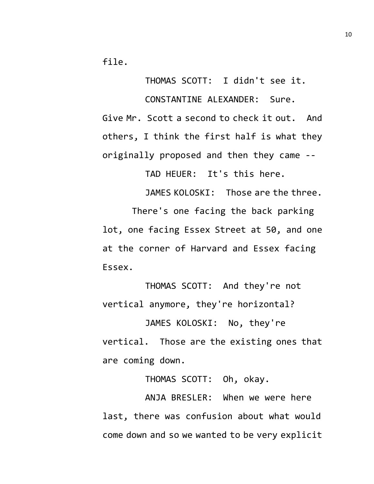file.

THOMAS SCOTT: I didn't see it. CONSTANTINE ALEXANDER: Sure. Give Mr. Scott a second to check it out. And others, I think the first half is what they originally proposed and then they came --

TAD HEUER: It's this here.

JAMES KOLOSKI: Those are the three.

There's one facing the back parking lot, one facing Essex Street at 50, and one at the corner of Harvard and Essex facing Essex.

THOMAS SCOTT: And they're not vertical anymore, they're horizontal?

JAMES KOLOSKI: No, they're vertical. Those are the existing ones that are coming down.

THOMAS SCOTT: Oh, okay.

ANJA BRESLER: When we were here last, there was confusion about what would come down and so we wanted to be very explicit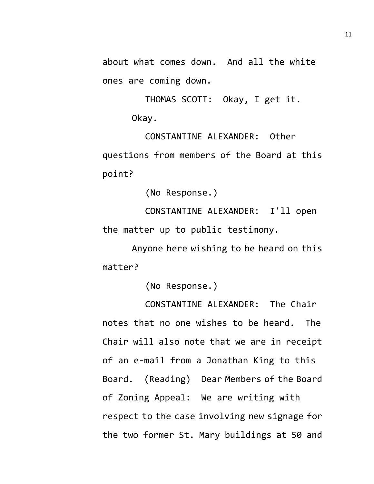about what comes down. And all the white ones are coming down.

> THOMAS SCOTT: Okay, I get it. Okay.

CONSTANTINE ALEXANDER: Other questions from members of the Board at this point?

(No Response.)

CONSTANTINE ALEXANDER: I'll open the matter up to public testimony.

Anyone here wishing to be heard on this matter?

(No Response.)

CONSTANTINE ALEXANDER: The Chair notes that no one wishes to be heard. The Chair will also note that we are in receipt of an e-mail from a Jonathan King to this Board. (Reading) Dear Members of the Board of Zoning Appeal: We are writing with respect to the case involving new signage for the two former St. Mary buildings at 50 and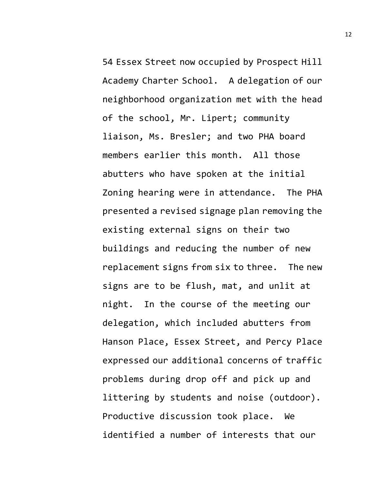54 Essex Street now occupied by Prospect Hill Academy Charter School. A delegation of our neighborhood organization met with the head of the school, Mr. Lipert; community liaison, Ms. Bresler; and two PHA board members earlier this month. All those abutters who have spoken at the initial Zoning hearing were in attendance. The PHA presented a revised signage plan removing the existing external signs on their two buildings and reducing the number of new replacement signs from six to three. The new signs are to be flush, mat, and unlit at night. In the course of the meeting our delegation, which included abutters from Hanson Place, Essex Street, and Percy Place expressed our additional concerns of traffic problems during drop off and pick up and littering by students and noise (outdoor). Productive discussion took place. We identified a number of interests that our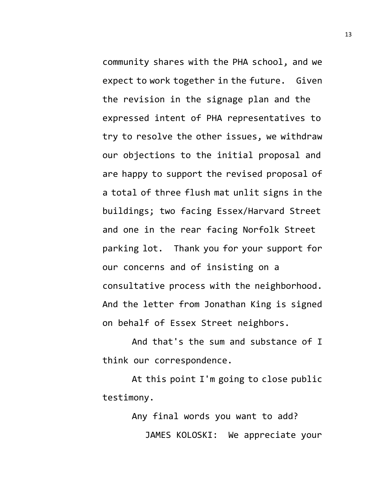community shares with the PHA school, and we expect to work together in the future. Given the revision in the signage plan and the expressed intent of PHA representatives to try to resolve the other issues, we withdraw our objections to the initial proposal and are happy to support the revised proposal of a total of three flush mat unlit signs in the buildings; two facing Essex/Harvard Street and one in the rear facing Norfolk Street parking lot. Thank you for your support for our concerns and of insisting on a consultative process with the neighborhood. And the letter from Jonathan King is signed on behalf of Essex Street neighbors.

And that's the sum and substance of I think our correspondence.

At this point I'm going to close public testimony.

> Any final words you want to add? JAMES KOLOSKI: We appreciate your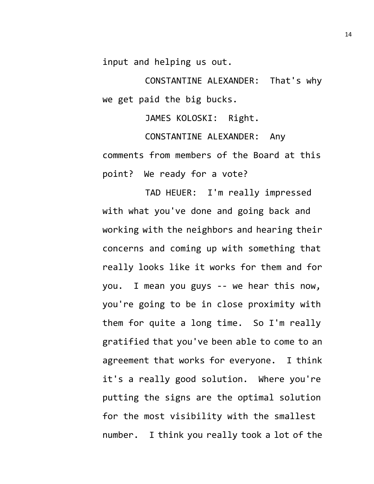input and helping us out.

CONSTANTINE ALEXANDER: That's why we get paid the big bucks.

JAMES KOLOSKI: Right.

CONSTANTINE ALEXANDER: Any comments from members of the Board at this point? We ready for a vote?

TAD HEUER: I'm really impressed with what you've done and going back and working with the neighbors and hearing their concerns and coming up with something that really looks like it works for them and for you. I mean you guys -- we hear this now, you're going to be in close proximity with them for quite a long time. So I'm really gratified that you've been able to come to an agreement that works for everyone. I think it's a really good solution. Where you're putting the signs are the optimal solution for the most visibility with the smallest number. I think you really took a lot of the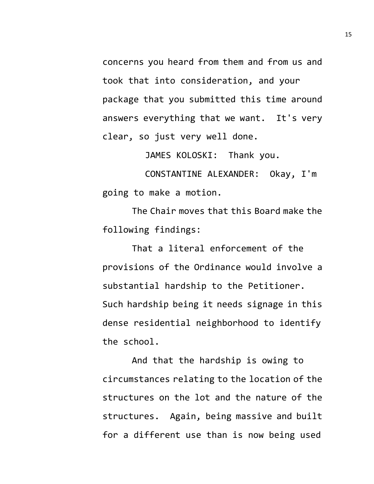concerns you heard from them and from us and took that into consideration, and your package that you submitted this time around answers everything that we want. It's very clear, so just very well done.

JAMES KOLOSKI: Thank you.

CONSTANTINE ALEXANDER: Okay, I'm going to make a motion.

The Chair moves that this Board make the following findings:

That a literal enforcement of the provisions of the Ordinance would involve a substantial hardship to the Petitioner. Such hardship being it needs signage in this dense residential neighborhood to identify the school.

And that the hardship is owing to circumstances relating to the location of the structures on the lot and the nature of the structures. Again, being massive and built for a different use than is now being used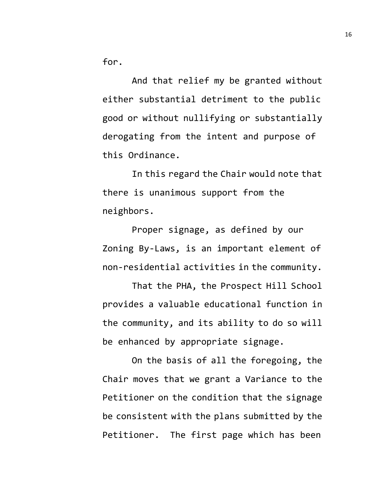for.

And that relief my be granted without either substantial detriment to the public good or without nullifying or substantially derogating from the intent and purpose of this Ordinance.

In this regard the Chair would note that there is unanimous support from the neighbors.

Proper signage, as defined by our Zoning By-Laws, is an important element of non-residential activities in the community.

That the PHA, the Prospect Hill School provides a valuable educational function in the community, and its ability to do so will be enhanced by appropriate signage.

On the basis of all the foregoing, the Chair moves that we grant a Variance to the Petitioner on the condition that the signage be consistent with the plans submitted by the Petitioner. The first page which has been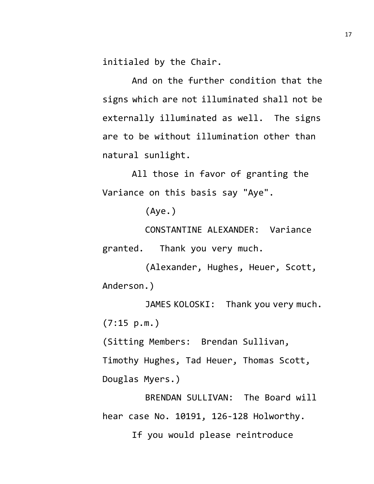initialed by the Chair.

And on the further condition that the signs which are not illuminated shall not be externally illuminated as well. The signs are to be without illumination other than natural sunlight.

All those in favor of granting the Variance on this basis say "Aye".

(Aye.)

CONSTANTINE ALEXANDER: Variance granted. Thank you very much.

(Alexander, Hughes, Heuer, Scott, Anderson.)

JAMES KOLOSKI: Thank you very much. (7:15 p.m.)

(Sitting Members: Brendan Sullivan, Timothy Hughes, Tad Heuer, Thomas Scott, Douglas Myers.)

BRENDAN SULLIVAN: The Board will hear case No. 10191, 126-128 Holworthy. If you would please reintroduce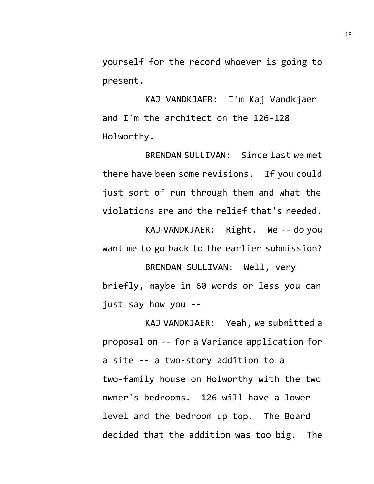yourself for the record whoever is going to present.

KAJ VANDKJAER: I'm Kaj Vandkjaer and I'm the architect on the 126-128 Holworthy.

BRENDAN SULLIVAN: Since last we met there have been some revisions. If you could just sort of run through them and what the violations are and the relief that's needed.

KAJ VANDKJAER: Right. We -- do you want me to go back to the earlier submission?

BRENDAN SULLIVAN: Well, very briefly, maybe in 60 words or less you can just say how you --

KAJ VANDKJAER: Yeah, we submitted a proposal on -- for a Variance application for a site -- a two-story addition to a two-family house on Holworthy with the two owner's bedrooms. 126 will have a lower level and the bedroom up top. The Board decided that the addition was too big. The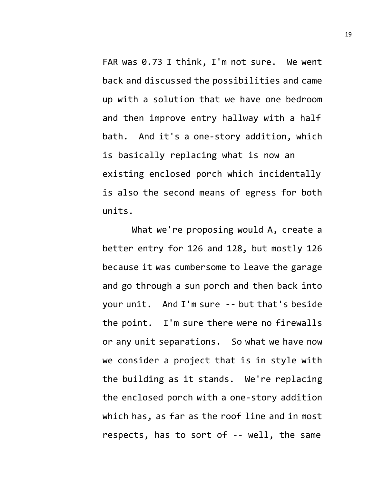FAR was 0.73 I think, I'm not sure. We went back and discussed the possibilities and came up with a solution that we have one bedroom and then improve entry hallway with a half bath. And it's a one-story addition, which is basically replacing what is now an existing enclosed porch which incidentally is also the second means of egress for both units.

What we're proposing would A, create a better entry for 126 and 128, but mostly 126 because it was cumbersome to leave the garage and go through a sun porch and then back into your unit. And I'm sure -- but that's beside the point. I'm sure there were no firewalls or any unit separations. So what we have now we consider a project that is in style with the building as it stands. We're replacing the enclosed porch with a one-story addition which has, as far as the roof line and in most respects, has to sort of -- well, the same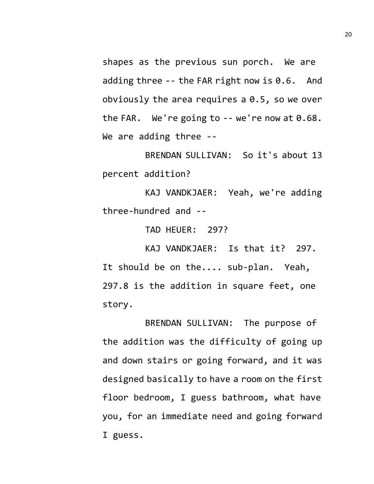shapes as the previous sun porch. We are adding three -- the FAR right now is 0.6. And obviously the area requires a 0.5, so we over the FAR. We're going to  $-$ - we're now at  $0.68$ . We are adding three --

BRENDAN SULLIVAN: So it's about 13 percent addition?

KAJ VANDKJAER: Yeah, we're adding three-hundred and --

TAD HEUER: 297?

KAJ VANDKJAER: Is that it? 297. It should be on the.... sub-plan. Yeah, 297.8 is the addition in square feet, one story.

BRENDAN SULLIVAN: The purpose of the addition was the difficulty of going up and down stairs or going forward, and it was designed basically to have a room on the first floor bedroom, I guess bathroom, what have you, for an immediate need and going forward I guess.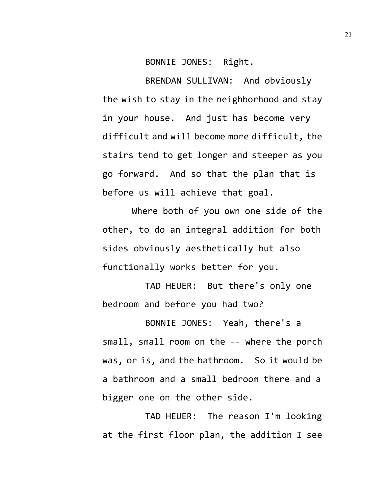BONNIE JONES: Right.

BRENDAN SULLIVAN: And obviously the wish to stay in the neighborhood and stay in your house. And just has become very difficult and will become more difficult, the stairs tend to get longer and steeper as you go forward. And so that the plan that is before us will achieve that goal.

Where both of you own one side of the other, to do an integral addition for both sides obviously aesthetically but also functionally works better for you.

TAD HEUER: But there's only one bedroom and before you had two?

BONNIE JONES: Yeah, there's a small, small room on the -- where the porch was, or is, and the bathroom. So it would be a bathroom and a small bedroom there and a bigger one on the other side.

TAD HEUER: The reason I'm looking at the first floor plan, the addition I see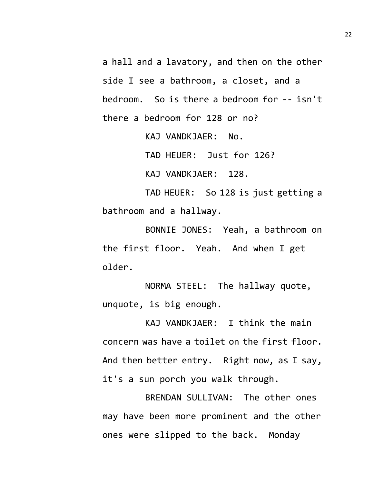a hall and a lavatory, and then on the other side I see a bathroom, a closet, and a bedroom. So is there a bedroom for -- isn't there a bedroom for 128 or no?

> KAJ VANDKJAER: No. TAD HEUER: Just for 126? KAJ VANDKJAER: 128.

TAD HEUER: So 128 is just getting a bathroom and a hallway.

BONNIE JONES: Yeah, a bathroom on the first floor. Yeah. And when I get older.

NORMA STEEL: The hallway quote, unquote, is big enough.

KAJ VANDKJAER: I think the main concern was have a toilet on the first floor. And then better entry. Right now, as I say, it's a sun porch you walk through.

BRENDAN SULLIVAN: The other ones may have been more prominent and the other ones were slipped to the back. Monday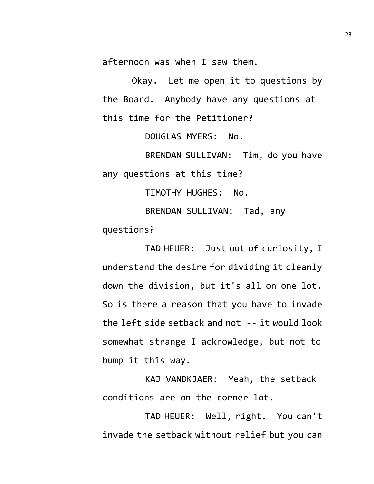afternoon was when I saw them.

Okay. Let me open it to questions by the Board. Anybody have any questions at this time for the Petitioner?

DOUGLAS MYERS: No.

BRENDAN SULLIVAN: Tim, do you have any questions at this time?

TIMOTHY HUGHES: No.

BRENDAN SULLIVAN: Tad, any questions?

TAD HEUER: Just out of curiosity, I understand the desire for dividing it cleanly down the division, but it's all on one lot. So is there a reason that you have to invade the left side setback and not -- it would look somewhat strange I acknowledge, but not to bump it this way.

KAJ VANDKJAER: Yeah, the setback conditions are on the corner lot.

TAD HEUER: Well, right. You can't invade the setback without relief but you can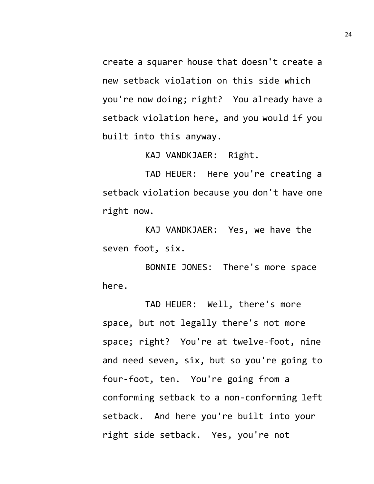create a squarer house that doesn't create a new setback violation on this side which you're now doing; right? You already have a setback violation here, and you would if you built into this anyway.

KAJ VANDKJAER: Right.

TAD HEUER: Here you're creating a setback violation because you don't have one right now.

KAJ VANDKJAER: Yes, we have the seven foot, six.

BONNIE JONES: There's more space here.

TAD HEUER: Well, there's more space, but not legally there's not more space; right? You're at twelve-foot, nine and need seven, six, but so you're going to four-foot, ten. You're going from a conforming setback to a non-conforming left setback. And here you're built into your right side setback. Yes, you're not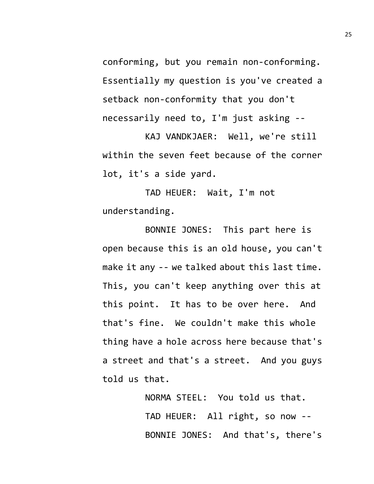conforming, but you remain non-conforming. Essentially my question is you've created a setback non-conformity that you don't necessarily need to, I'm just asking --

KAJ VANDKJAER: Well, we're still within the seven feet because of the corner lot, it's a side yard.

TAD HEUER: Wait, I'm not understanding.

BONNIE JONES: This part here is open because this is an old house, you can't make it any -- we talked about this last time. This, you can't keep anything over this at this point. It has to be over here. And that's fine. We couldn't make this whole thing have a hole across here because that's a street and that's a street. And you guys told us that.

> NORMA STEEL: You told us that. TAD HEUER: All right, so now -- BONNIE JONES: And that's, there's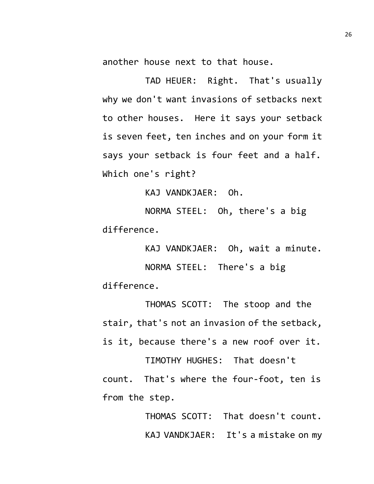another house next to that house.

TAD HEUER: Right. That's usually why we don't want invasions of setbacks next to other houses. Here it says your setback is seven feet, ten inches and on your form it says your setback is four feet and a half. Which one's right?

KAJ VANDKJAER: Oh.

NORMA STEEL: Oh, there's a big difference.

KAJ VANDKJAER: Oh, wait a minute.

NORMA STEEL: There's a big difference.

THOMAS SCOTT: The stoop and the stair, that's not an invasion of the setback, is it, because there's a new roof over it.

TIMOTHY HUGHES: That doesn't count. That's where the four-foot, ten is from the step.

> THOMAS SCOTT: That doesn't count. KAJ VANDKJAER: It's a mistake on my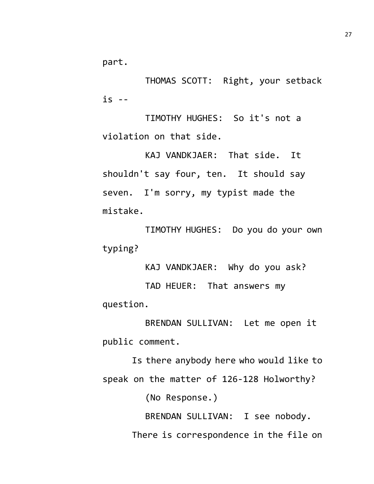part.

THOMAS SCOTT: Right, your setback  $is - -$ 

TIMOTHY HUGHES: So it's not a violation on that side.

KAJ VANDKJAER: That side. It shouldn't say four, ten. It should say seven. I'm sorry, my typist made the mistake.

TIMOTHY HUGHES: Do you do your own typing?

KAJ VANDKJAER: Why do you ask?

TAD HEUER: That answers my question.

BRENDAN SULLIVAN: Let me open it public comment.

Is there anybody here who would like to speak on the matter of 126-128 Holworthy?

(No Response.)

BRENDAN SULLIVAN: I see nobody. There is correspondence in the file on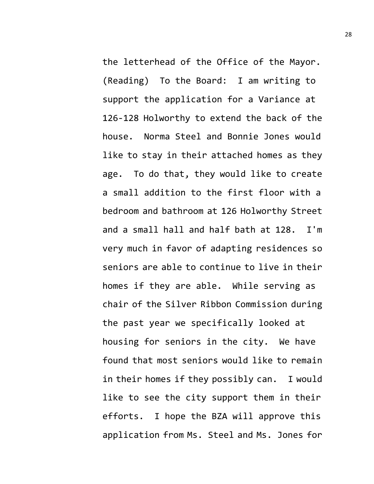the letterhead of the Office of the Mayor. (Reading) To the Board: I am writing to support the application for a Variance at 126-128 Holworthy to extend the back of the house. Norma Steel and Bonnie Jones would like to stay in their attached homes as they age. To do that, they would like to create a small addition to the first floor with a bedroom and bathroom at 126 Holworthy Street and a small hall and half bath at 128. I'm very much in favor of adapting residences so seniors are able to continue to live in their homes if they are able. While serving as chair of the Silver Ribbon Commission during the past year we specifically looked at housing for seniors in the city. We have found that most seniors would like to remain in their homes if they possibly can. I would like to see the city support them in their efforts. I hope the BZA will approve this application from Ms. Steel and Ms. Jones for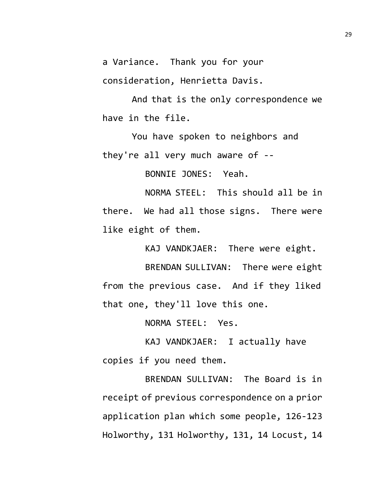a Variance. Thank you for your

consideration, Henrietta Davis.

And that is the only correspondence we have in the file.

You have spoken to neighbors and they're all very much aware of --

BONNIE JONES: Yeah.

NORMA STEEL: This should all be in there. We had all those signs. There were like eight of them.

KAJ VANDKJAER: There were eight.

BRENDAN SULLIVAN: There were eight from the previous case. And if they liked that one, they'll love this one.

NORMA STEEL: Yes.

KAJ VANDKJAER: I actually have copies if you need them.

BRENDAN SULLIVAN: The Board is in receipt of previous correspondence on a prior application plan which some people, 126-123 Holworthy, 131 Holworthy, 131, 14 Locust, 14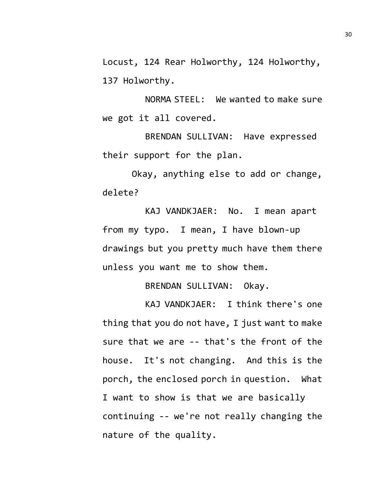Locust, 124 Rear Holworthy, 124 Holworthy, 137 Holworthy.

NORMA STEEL: We wanted to make sure we got it all covered.

BRENDAN SULLIVAN: Have expressed their support for the plan.

Okay, anything else to add or change, delete?

KAJ VANDKJAER: No. I mean apart from my typo. I mean, I have blown-up drawings but you pretty much have them there unless you want me to show them.

BRENDAN SULLIVAN: Okay.

KAJ VANDKJAER: I think there's one thing that you do not have, I just want to make sure that we are -- that's the front of the house. It's not changing. And this is the porch, the enclosed porch in question. What I want to show is that we are basically continuing -- we're not really changing the nature of the quality.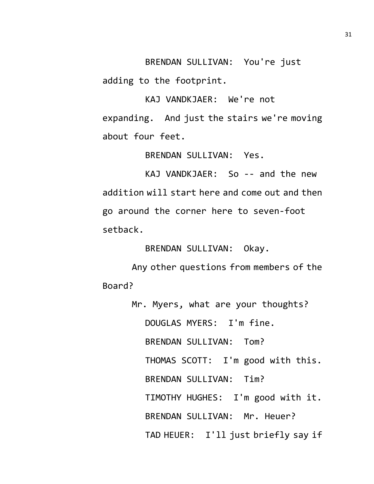BRENDAN SULLIVAN: You're just adding to the footprint.

KAJ VANDKJAER: We're not expanding. And just the stairs we're moving about four feet.

BRENDAN SULLIVAN: Yes.

KAJ VANDKJAER: So -- and the new addition will start here and come out and then go around the corner here to seven-foot setback.

BRENDAN SULLIVAN: Okay.

Any other questions from members of the Board?

> Mr. Myers, what are your thoughts? DOUGLAS MYERS: I'm fine. BRENDAN SULLIVAN: Tom? THOMAS SCOTT: I'm good with this. BRENDAN SULLIVAN: Tim? TIMOTHY HUGHES: I'm good with it. BRENDAN SULLIVAN: Mr. Heuer? TAD HEUER: I'll just briefly say if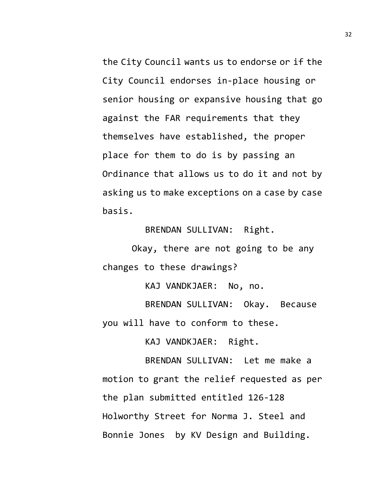the City Council wants us to endorse or if the City Council endorses in-place housing or senior housing or expansive housing that go against the FAR requirements that they themselves have established, the proper place for them to do is by passing an Ordinance that allows us to do it and not by asking us to make exceptions on a case by case basis.

BRENDAN SULLIVAN: Right.

Okay, there are not going to be any changes to these drawings?

KAJ VANDKJAER: No, no.

BRENDAN SULLIVAN: Okay. Because you will have to conform to these.

KAJ VANDKJAER: Right.

BRENDAN SULLIVAN: Let me make a motion to grant the relief requested as per the plan submitted entitled 126-128 Holworthy Street for Norma J. Steel and Bonnie Jones by KV Design and Building.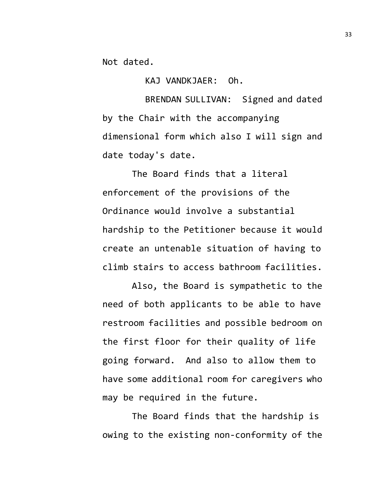Not dated.

KAJ VANDKJAER: Oh.

BRENDAN SULLIVAN: Signed and dated by the Chair with the accompanying dimensional form which also I will sign and date today's date.

The Board finds that a literal enforcement of the provisions of the Ordinance would involve a substantial hardship to the Petitioner because it would create an untenable situation of having to climb stairs to access bathroom facilities.

Also, the Board is sympathetic to the need of both applicants to be able to have restroom facilities and possible bedroom on the first floor for their quality of life going forward. And also to allow them to have some additional room for caregivers who may be required in the future.

The Board finds that the hardship is owing to the existing non-conformity of the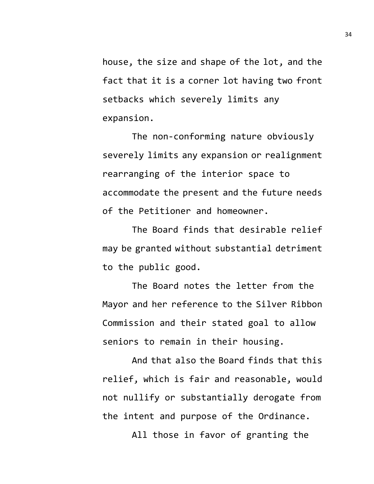house, the size and shape of the lot, and the fact that it is a corner lot having two front setbacks which severely limits any expansion.

The non-conforming nature obviously severely limits any expansion or realignment rearranging of the interior space to accommodate the present and the future needs of the Petitioner and homeowner.

The Board finds that desirable relief may be granted without substantial detriment to the public good.

The Board notes the letter from the Mayor and her reference to the Silver Ribbon Commission and their stated goal to allow seniors to remain in their housing.

And that also the Board finds that this relief, which is fair and reasonable, would not nullify or substantially derogate from the intent and purpose of the Ordinance.

All those in favor of granting the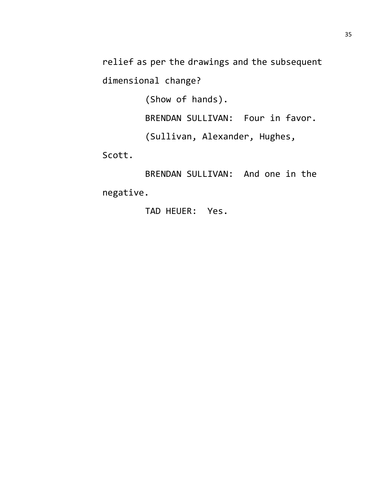relief as per the drawings and the subsequent

dimensional change?

(Show of hands).

BRENDAN SULLIVAN: Four in favor.

(Sullivan, Alexander, Hughes,

Scott.

BRENDAN SULLIVAN: And one in the negative.

TAD HEUER: Yes.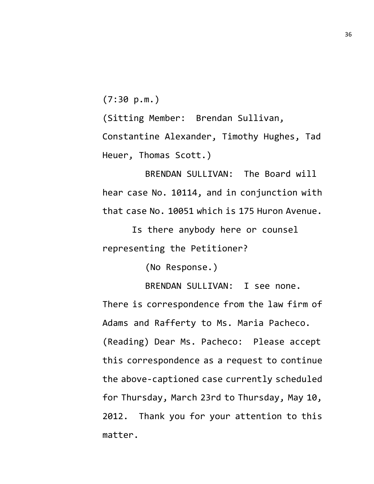(7:30 p.m.)

(Sitting Member: Brendan Sullivan,

Constantine Alexander, Timothy Hughes, Tad Heuer, Thomas Scott.)

BRENDAN SULLIVAN: The Board will hear case No. 10114, and in conjunction with that case No. 10051 which is 175 Huron Avenue.

Is there anybody here or counsel representing the Petitioner?

(No Response.)

BRENDAN SULLIVAN: I see none.

There is correspondence from the law firm of Adams and Rafferty to Ms. Maria Pacheco. (Reading) Dear Ms. Pacheco: Please accept this correspondence as a request to continue the above-captioned case currently scheduled for Thursday, March 23rd to Thursday, May 10, 2012. Thank you for your attention to this matter.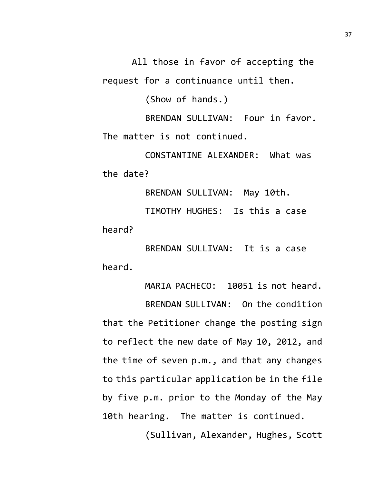All those in favor of accepting the request for a continuance until then.

(Show of hands.)

BRENDAN SULLIVAN: Four in favor. The matter is not continued.

CONSTANTINE ALEXANDER: What was the date?

BRENDAN SULLIVAN: May 10th. TIMOTHY HUGHES: Is this a case heard?

BRENDAN SULLIVAN: It is a case heard.

MARIA PACHECO: 10051 is not heard. BRENDAN SULLIVAN: On the condition that the Petitioner change the posting sign to reflect the new date of May 10, 2012, and the time of seven p.m., and that any changes to this particular application be in the file by five p.m. prior to the Monday of the May 10th hearing. The matter is continued.

(Sullivan, Alexander, Hughes, Scott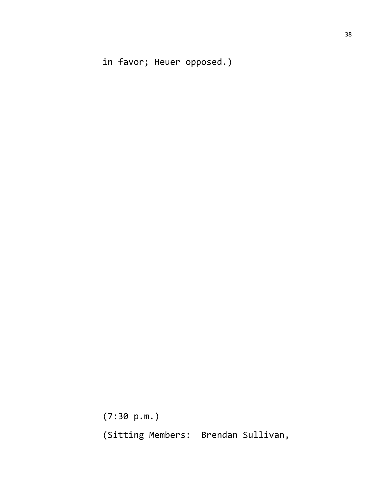in favor; Heuer opposed.)

(7:30 p.m.) (Sitting Members: Brendan Sullivan,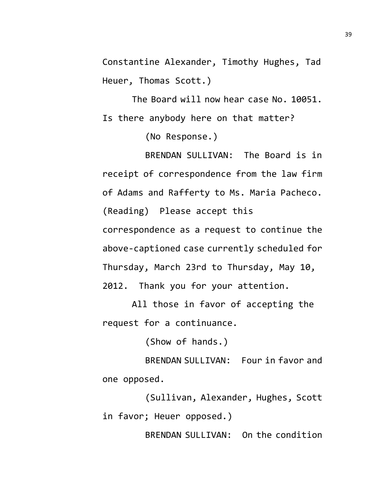Constantine Alexander, Timothy Hughes, Tad Heuer, Thomas Scott.)

The Board will now hear case No. 10051. Is there anybody here on that matter?

(No Response.)

BRENDAN SULLIVAN: The Board is in receipt of correspondence from the law firm of Adams and Rafferty to Ms. Maria Pacheco. (Reading) Please accept this

correspondence as a request to continue the above-captioned case currently scheduled for Thursday, March 23rd to Thursday, May 10, 2012. Thank you for your attention.

All those in favor of accepting the request for a continuance.

(Show of hands.)

BRENDAN SULLIVAN: Four in favor and one opposed.

(Sullivan, Alexander, Hughes, Scott in favor; Heuer opposed.)

BRENDAN SULLIVAN: On the condition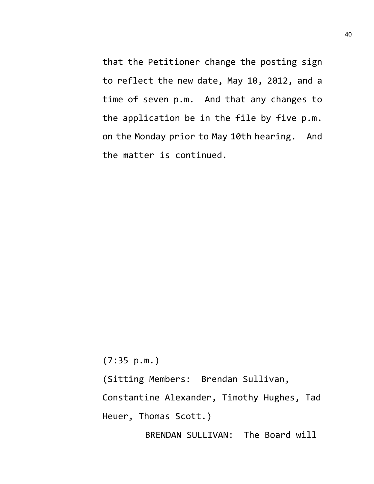that the Petitioner change the posting sign to reflect the new date, May 10, 2012, and a time of seven p.m. And that any changes to the application be in the file by five p.m. on the Monday prior to May 10th hearing. And the matter is continued.

(7:35 p.m.)

(Sitting Members: Brendan Sullivan,

Constantine Alexander, Timothy Hughes, Tad

Heuer, Thomas Scott.)

BRENDAN SULLIVAN: The Board will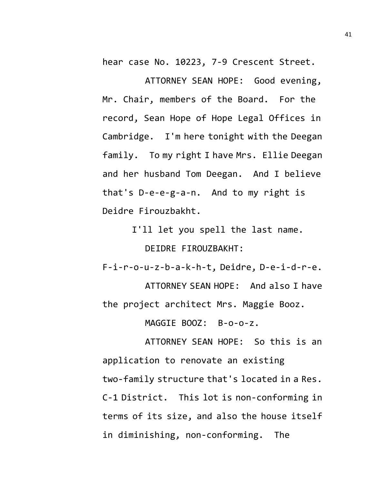hear case No. 10223, 7-9 Crescent Street.

ATTORNEY SEAN HOPE: Good evening, Mr. Chair, members of the Board. For the record, Sean Hope of Hope Legal Offices in Cambridge. I'm here tonight with the Deegan family. To my right I have Mrs. Ellie Deegan and her husband Tom Deegan. And I believe that's D-e-e-g-a-n. And to my right is Deidre Firouzbakht.

> I'll let you spell the last name. DEIDRE FIROUZBAKHT:

F-i-r-o-u-z-b-a-k-h-t, Deidre, D-e-i-d-r-e.

ATTORNEY SEAN HOPE: And also I have the project architect Mrs. Maggie Booz.

MAGGIE BOOZ: B-o-o-z.

ATTORNEY SEAN HOPE: So this is an application to renovate an existing two-family structure that's located in a Res. C-1 District. This lot is non-conforming in terms of its size, and also the house itself in diminishing, non-conforming. The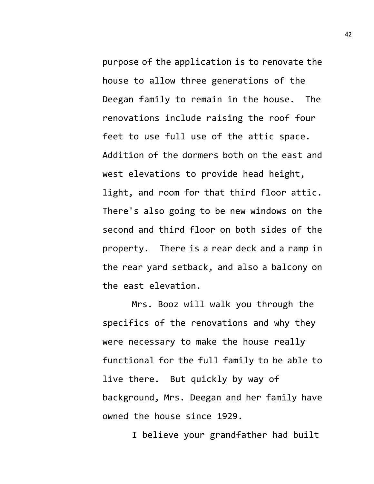purpose of the application is to renovate the house to allow three generations of the Deegan family to remain in the house. The renovations include raising the roof four feet to use full use of the attic space. Addition of the dormers both on the east and west elevations to provide head height, light, and room for that third floor attic. There's also going to be new windows on the second and third floor on both sides of the property. There is a rear deck and a ramp in the rear yard setback, and also a balcony on the east elevation.

Mrs. Booz will walk you through the specifics of the renovations and why they were necessary to make the house really functional for the full family to be able to live there. But quickly by way of background, Mrs. Deegan and her family have owned the house since 1929.

I believe your grandfather had built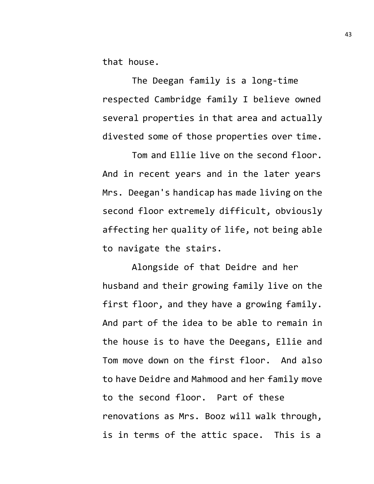that house.

The Deegan family is a long-time respected Cambridge family I believe owned several properties in that area and actually divested some of those properties over time.

Tom and Ellie live on the second floor. And in recent years and in the later years Mrs. Deegan's handicap has made living on the second floor extremely difficult, obviously affecting her quality of life, not being able to navigate the stairs.

Alongside of that Deidre and her husband and their growing family live on the first floor, and they have a growing family. And part of the idea to be able to remain in the house is to have the Deegans, Ellie and Tom move down on the first floor. And also to have Deidre and Mahmood and her family move to the second floor. Part of these renovations as Mrs. Booz will walk through, is in terms of the attic space. This is a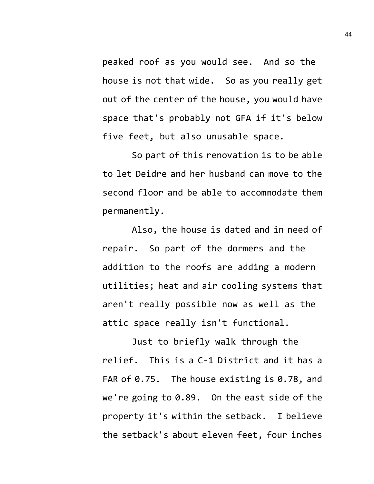peaked roof as you would see. And so the house is not that wide. So as you really get out of the center of the house, you would have space that's probably not GFA if it's below five feet, but also unusable space.

So part of this renovation is to be able to let Deidre and her husband can move to the second floor and be able to accommodate them permanently.

Also, the house is dated and in need of repair. So part of the dormers and the addition to the roofs are adding a modern utilities; heat and air cooling systems that aren't really possible now as well as the attic space really isn't functional.

Just to briefly walk through the relief. This is a C-1 District and it has a FAR of 0.75. The house existing is 0.78, and we're going to 0.89. On the east side of the property it's within the setback. I believe the setback's about eleven feet, four inches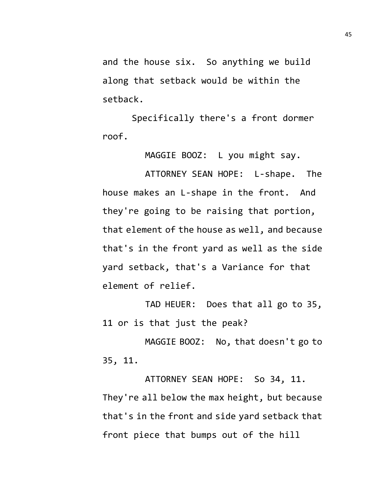and the house six. So anything we build along that setback would be within the setback.

Specifically there's a front dormer roof.

MAGGIE BOOZ: L you might say.

ATTORNEY SEAN HOPE: L-shape. The house makes an L-shape in the front. And they're going to be raising that portion, that element of the house as well, and because that's in the front yard as well as the side yard setback, that's a Variance for that element of relief.

TAD HEUER: Does that all go to 35, 11 or is that just the peak?

MAGGIE BOOZ: No, that doesn't go to 35, 11.

ATTORNEY SEAN HOPE: So 34, 11. They're all below the max height, but because that's in the front and side yard setback that front piece that bumps out of the hill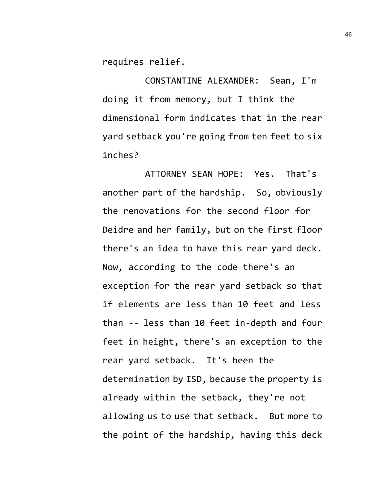requires relief.

CONSTANTINE ALEXANDER: Sean, I'm doing it from memory, but I think the dimensional form indicates that in the rear yard setback you're going from ten feet to six inches?

ATTORNEY SEAN HOPE: Yes. That's another part of the hardship. So, obviously the renovations for the second floor for Deidre and her family, but on the first floor there's an idea to have this rear yard deck. Now, according to the code there's an exception for the rear yard setback so that if elements are less than 10 feet and less than -- less than 10 feet in-depth and four feet in height, there's an exception to the rear yard setback. It's been the determination by ISD, because the property is already within the setback, they're not allowing us to use that setback. But more to the point of the hardship, having this deck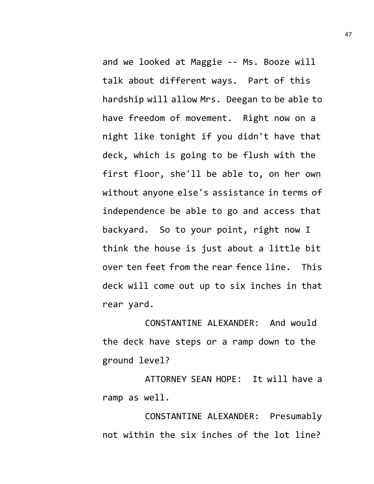and we looked at Maggie -- Ms. Booze will talk about different ways. Part of this hardship will allow Mrs. Deegan to be able to have freedom of movement. Right now on a night like tonight if you didn't have that deck, which is going to be flush with the first floor, she'll be able to, on her own without anyone else's assistance in terms of independence be able to go and access that backyard. So to your point, right now I think the house is just about a little bit over ten feet from the rear fence line. This deck will come out up to six inches in that rear yard.

CONSTANTINE ALEXANDER: And would the deck have steps or a ramp down to the ground level?

ATTORNEY SEAN HOPE: It will have a ramp as well.

CONSTANTINE ALEXANDER: Presumably not within the six inches of the lot line?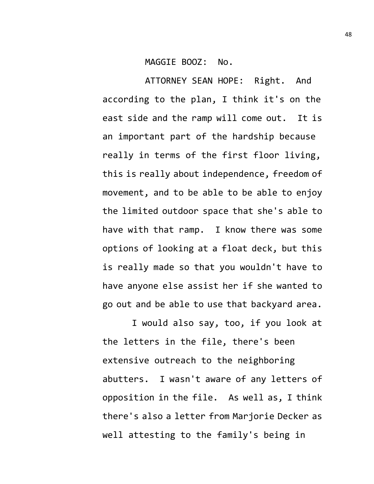## MAGGIE BOOZ: No.

ATTORNEY SEAN HOPE: Right. And according to the plan, I think it's on the east side and the ramp will come out. It is an important part of the hardship because really in terms of the first floor living, this is really about independence, freedom of movement, and to be able to be able to enjoy the limited outdoor space that she's able to have with that ramp. I know there was some options of looking at a float deck, but this is really made so that you wouldn't have to have anyone else assist her if she wanted to go out and be able to use that backyard area.

I would also say, too, if you look at the letters in the file, there's been extensive outreach to the neighboring abutters. I wasn't aware of any letters of opposition in the file. As well as, I think there's also a letter from Marjorie Decker as well attesting to the family's being in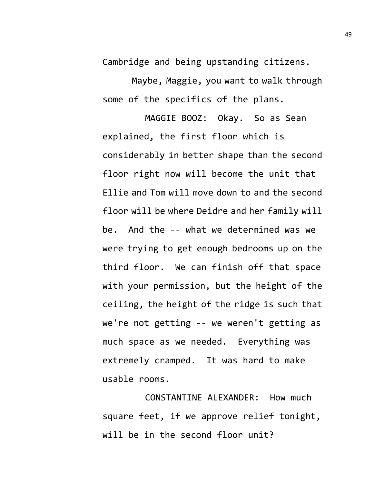Cambridge and being upstanding citizens.

Maybe, Maggie, you want to walk through some of the specifics of the plans.

MAGGIE BOOZ: Okay. So as Sean explained, the first floor which is considerably in better shape than the second floor right now will become the unit that Ellie and Tom will move down to and the second floor will be where Deidre and her family will be. And the -- what we determined was we were trying to get enough bedrooms up on the third floor. We can finish off that space with your permission, but the height of the ceiling, the height of the ridge is such that we're not getting -- we weren't getting as much space as we needed. Everything was extremely cramped. It was hard to make usable rooms.

CONSTANTINE ALEXANDER: How much square feet, if we approve relief tonight, will be in the second floor unit?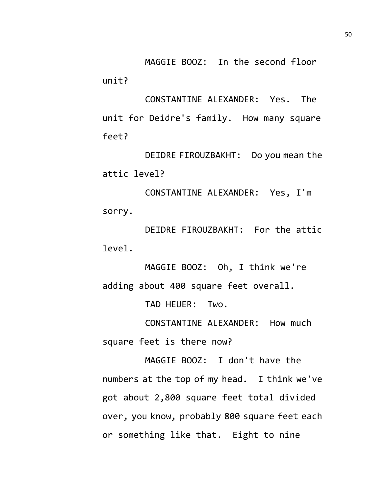MAGGIE BOOZ: In the second floor unit?

CONSTANTINE ALEXANDER: Yes. The unit for Deidre's family. How many square feet?

DEIDRE FIROUZBAKHT: Do you mean the attic level?

CONSTANTINE ALEXANDER: Yes, I'm sorry.

DEIDRE FIROUZBAKHT: For the attic level.

MAGGIE BOOZ: Oh, I think we're adding about 400 square feet overall.

TAD HEUER: Two.

CONSTANTINE ALEXANDER: How much square feet is there now?

MAGGIE BOOZ: I don't have the numbers at the top of my head. I think we've got about 2,800 square feet total divided over, you know, probably 800 square feet each or something like that. Eight to nine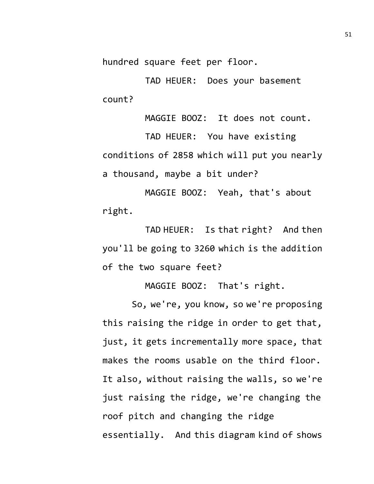hundred square feet per floor.

TAD HEUER: Does your basement count?

MAGGIE BOOZ: It does not count.

TAD HEUER: You have existing conditions of 2858 which will put you nearly a thousand, maybe a bit under?

MAGGIE BOOZ: Yeah, that's about right.

TAD HEUER: Is that right? And then you'll be going to 3260 which is the addition of the two square feet?

MAGGIE BOOZ: That's right.

So, we're, you know, so we're proposing this raising the ridge in order to get that, just, it gets incrementally more space, that makes the rooms usable on the third floor. It also, without raising the walls, so we're just raising the ridge, we're changing the roof pitch and changing the ridge essentially. And this diagram kind of shows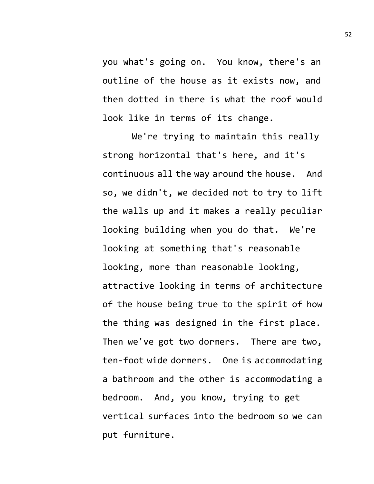you what's going on. You know, there's an outline of the house as it exists now, and then dotted in there is what the roof would look like in terms of its change.

We're trying to maintain this really strong horizontal that's here, and it's continuous all the way around the house. And so, we didn't, we decided not to try to lift the walls up and it makes a really peculiar looking building when you do that. We're looking at something that's reasonable looking, more than reasonable looking, attractive looking in terms of architecture of the house being true to the spirit of how the thing was designed in the first place. Then we've got two dormers. There are two, ten-foot wide dormers. One is accommodating a bathroom and the other is accommodating a bedroom. And, you know, trying to get vertical surfaces into the bedroom so we can put furniture.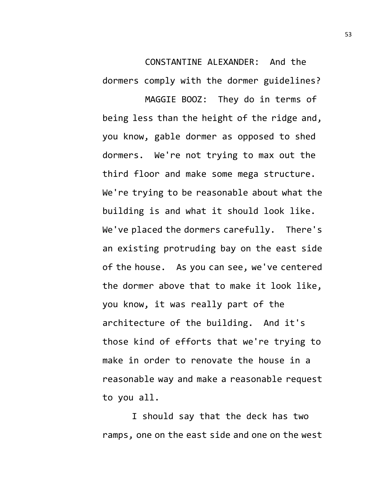CONSTANTINE ALEXANDER: And the dormers comply with the dormer guidelines?

MAGGIE BOOZ: They do in terms of being less than the height of the ridge and, you know, gable dormer as opposed to shed dormers. We're not trying to max out the third floor and make some mega structure. We're trying to be reasonable about what the building is and what it should look like. We've placed the dormers carefully. There's an existing protruding bay on the east side of the house. As you can see, we've centered the dormer above that to make it look like, you know, it was really part of the architecture of the building. And it's those kind of efforts that we're trying to make in order to renovate the house in a reasonable way and make a reasonable request to you all.

I should say that the deck has two ramps, one on the east side and one on the west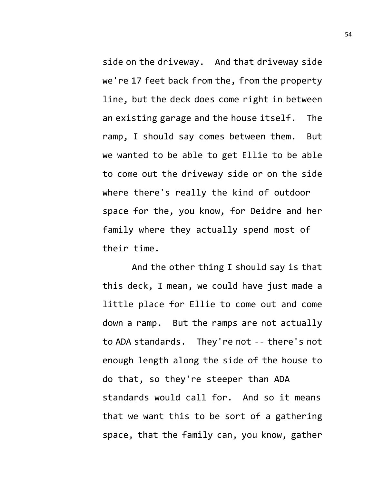side on the driveway. And that driveway side we're 17 feet back from the, from the property line, but the deck does come right in between an existing garage and the house itself. The ramp, I should say comes between them. But we wanted to be able to get Ellie to be able to come out the driveway side or on the side where there's really the kind of outdoor space for the, you know, for Deidre and her family where they actually spend most of their time.

And the other thing I should say is that this deck, I mean, we could have just made a little place for Ellie to come out and come down a ramp. But the ramps are not actually to ADA standards. They're not -- there's not enough length along the side of the house to do that, so they're steeper than ADA standards would call for. And so it means that we want this to be sort of a gathering space, that the family can, you know, gather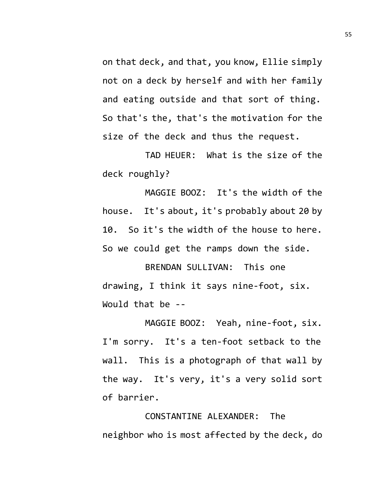on that deck, and that, you know, Ellie simply not on a deck by herself and with her family and eating outside and that sort of thing. So that's the, that's the motivation for the size of the deck and thus the request.

TAD HEUER: What is the size of the deck roughly?

MAGGIE BOOZ: It's the width of the house. It's about, it's probably about 20 by 10. So it's the width of the house to here. So we could get the ramps down the side.

BRENDAN SULLIVAN: This one drawing, I think it says nine-foot, six. Would that be --

MAGGIE BOOZ: Yeah, nine-foot, six. I'm sorry. It's a ten-foot setback to the wall. This is a photograph of that wall by the way. It's very, it's a very solid sort of barrier.

CONSTANTINE ALEXANDER: The neighbor who is most affected by the deck, do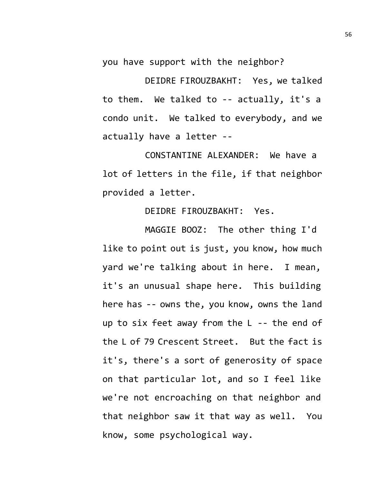you have support with the neighbor?

DEIDRE FIROUZBAKHT: Yes, we talked to them. We talked to -- actually, it's a condo unit. We talked to everybody, and we actually have a letter --

CONSTANTINE ALEXANDER: We have a lot of letters in the file, if that neighbor provided a letter.

DEIDRE FIROUZBAKHT: Yes.

MAGGIE BOOZ: The other thing I'd like to point out is just, you know, how much yard we're talking about in here. I mean, it's an unusual shape here. This building here has -- owns the, you know, owns the land up to six feet away from the L -- the end of the L of 79 Crescent Street. But the fact is it's, there's a sort of generosity of space on that particular lot, and so I feel like we're not encroaching on that neighbor and that neighbor saw it that way as well. You know, some psychological way.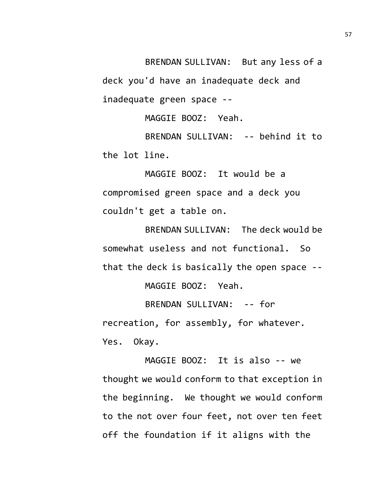BRENDAN SULLIVAN: But any less of a deck you'd have an inadequate deck and inadequate green space --

MAGGIE BOOZ: Yeah.

BRENDAN SULLIVAN: -- behind it to the lot line.

MAGGIE BOOZ: It would be a compromised green space and a deck you couldn't get a table on.

BRENDAN SULLIVAN: The deck would be somewhat useless and not functional. So that the deck is basically the open space --

MAGGIE BOOZ: Yeah.

BRENDAN SULLIVAN: -- for recreation, for assembly, for whatever. Yes. Okay.

MAGGIE BOOZ: It is also -- we thought we would conform to that exception in the beginning. We thought we would conform to the not over four feet, not over ten feet off the foundation if it aligns with the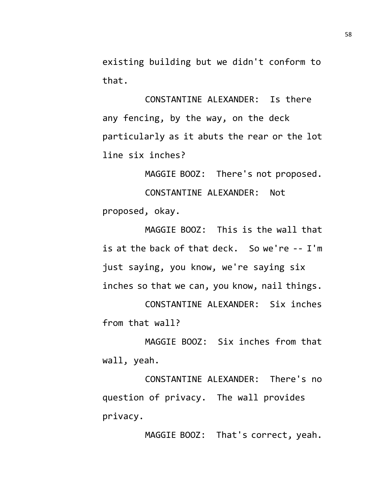existing building but we didn't conform to that.

CONSTANTINE ALEXANDER: Is there any fencing, by the way, on the deck particularly as it abuts the rear or the lot line six inches?

MAGGIE BOOZ: There's not proposed. CONSTANTINE ALEXANDER: Not proposed, okay.

MAGGIE BOOZ: This is the wall that is at the back of that deck. So we're -- I'm just saying, you know, we're saying six inches so that we can, you know, nail things.

CONSTANTINE ALEXANDER: Six inches from that wall?

MAGGIE BOOZ: Six inches from that wall, yeah.

CONSTANTINE ALEXANDER: There's no question of privacy. The wall provides privacy.

MAGGIE BOOZ: That's correct, yeah.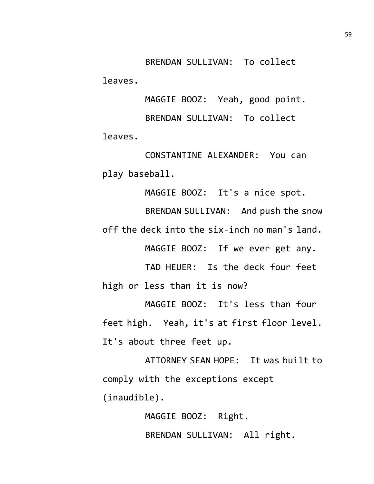BRENDAN SULLIVAN: To collect leaves.

MAGGIE BOOZ: Yeah, good point. BRENDAN SULLIVAN: To collect leaves.

CONSTANTINE ALEXANDER: You can play baseball.

MAGGIE BOOZ: It's a nice spot.

BRENDAN SULLIVAN: And push the snow off the deck into the six-inch no man's land.

MAGGIE BOOZ: If we ever get any.

TAD HEUER: Is the deck four feet high or less than it is now?

MAGGIE BOOZ: It's less than four feet high. Yeah, it's at first floor level. It's about three feet up.

ATTORNEY SEAN HOPE: It was built to comply with the exceptions except (inaudible).

> MAGGIE BOOZ: Right. BRENDAN SULLIVAN: All right.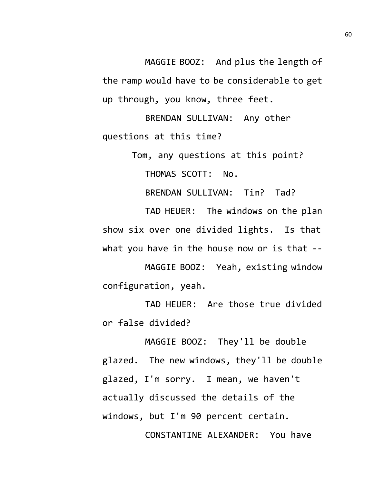MAGGIE BOOZ: And plus the length of the ramp would have to be considerable to get up through, you know, three feet.

BRENDAN SULLIVAN: Any other questions at this time?

Tom, any questions at this point?

THOMAS SCOTT: No.

BRENDAN SULLIVAN: Tim? Tad?

TAD HEUER: The windows on the plan show six over one divided lights. Is that what you have in the house now or is that --

MAGGIE BOOZ: Yeah, existing window configuration, yeah.

TAD HEUER: Are those true divided or false divided?

MAGGIE BOOZ: They'll be double glazed. The new windows, they'll be double glazed, I'm sorry. I mean, we haven't actually discussed the details of the windows, but I'm 90 percent certain. CONSTANTINE ALEXANDER: You have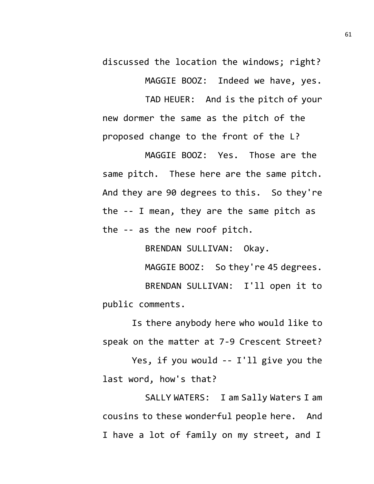discussed the location the windows; right?

MAGGIE BOOZ: Indeed we have, yes.

TAD HEUER: And is the pitch of your new dormer the same as the pitch of the proposed change to the front of the L?

MAGGIE BOOZ: Yes. Those are the same pitch. These here are the same pitch. And they are 90 degrees to this. So they're the -- I mean, they are the same pitch as the -- as the new roof pitch.

BRENDAN SULLIVAN: Okay.

MAGGIE BOOZ: So they're 45 degrees. BRENDAN SULLIVAN: I'll open it to public comments.

Is there anybody here who would like to speak on the matter at 7-9 Crescent Street?

Yes, if you would -- I'll give you the last word, how's that?

SALLY WATERS: I am Sally Waters I am cousins to these wonderful people here. And I have a lot of family on my street, and I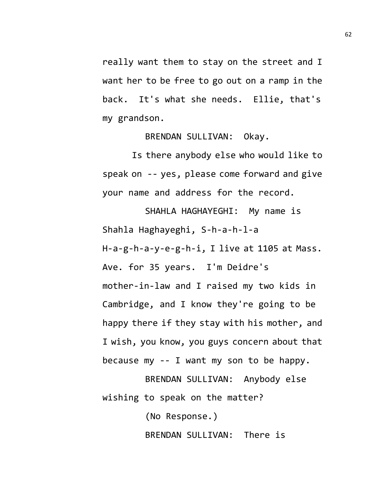really want them to stay on the street and I want her to be free to go out on a ramp in the back. It's what she needs. Ellie, that's my grandson.

BRENDAN SULLIVAN: Okay.

Is there anybody else who would like to speak on -- yes, please come forward and give your name and address for the record.

SHAHLA HAGHAYEGHI: My name is Shahla Haghayeghi, S-h-a-h-l-a H-a-g-h-a-y-e-g-h-i, I live at 1105 at Mass. Ave. for 35 years. I'm Deidre's mother-in-law and I raised my two kids in Cambridge, and I know they're going to be happy there if they stay with his mother, and I wish, you know, you guys concern about that because my -- I want my son to be happy.

BRENDAN SULLIVAN: Anybody else wishing to speak on the matter?

(No Response.)

BRENDAN SULLIVAN: There is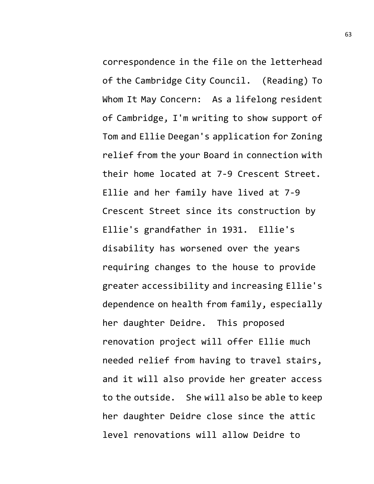correspondence in the file on the letterhead of the Cambridge City Council. (Reading) To Whom It May Concern: As a lifelong resident of Cambridge, I'm writing to show support of Tom and Ellie Deegan's application for Zoning relief from the your Board in connection with their home located at 7-9 Crescent Street. Ellie and her family have lived at 7-9 Crescent Street since its construction by Ellie's grandfather in 1931. Ellie's disability has worsened over the years requiring changes to the house to provide greater accessibility and increasing Ellie's dependence on health from family, especially her daughter Deidre. This proposed renovation project will offer Ellie much needed relief from having to travel stairs, and it will also provide her greater access to the outside. She will also be able to keep her daughter Deidre close since the attic level renovations will allow Deidre to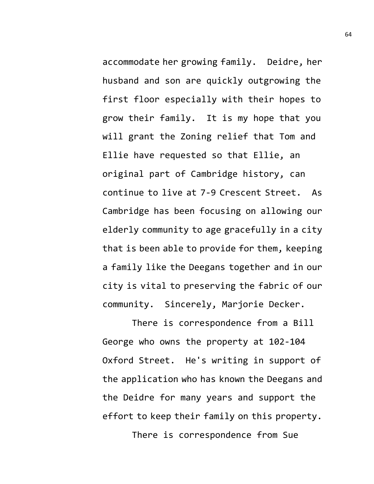accommodate her growing family. Deidre, her husband and son are quickly outgrowing the first floor especially with their hopes to grow their family. It is my hope that you will grant the Zoning relief that Tom and Ellie have requested so that Ellie, an original part of Cambridge history, can continue to live at 7-9 Crescent Street. As Cambridge has been focusing on allowing our elderly community to age gracefully in a city that is been able to provide for them, keeping a family like the Deegans together and in our city is vital to preserving the fabric of our community. Sincerely, Marjorie Decker.

There is correspondence from a Bill George who owns the property at 102-104 Oxford Street. He's writing in support of the application who has known the Deegans and the Deidre for many years and support the effort to keep their family on this property.

There is correspondence from Sue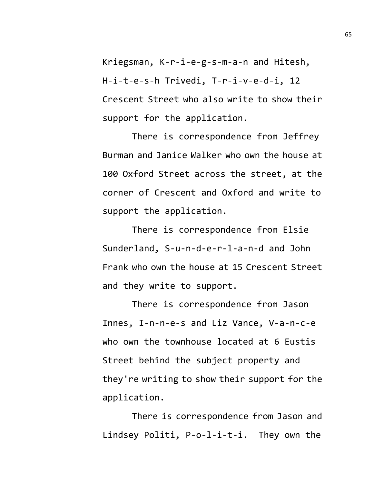Kriegsman, K-r-i-e-g-s-m-a-n and Hitesh, H-i-t-e-s-h Trivedi, T-r-i-v-e-d-i, 12 Crescent Street who also write to show their support for the application.

There is correspondence from Jeffrey Burman and Janice Walker who own the house at 100 Oxford Street across the street, at the corner of Crescent and Oxford and write to support the application.

There is correspondence from Elsie Sunderland, S-u-n-d-e-r-l-a-n-d and John Frank who own the house at 15 Crescent Street and they write to support.

There is correspondence from Jason Innes, I-n-n-e-s and Liz Vance, V-a-n-c-e who own the townhouse located at 6 Eustis Street behind the subject property and they're writing to show their support for the application.

There is correspondence from Jason and Lindsey Politi, P-o-l-i-t-i. They own the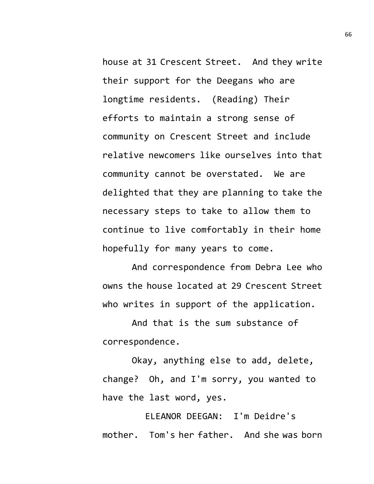house at 31 Crescent Street. And they write their support for the Deegans who are longtime residents. (Reading) Their efforts to maintain a strong sense of community on Crescent Street and include relative newcomers like ourselves into that community cannot be overstated. We are delighted that they are planning to take the necessary steps to take to allow them to continue to live comfortably in their home hopefully for many years to come.

And correspondence from Debra Lee who owns the house located at 29 Crescent Street who writes in support of the application.

And that is the sum substance of correspondence.

Okay, anything else to add, delete, change? Oh, and I'm sorry, you wanted to have the last word, yes.

ELEANOR DEEGAN: I'm Deidre's mother. Tom's her father. And she was born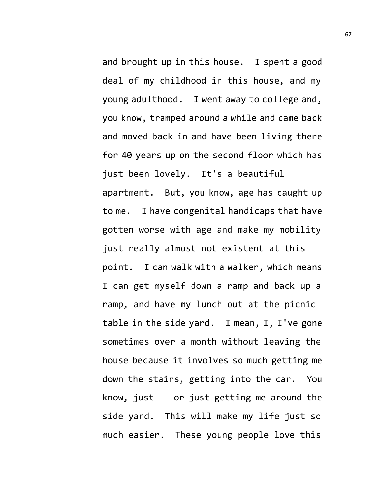and brought up in this house. I spent a good deal of my childhood in this house, and my young adulthood. I went away to college and, you know, tramped around a while and came back and moved back in and have been living there for 40 years up on the second floor which has just been lovely. It's a beautiful apartment. But, you know, age has caught up to me. I have congenital handicaps that have gotten worse with age and make my mobility just really almost not existent at this point. I can walk with a walker, which means I can get myself down a ramp and back up a ramp, and have my lunch out at the picnic table in the side yard. I mean, I, I've gone sometimes over a month without leaving the house because it involves so much getting me down the stairs, getting into the car. You know, just -- or just getting me around the side yard. This will make my life just so much easier. These young people love this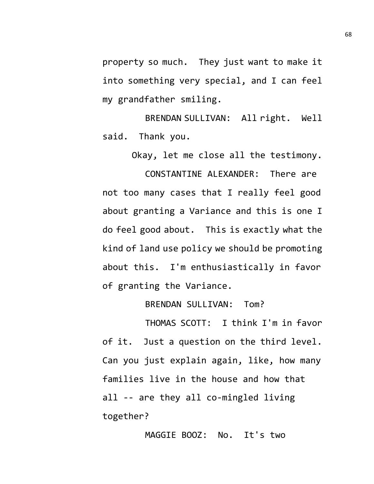property so much. They just want to make it into something very special, and I can feel my grandfather smiling.

BRENDAN SULLIVAN: All right. Well said. Thank you.

Okay, let me close all the testimony.

CONSTANTINE ALEXANDER: There are not too many cases that I really feel good about granting a Variance and this is one I do feel good about. This is exactly what the kind of land use policy we should be promoting about this. I'm enthusiastically in favor of granting the Variance.

BRENDAN SULLIVAN: Tom?

THOMAS SCOTT: I think I'm in favor of it. Just a question on the third level. Can you just explain again, like, how many families live in the house and how that all -- are they all co-mingled living together?

MAGGIE BOOZ: No. It's two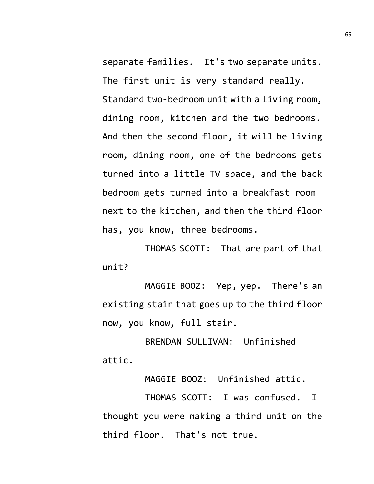separate families. It's two separate units. The first unit is very standard really. Standard two-bedroom unit with a living room, dining room, kitchen and the two bedrooms. And then the second floor, it will be living room, dining room, one of the bedrooms gets turned into a little TV space, and the back bedroom gets turned into a breakfast room next to the kitchen, and then the third floor has, you know, three bedrooms.

THOMAS SCOTT: That are part of that unit?

MAGGIE BOOZ: Yep, yep. There's an existing stair that goes up to the third floor now, you know, full stair.

BRENDAN SULLIVAN: Unfinished attic.

MAGGIE BOOZ: Unfinished attic.

THOMAS SCOTT: I was confused. I thought you were making a third unit on the third floor. That's not true.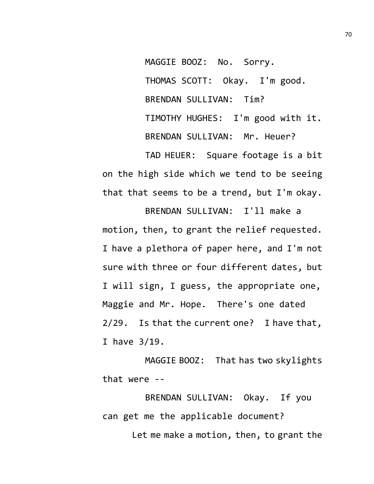MAGGIE BOOZ: No. Sorry. THOMAS SCOTT: Okay. I'm good. BRENDAN SULLIVAN: Tim? TIMOTHY HUGHES: I'm good with it. BRENDAN SULLIVAN: Mr. Heuer?

TAD HEUER: Square footage is a bit on the high side which we tend to be seeing that that seems to be a trend, but I'm okay.

BRENDAN SULLIVAN: I'll make a motion, then, to grant the relief requested. I have a plethora of paper here, and I'm not sure with three or four different dates, but I will sign, I guess, the appropriate one, Maggie and Mr. Hope. There's one dated 2/29. Is that the current one? I have that, I have 3/19.

MAGGIE BOOZ: That has two skylights that were --

BRENDAN SULLIVAN: Okay. If you can get me the applicable document? Let me make a motion, then, to grant the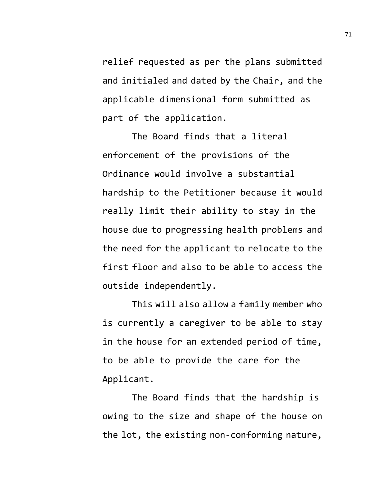relief requested as per the plans submitted and initialed and dated by the Chair, and the applicable dimensional form submitted as part of the application.

The Board finds that a literal enforcement of the provisions of the Ordinance would involve a substantial hardship to the Petitioner because it would really limit their ability to stay in the house due to progressing health problems and the need for the applicant to relocate to the first floor and also to be able to access the outside independently.

This will also allow a family member who is currently a caregiver to be able to stay in the house for an extended period of time, to be able to provide the care for the Applicant.

The Board finds that the hardship is owing to the size and shape of the house on the lot, the existing non-conforming nature,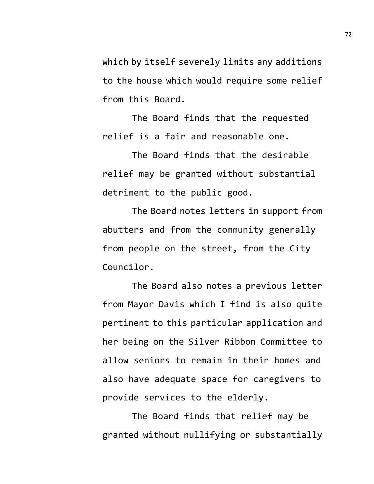which by itself severely limits any additions to the house which would require some relief from this Board.

The Board finds that the requested relief is a fair and reasonable one.

The Board finds that the desirable relief may be granted without substantial detriment to the public good.

The Board notes letters in support from abutters and from the community generally from people on the street, from the City Councilor.

The Board also notes a previous letter from Mayor Davis which I find is also quite pertinent to this particular application and her being on the Silver Ribbon Committee to allow seniors to remain in their homes and also have adequate space for caregivers to provide services to the elderly.

The Board finds that relief may be granted without nullifying or substantially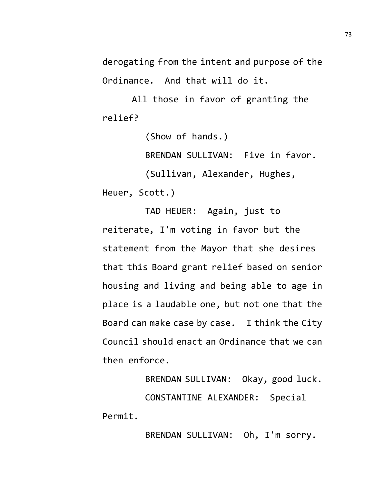derogating from the intent and purpose of the Ordinance. And that will do it.

All those in favor of granting the relief?

(Show of hands.)

BRENDAN SULLIVAN: Five in favor.

(Sullivan, Alexander, Hughes,

Heuer, Scott.)

TAD HEUER: Again, just to reiterate, I'm voting in favor but the statement from the Mayor that she desires that this Board grant relief based on senior housing and living and being able to age in place is a laudable one, but not one that the Board can make case by case. I think the City Council should enact an Ordinance that we can then enforce.

BRENDAN SULLIVAN: Okay, good luck. CONSTANTINE ALEXANDER: Special Permit.

BRENDAN SULLIVAN: Oh, I'm sorry.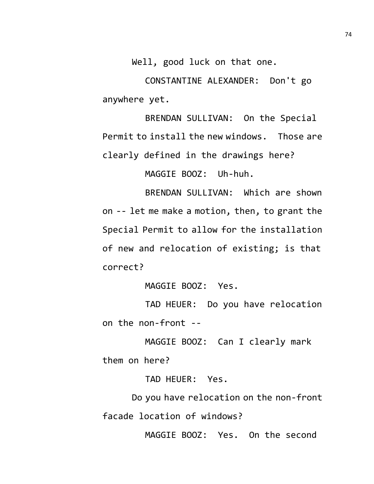Well, good luck on that one.

CONSTANTINE ALEXANDER: Don't go anywhere yet.

BRENDAN SULLIVAN: On the Special Permit to install the new windows. Those are clearly defined in the drawings here?

MAGGIE BOOZ: Uh-huh.

BRENDAN SULLIVAN: Which are shown on -- let me make a motion, then, to grant the Special Permit to allow for the installation of new and relocation of existing; is that correct?

MAGGIE BOOZ: Yes.

TAD HEUER: Do you have relocation on the non-front --

MAGGIE BOOZ: Can I clearly mark them on here?

TAD HEUER: Yes.

Do you have relocation on the non-front facade location of windows?

MAGGIE BOOZ: Yes. On the second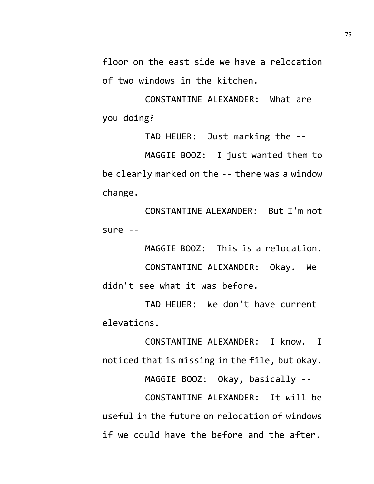floor on the east side we have a relocation of two windows in the kitchen.

CONSTANTINE ALEXANDER: What are you doing?

TAD HEUER: Just marking the -- MAGGIE BOOZ: I just wanted them to be clearly marked on the -- there was a window change.

CONSTANTINE ALEXANDER: But I'm not sure --

MAGGIE BOOZ: This is a relocation.

CONSTANTINE ALEXANDER: Okay. We didn't see what it was before.

TAD HEUER: We don't have current elevations.

CONSTANTINE ALEXANDER: I know. I noticed that is missing in the file, but okay.

MAGGIE BOOZ: Okay, basically --

CONSTANTINE ALEXANDER: It will be useful in the future on relocation of windows if we could have the before and the after.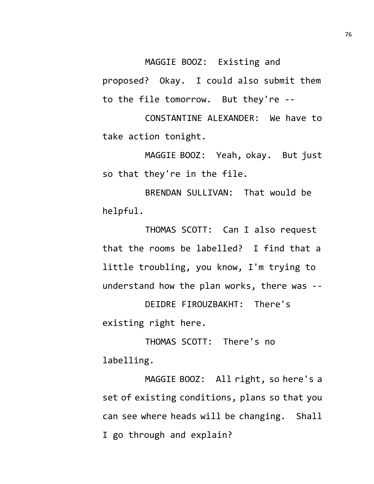MAGGIE BOOZ: Existing and

proposed? Okay. I could also submit them to the file tomorrow. But they're --

CONSTANTINE ALEXANDER: We have to take action tonight.

MAGGIE BOOZ: Yeah, okay. But just so that they're in the file.

BRENDAN SULLIVAN: That would be helpful.

THOMAS SCOTT: Can I also request that the rooms be labelled? I find that a little troubling, you know, I'm trying to understand how the plan works, there was --

DEIDRE FIROUZBAKHT: There's existing right here.

THOMAS SCOTT: There's no labelling.

MAGGIE BOOZ: All right, so here's a set of existing conditions, plans so that you can see where heads will be changing. Shall I go through and explain?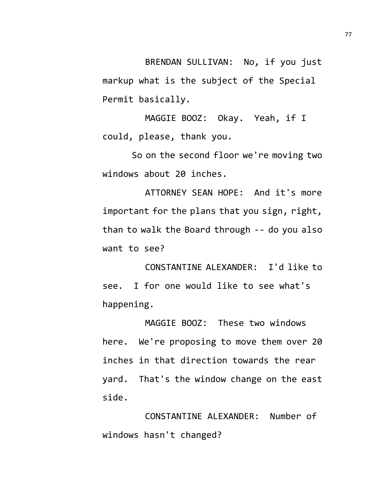BRENDAN SULLIVAN: No, if you just markup what is the subject of the Special Permit basically.

MAGGIE BOOZ: Okay. Yeah, if I could, please, thank you.

So on the second floor we're moving two windows about 20 inches.

ATTORNEY SEAN HOPE: And it's more important for the plans that you sign, right, than to walk the Board through -- do you also want to see?

CONSTANTINE ALEXANDER: I'd like to see. I for one would like to see what's happening.

MAGGIE BOOZ: These two windows here. We're proposing to move them over 20 inches in that direction towards the rear yard. That's the window change on the east side.

CONSTANTINE ALEXANDER: Number of windows hasn't changed?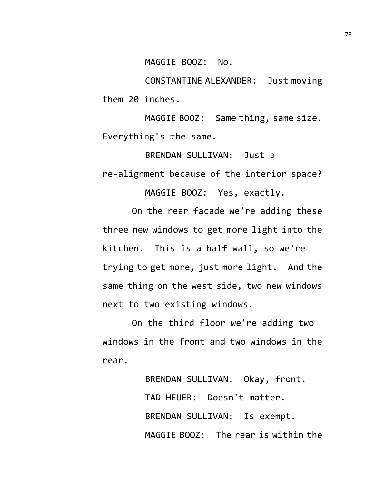MAGGIE BOOZ: No.

CONSTANTINE ALEXANDER: Just moving them 20 inches.

MAGGIE BOOZ: Same thing, same size. Everything's the same.

BRENDAN SULLIVAN: Just a re-alignment because of the interior space?

MAGGIE BOOZ: Yes, exactly.

On the rear facade we're adding these three new windows to get more light into the kitchen. This is a half wall, so we're trying to get more, just more light. And the same thing on the west side, two new windows next to two existing windows.

On the third floor we're adding two windows in the front and two windows in the rear.

> BRENDAN SULLIVAN: Okay, front. TAD HEUER: Doesn't matter. BRENDAN SULLIVAN: Is exempt. MAGGIE BOOZ: The rear is within the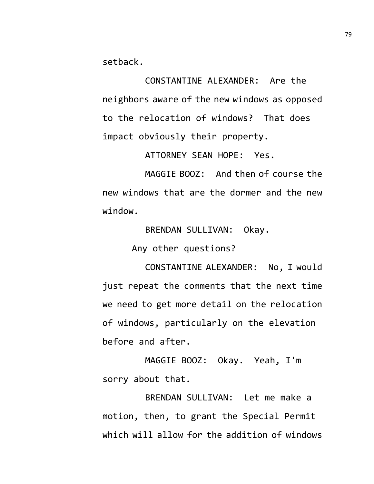setback.

CONSTANTINE ALEXANDER: Are the neighbors aware of the new windows as opposed to the relocation of windows? That does impact obviously their property.

ATTORNEY SEAN HOPE: Yes.

MAGGIE BOOZ: And then of course the new windows that are the dormer and the new window.

BRENDAN SULLIVAN: Okay.

Any other questions?

CONSTANTINE ALEXANDER: No, I would just repeat the comments that the next time we need to get more detail on the relocation of windows, particularly on the elevation before and after.

MAGGIE BOOZ: Okay. Yeah, I'm sorry about that.

BRENDAN SULLIVAN: Let me make a motion, then, to grant the Special Permit which will allow for the addition of windows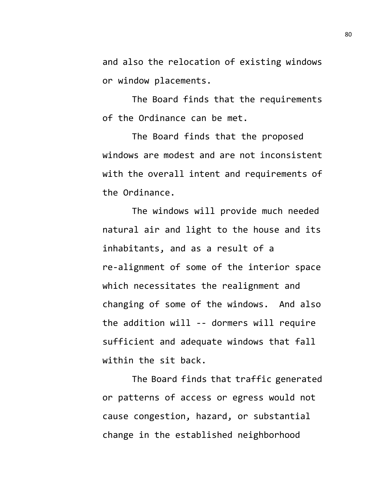and also the relocation of existing windows or window placements.

The Board finds that the requirements of the Ordinance can be met.

The Board finds that the proposed windows are modest and are not inconsistent with the overall intent and requirements of the Ordinance.

The windows will provide much needed natural air and light to the house and its inhabitants, and as a result of a re-alignment of some of the interior space which necessitates the realignment and changing of some of the windows. And also the addition will -- dormers will require sufficient and adequate windows that fall within the sit back.

The Board finds that traffic generated or patterns of access or egress would not cause congestion, hazard, or substantial change in the established neighborhood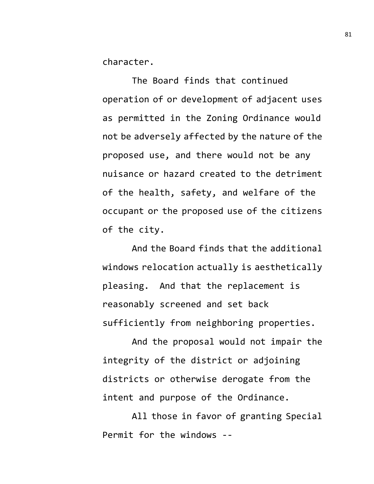character.

The Board finds that continued operation of or development of adjacent uses as permitted in the Zoning Ordinance would not be adversely affected by the nature of the proposed use, and there would not be any nuisance or hazard created to the detriment of the health, safety, and welfare of the occupant or the proposed use of the citizens of the city.

And the Board finds that the additional windows relocation actually is aesthetically pleasing. And that the replacement is reasonably screened and set back sufficiently from neighboring properties.

And the proposal would not impair the integrity of the district or adjoining districts or otherwise derogate from the intent and purpose of the Ordinance.

All those in favor of granting Special Permit for the windows --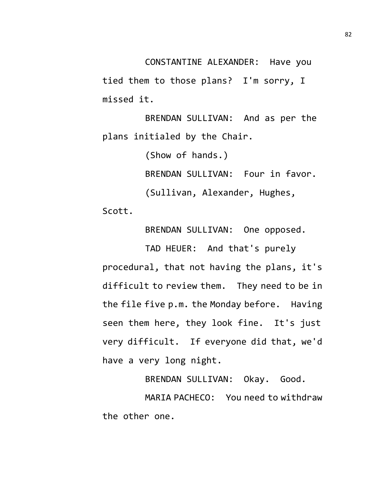CONSTANTINE ALEXANDER: Have you tied them to those plans? I'm sorry, I missed it.

BRENDAN SULLIVAN: And as per the plans initialed by the Chair.

(Show of hands.)

BRENDAN SULLIVAN: Four in favor.

(Sullivan, Alexander, Hughes,

Scott.

BRENDAN SULLIVAN: One opposed.

TAD HEUER: And that's purely procedural, that not having the plans, it's difficult to review them. They need to be in the file five p.m. the Monday before. Having seen them here, they look fine. It's just very difficult. If everyone did that, we'd have a very long night.

BRENDAN SULLIVAN: Okay. Good. MARIA PACHECO: You need to withdraw the other one.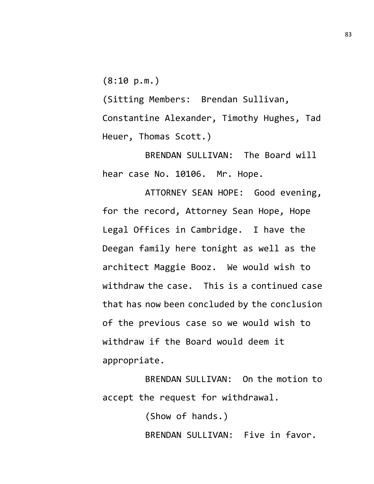(8:10 p.m.)

(Sitting Members: Brendan Sullivan, Constantine Alexander, Timothy Hughes, Tad Heuer, Thomas Scott.)

BRENDAN SULLIVAN: The Board will hear case No. 10106. Mr. Hope.

ATTORNEY SEAN HOPE: Good evening, for the record, Attorney Sean Hope, Hope Legal Offices in Cambridge. I have the Deegan family here tonight as well as the architect Maggie Booz. We would wish to withdraw the case. This is a continued case that has now been concluded by the conclusion of the previous case so we would wish to withdraw if the Board would deem it appropriate.

BRENDAN SULLIVAN: On the motion to accept the request for withdrawal.

> (Show of hands.) BRENDAN SULLIVAN: Five in favor.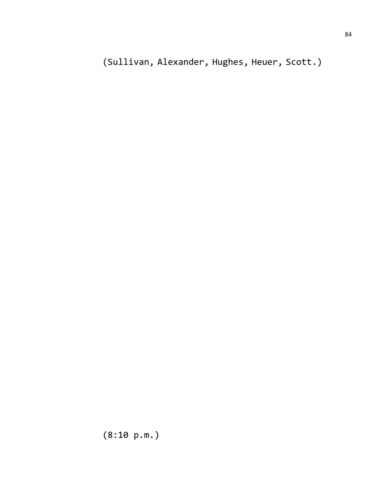(Sullivan, Alexander, Hughes, Heuer, Scott.)

(8:10 p.m.)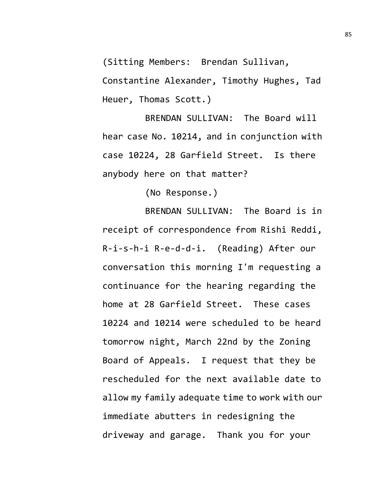(Sitting Members: Brendan Sullivan,

Constantine Alexander, Timothy Hughes, Tad Heuer, Thomas Scott.)

BRENDAN SULLIVAN: The Board will hear case No. 10214, and in conjunction with case 10224, 28 Garfield Street. Is there anybody here on that matter?

(No Response.)

BRENDAN SULLIVAN: The Board is in receipt of correspondence from Rishi Reddi, R-i-s-h-i R-e-d-d-i. (Reading) After our conversation this morning I'm requesting a continuance for the hearing regarding the home at 28 Garfield Street. These cases 10224 and 10214 were scheduled to be heard tomorrow night, March 22nd by the Zoning Board of Appeals. I request that they be rescheduled for the next available date to allow my family adequate time to work with our immediate abutters in redesigning the driveway and garage. Thank you for your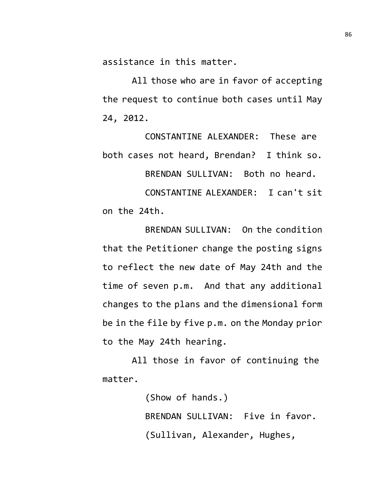assistance in this matter.

All those who are in favor of accepting the request to continue both cases until May 24, 2012.

CONSTANTINE ALEXANDER: These are both cases not heard, Brendan? I think so. BRENDAN SULLIVAN: Both no heard. CONSTANTINE ALEXANDER: I can't sit on the 24th.

BRENDAN SULLIVAN: On the condition that the Petitioner change the posting signs to reflect the new date of May 24th and the time of seven p.m. And that any additional changes to the plans and the dimensional form be in the file by five p.m. on the Monday prior to the May 24th hearing.

All those in favor of continuing the matter.

> (Show of hands.) BRENDAN SULLIVAN: Five in favor. (Sullivan, Alexander, Hughes,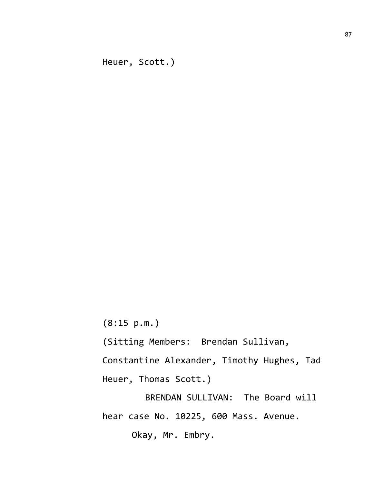Heuer, Scott.)

(8:15 p.m.)

(Sitting Members: Brendan Sullivan,

Constantine Alexander, Timothy Hughes, Tad Heuer, Thomas Scott.)

BRENDAN SULLIVAN: The Board will hear case No. 10225, 600 Mass. Avenue. Okay, Mr. Embry.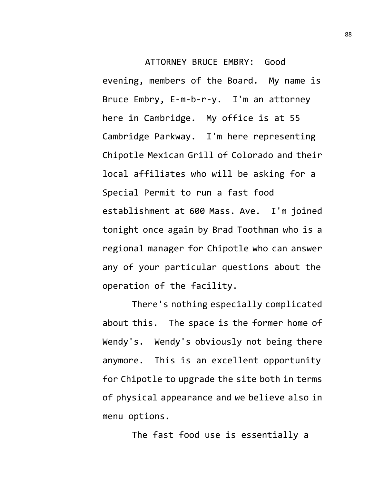ATTORNEY BRUCE EMBRY: Good evening, members of the Board. My name is Bruce Embry, E-m-b-r-y. I'm an attorney here in Cambridge. My office is at 55 Cambridge Parkway. I'm here representing Chipotle Mexican Grill of Colorado and their local affiliates who will be asking for a Special Permit to run a fast food establishment at 600 Mass. Ave. I'm joined tonight once again by Brad Toothman who is a regional manager for Chipotle who can answer any of your particular questions about the operation of the facility.

There's nothing especially complicated about this. The space is the former home of Wendy's. Wendy's obviously not being there anymore. This is an excellent opportunity for Chipotle to upgrade the site both in terms of physical appearance and we believe also in menu options.

The fast food use is essentially a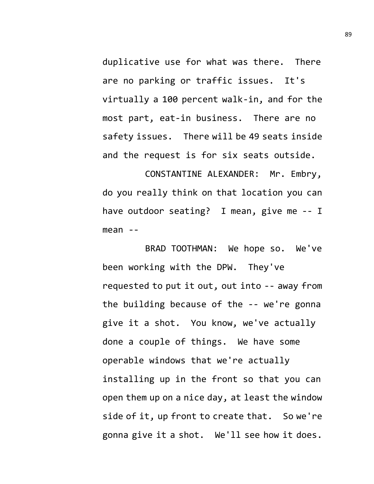duplicative use for what was there. There are no parking or traffic issues. It's virtually a 100 percent walk-in, and for the most part, eat-in business. There are no safety issues. There will be 49 seats inside and the request is for six seats outside.

CONSTANTINE ALEXANDER: Mr. Embry, do you really think on that location you can have outdoor seating? I mean, give me -- I mean --

BRAD TOOTHMAN: We hope so. We've been working with the DPW. They've requested to put it out, out into -- away from the building because of the -- we're gonna give it a shot. You know, we've actually done a couple of things. We have some operable windows that we're actually installing up in the front so that you can open them up on a nice day, at least the window side of it, up front to create that. So we're gonna give it a shot. We'll see how it does.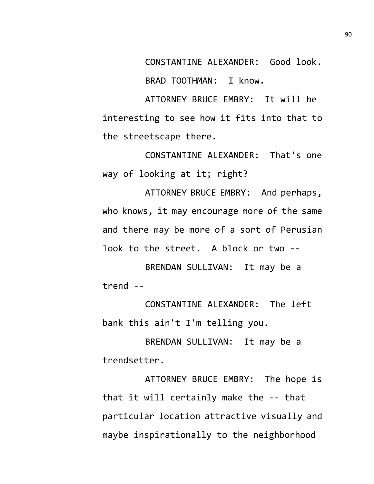CONSTANTINE ALEXANDER: Good look.

BRAD TOOTHMAN: I know.

ATTORNEY BRUCE EMBRY: It will be interesting to see how it fits into that to the streetscape there.

CONSTANTINE ALEXANDER: That's one way of looking at it; right?

ATTORNEY BRUCE EMBRY: And perhaps, who knows, it may encourage more of the same and there may be more of a sort of Perusian look to the street. A block or two --

BRENDAN SULLIVAN: It may be a trend --

CONSTANTINE ALEXANDER: The left bank this ain't I'm telling you.

BRENDAN SULLIVAN: It may be a trendsetter.

ATTORNEY BRUCE EMBRY: The hope is that it will certainly make the -- that particular location attractive visually and maybe inspirationally to the neighborhood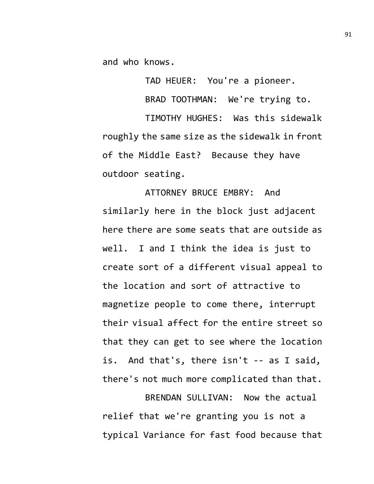and who knows.

TAD HEUER: You're a pioneer.

BRAD TOOTHMAN: We're trying to.

TIMOTHY HUGHES: Was this sidewalk roughly the same size as the sidewalk in front of the Middle East? Because they have outdoor seating.

ATTORNEY BRUCE EMBRY: And similarly here in the block just adjacent here there are some seats that are outside as well. I and I think the idea is just to create sort of a different visual appeal to the location and sort of attractive to magnetize people to come there, interrupt their visual affect for the entire street so that they can get to see where the location is. And that's, there isn't -- as I said, there's not much more complicated than that.

BRENDAN SULLIVAN: Now the actual relief that we're granting you is not a typical Variance for fast food because that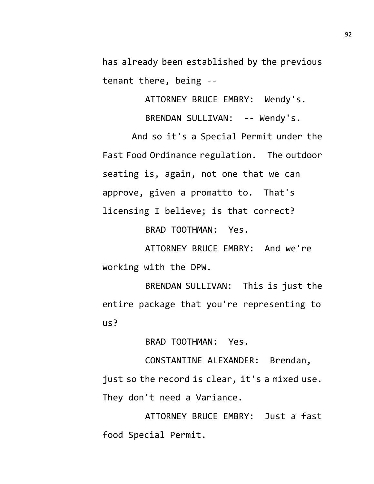has already been established by the previous tenant there, being --

ATTORNEY BRUCE EMBRY: Wendy's.

BRENDAN SULLIVAN: -- Wendy's.

And so it's a Special Permit under the Fast Food Ordinance regulation. The outdoor seating is, again, not one that we can approve, given a promatto to. That's licensing I believe; is that correct?

BRAD TOOTHMAN: Yes.

ATTORNEY BRUCE EMBRY: And we're working with the DPW.

BRENDAN SULLIVAN: This is just the entire package that you're representing to us?

BRAD TOOTHMAN: Yes.

CONSTANTINE ALEXANDER: Brendan, just so the record is clear, it's a mixed use. They don't need a Variance.

ATTORNEY BRUCE EMBRY: Just a fast food Special Permit.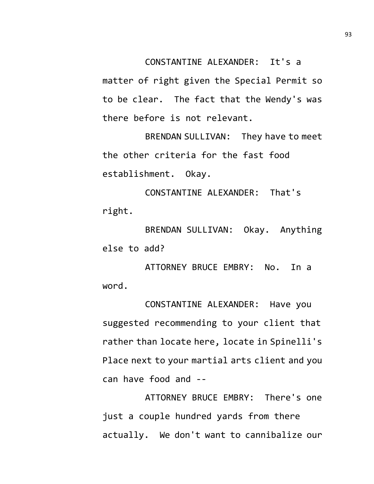CONSTANTINE ALEXANDER: It's a

matter of right given the Special Permit so to be clear. The fact that the Wendy's was there before is not relevant.

BRENDAN SULLIVAN: They have to meet the other criteria for the fast food establishment. Okay.

CONSTANTINE ALEXANDER: That's right.

BRENDAN SULLIVAN: Okay. Anything else to add?

ATTORNEY BRUCE EMBRY: No. In a word.

CONSTANTINE ALEXANDER: Have you suggested recommending to your client that rather than locate here, locate in Spinelli's Place next to your martial arts client and you can have food and --

ATTORNEY BRUCE EMBRY: There's one just a couple hundred yards from there actually. We don't want to cannibalize our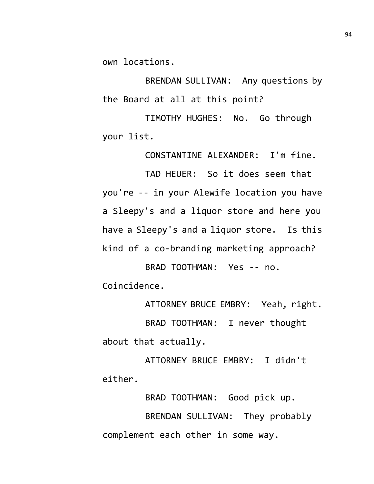own locations.

BRENDAN SULLIVAN: Any questions by the Board at all at this point?

TIMOTHY HUGHES: No. Go through your list.

CONSTANTINE ALEXANDER: I'm fine.

TAD HEUER: So it does seem that you're -- in your Alewife location you have a Sleepy's and a liquor store and here you have a Sleepy's and a liquor store. Is this kind of a co-branding marketing approach?

BRAD TOOTHMAN: Yes -- no. Coincidence.

ATTORNEY BRUCE EMBRY: Yeah, right.

BRAD TOOTHMAN: I never thought about that actually.

ATTORNEY BRUCE EMBRY: I didn't either.

BRAD TOOTHMAN: Good pick up. BRENDAN SULLIVAN: They probably complement each other in some way.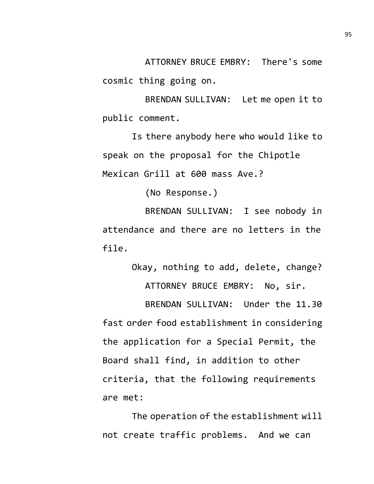ATTORNEY BRUCE EMBRY: There's some cosmic thing going on.

BRENDAN SULLIVAN: Let me open it to public comment.

Is there anybody here who would like to speak on the proposal for the Chipotle Mexican Grill at 600 mass Ave.?

(No Response.)

BRENDAN SULLIVAN: I see nobody in attendance and there are no letters in the file.

Okay, nothing to add, delete, change? ATTORNEY BRUCE EMBRY: No, sir.

BRENDAN SULLIVAN: Under the 11.30 fast order food establishment in considering the application for a Special Permit, the Board shall find, in addition to other criteria, that the following requirements are met:

The operation of the establishment will not create traffic problems. And we can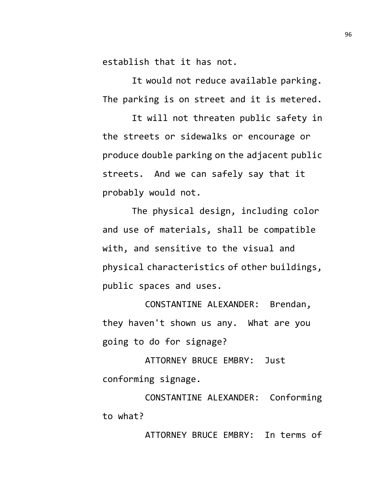establish that it has not.

It would not reduce available parking. The parking is on street and it is metered.

It will not threaten public safety in the streets or sidewalks or encourage or produce double parking on the adjacent public streets. And we can safely say that it probably would not.

The physical design, including color and use of materials, shall be compatible with, and sensitive to the visual and physical characteristics of other buildings, public spaces and uses.

CONSTANTINE ALEXANDER: Brendan, they haven't shown us any. What are you going to do for signage?

ATTORNEY BRUCE EMBRY: Just conforming signage.

CONSTANTINE ALEXANDER: Conforming to what?

ATTORNEY BRUCE EMBRY: In terms of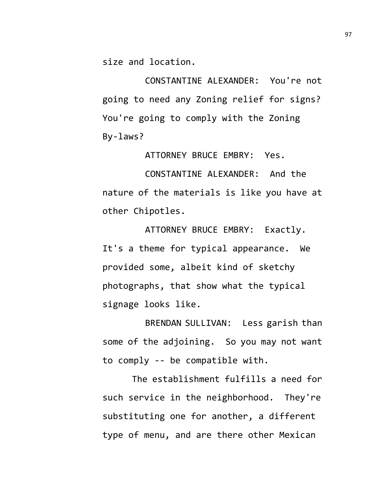size and location.

CONSTANTINE ALEXANDER: You're not going to need any Zoning relief for signs? You're going to comply with the Zoning By-laws?

ATTORNEY BRUCE EMBRY: Yes.

CONSTANTINE ALEXANDER: And the nature of the materials is like you have at other Chipotles.

ATTORNEY BRUCE EMBRY: Exactly. It's a theme for typical appearance. We provided some, albeit kind of sketchy photographs, that show what the typical signage looks like.

BRENDAN SULLIVAN: Less garish than some of the adjoining. So you may not want to comply -- be compatible with.

The establishment fulfills a need for such service in the neighborhood. They're substituting one for another, a different type of menu, and are there other Mexican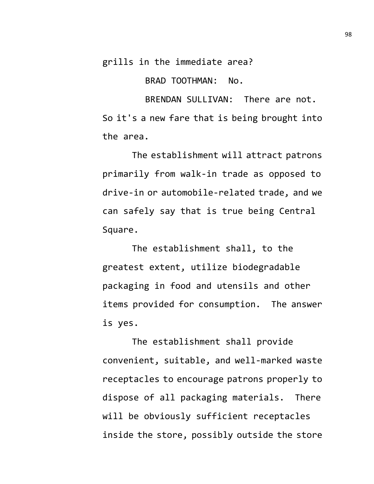grills in the immediate area?

BRAD TOOTHMAN: No.

BRENDAN SULLIVAN: There are not. So it's a new fare that is being brought into the area.

The establishment will attract patrons primarily from walk-in trade as opposed to drive-in or automobile-related trade, and we can safely say that is true being Central Square.

The establishment shall, to the greatest extent, utilize biodegradable packaging in food and utensils and other items provided for consumption. The answer is yes.

The establishment shall provide convenient, suitable, and well-marked waste receptacles to encourage patrons properly to dispose of all packaging materials. There will be obviously sufficient receptacles inside the store, possibly outside the store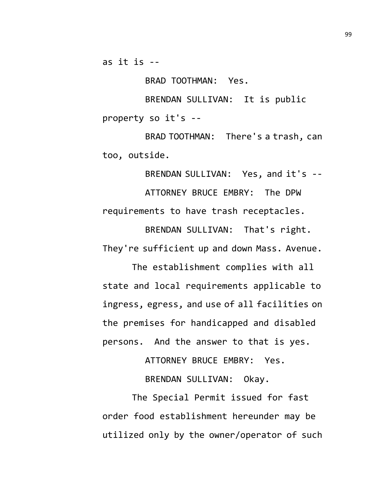as it is --

BRAD TOOTHMAN: Yes.

BRENDAN SULLIVAN: It is public property so it's --

BRAD TOOTHMAN: There's a trash, can too, outside.

BRENDAN SULLIVAN: Yes, and it's -- ATTORNEY BRUCE EMBRY: The DPW requirements to have trash receptacles.

BRENDAN SULLIVAN: That's right. They're sufficient up and down Mass. Avenue.

The establishment complies with all state and local requirements applicable to ingress, egress, and use of all facilities on the premises for handicapped and disabled persons. And the answer to that is yes.

ATTORNEY BRUCE EMBRY: Yes.

BRENDAN SULLIVAN: Okay.

The Special Permit issued for fast order food establishment hereunder may be utilized only by the owner/operator of such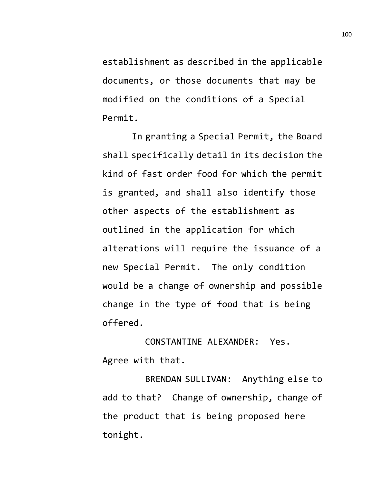establishment as described in the applicable documents, or those documents that may be modified on the conditions of a Special Permit.

In granting a Special Permit, the Board shall specifically detail in its decision the kind of fast order food for which the permit is granted, and shall also identify those other aspects of the establishment as outlined in the application for which alterations will require the issuance of a new Special Permit. The only condition would be a change of ownership and possible change in the type of food that is being offered.

CONSTANTINE ALEXANDER: Yes. Agree with that.

BRENDAN SULLIVAN: Anything else to add to that? Change of ownership, change of the product that is being proposed here tonight.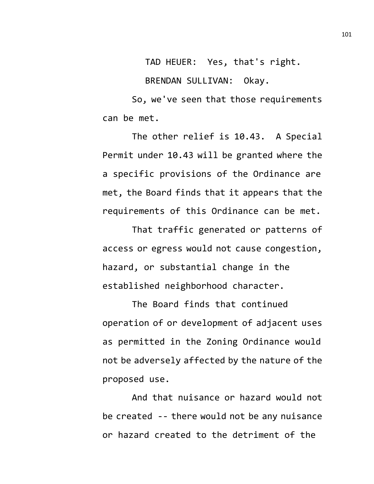TAD HEUER: Yes, that's right.

BRENDAN SULLIVAN: Okay.

So, we've seen that those requirements can be met.

The other relief is 10.43. A Special Permit under 10.43 will be granted where the a specific provisions of the Ordinance are met, the Board finds that it appears that the requirements of this Ordinance can be met.

That traffic generated or patterns of access or egress would not cause congestion, hazard, or substantial change in the established neighborhood character.

The Board finds that continued operation of or development of adjacent uses as permitted in the Zoning Ordinance would not be adversely affected by the nature of the proposed use.

And that nuisance or hazard would not be created -- there would not be any nuisance or hazard created to the detriment of the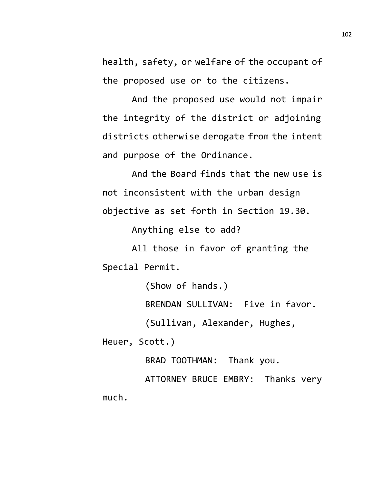health, safety, or welfare of the occupant of the proposed use or to the citizens.

And the proposed use would not impair the integrity of the district or adjoining districts otherwise derogate from the intent and purpose of the Ordinance.

And the Board finds that the new use is not inconsistent with the urban design objective as set forth in Section 19.30.

Anything else to add?

All those in favor of granting the Special Permit.

(Show of hands.)

BRENDAN SULLIVAN: Five in favor.

(Sullivan, Alexander, Hughes,

Heuer, Scott.)

BRAD TOOTHMAN: Thank you.

ATTORNEY BRUCE EMBRY: Thanks very much.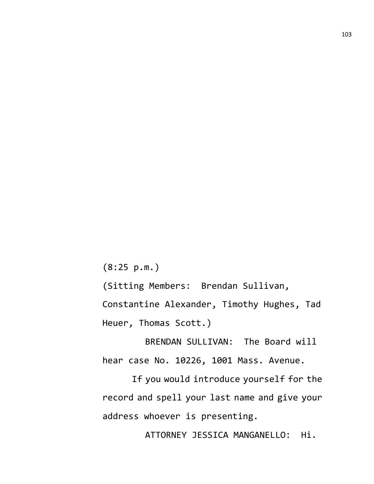(8:25 p.m.)

(Sitting Members: Brendan Sullivan,

Constantine Alexander, Timothy Hughes, Tad Heuer, Thomas Scott.)

BRENDAN SULLIVAN: The Board will hear case No. 10226, 1001 Mass. Avenue.

If you would introduce yourself for the record and spell your last name and give your address whoever is presenting.

ATTORNEY JESSICA MANGANELLO: Hi.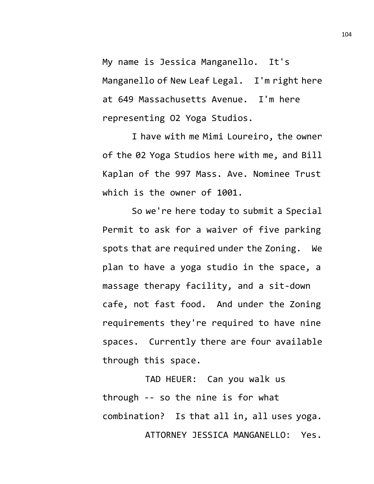My name is Jessica Manganello. It's Manganello of New Leaf Legal. I'm right here at 649 Massachusetts Avenue. I'm here representing O2 Yoga Studios.

I have with me Mimi Loureiro, the owner of the 02 Yoga Studios here with me, and Bill Kaplan of the 997 Mass. Ave. Nominee Trust which is the owner of 1001.

So we're here today to submit a Special Permit to ask for a waiver of five parking spots that are required under the Zoning. We plan to have a yoga studio in the space, a massage therapy facility, and a sit-down cafe, not fast food. And under the Zoning requirements they're required to have nine spaces. Currently there are four available through this space.

TAD HEUER: Can you walk us through -- so the nine is for what combination? Is that all in, all uses yoga. ATTORNEY JESSICA MANGANELLO: Yes.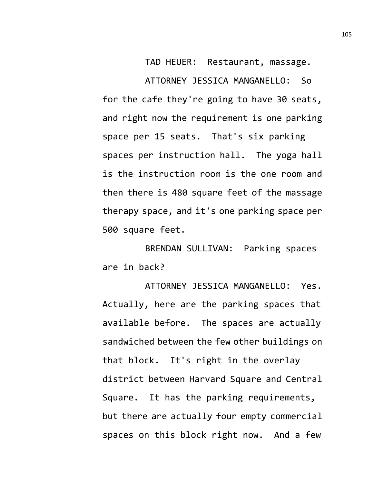TAD HEUER: Restaurant, massage. ATTORNEY JESSICA MANGANELLO: So for the cafe they're going to have 30 seats, and right now the requirement is one parking space per 15 seats. That's six parking spaces per instruction hall. The yoga hall is the instruction room is the one room and then there is 480 square feet of the massage therapy space, and it's one parking space per 500 square feet.

BRENDAN SULLIVAN: Parking spaces are in back?

ATTORNEY JESSICA MANGANELLO: Yes. Actually, here are the parking spaces that available before. The spaces are actually sandwiched between the few other buildings on that block. It's right in the overlay district between Harvard Square and Central Square. It has the parking requirements, but there are actually four empty commercial spaces on this block right now. And a few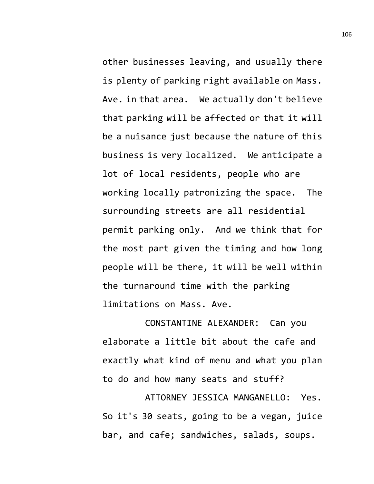other businesses leaving, and usually there is plenty of parking right available on Mass. Ave. in that area. We actually don't believe that parking will be affected or that it will be a nuisance just because the nature of this business is very localized. We anticipate a lot of local residents, people who are working locally patronizing the space. The surrounding streets are all residential permit parking only. And we think that for the most part given the timing and how long people will be there, it will be well within the turnaround time with the parking limitations on Mass. Ave.

CONSTANTINE ALEXANDER: Can you elaborate a little bit about the cafe and exactly what kind of menu and what you plan to do and how many seats and stuff?

ATTORNEY JESSICA MANGANELLO: Yes. So it's 30 seats, going to be a vegan, juice bar, and cafe; sandwiches, salads, soups.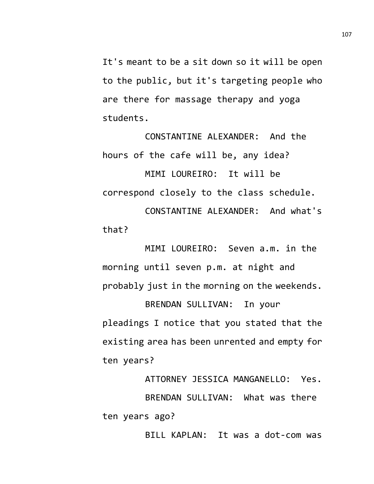It's meant to be a sit down so it will be open to the public, but it's targeting people who are there for massage therapy and yoga students.

CONSTANTINE ALEXANDER: And the hours of the cafe will be, any idea? MIMI LOUREIRO: It will be correspond closely to the class schedule. CONSTANTINE ALEXANDER: And what's that?

MIMI LOUREIRO: Seven a.m. in the morning until seven p.m. at night and probably just in the morning on the weekends.

BRENDAN SULLIVAN: In your pleadings I notice that you stated that the existing area has been unrented and empty for ten years?

ATTORNEY JESSICA MANGANELLO: Yes. BRENDAN SULLIVAN: What was there ten years ago?

BILL KAPLAN: It was a dot-com was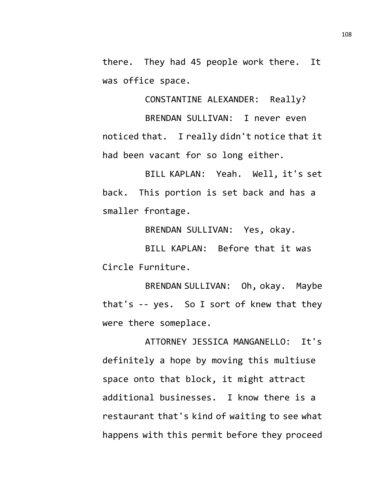there. They had 45 people work there. It was office space.

CONSTANTINE ALEXANDER: Really?

BRENDAN SULLIVAN: I never even noticed that. I really didn't notice that it had been vacant for so long either.

BILL KAPLAN: Yeah. Well, it's set back. This portion is set back and has a smaller frontage.

BRENDAN SULLIVAN: Yes, okay.

BILL KAPLAN: Before that it was Circle Furniture.

BRENDAN SULLIVAN: Oh, okay. Maybe that's -- yes. So I sort of knew that they were there someplace.

ATTORNEY JESSICA MANGANELLO: It's definitely a hope by moving this multiuse space onto that block, it might attract additional businesses. I know there is a restaurant that's kind of waiting to see what happens with this permit before they proceed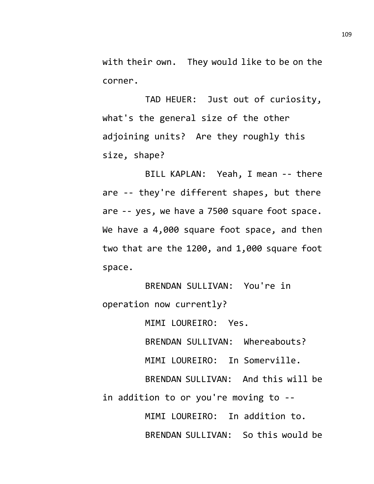with their own. They would like to be on the corner.

TAD HEUER: Just out of curiosity, what's the general size of the other adjoining units? Are they roughly this size, shape?

BILL KAPLAN: Yeah, I mean -- there are -- they're different shapes, but there are -- yes, we have a 7500 square foot space. We have a 4,000 square foot space, and then two that are the 1200, and 1,000 square foot space.

BRENDAN SULLIVAN: You're in operation now currently?

MIMI LOUREIRO: Yes.

BRENDAN SULLIVAN: Whereabouts?

MIMI LOUREIRO: In Somerville.

BRENDAN SULLIVAN: And this will be in addition to or you're moving to --

> MIMI LOUREIRO: In addition to. BRENDAN SULLIVAN: So this would be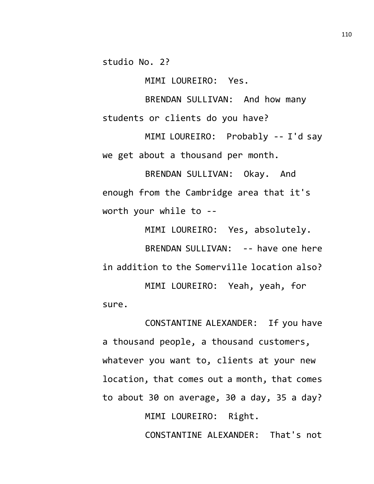studio No. 2?

MIMI LOUREIRO: Yes.

BRENDAN SULLIVAN: And how many students or clients do you have?

MIMI LOUREIRO: Probably -- I'd say we get about a thousand per month.

BRENDAN SULLIVAN: Okay. And enough from the Cambridge area that it's worth your while to --

MIMI LOUREIRO: Yes, absolutely. BRENDAN SULLIVAN: -- have one here in addition to the Somerville location also? MIMI LOUREIRO: Yeah, yeah, for sure.

CONSTANTINE ALEXANDER: If you have a thousand people, a thousand customers, whatever you want to, clients at your new location, that comes out a month, that comes to about 30 on average, 30 a day, 35 a day? MIMI LOUREIRO: Right. CONSTANTINE ALEXANDER: That's not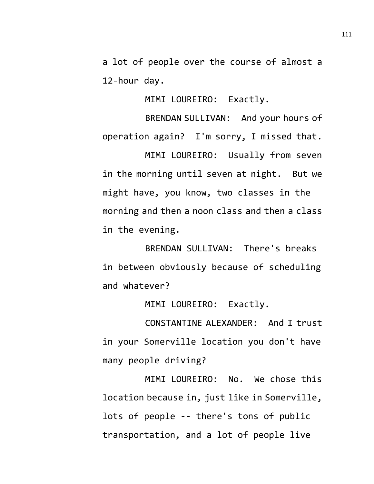a lot of people over the course of almost a 12-hour day.

MIMI LOUREIRO: Exactly.

BRENDAN SULLIVAN: And your hours of operation again? I'm sorry, I missed that.

MIMI LOUREIRO: Usually from seven in the morning until seven at night. But we might have, you know, two classes in the morning and then a noon class and then a class in the evening.

BRENDAN SULLIVAN: There's breaks in between obviously because of scheduling and whatever?

MIMI LOUREIRO: Exactly.

CONSTANTINE ALEXANDER: And I trust in your Somerville location you don't have many people driving?

MIMI LOUREIRO: No. We chose this location because in, just like in Somerville, lots of people -- there's tons of public transportation, and a lot of people live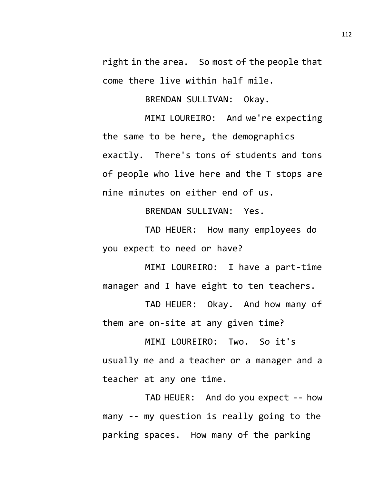right in the area. So most of the people that come there live within half mile.

BRENDAN SULLIVAN: Okay.

MIMI LOUREIRO: And we're expecting the same to be here, the demographics exactly. There's tons of students and tons of people who live here and the T stops are nine minutes on either end of us.

BRENDAN SULLIVAN: Yes.

TAD HEUER: How many employees do you expect to need or have?

MIMI LOUREIRO: I have a part-time manager and I have eight to ten teachers.

TAD HEUER: Okay. And how many of them are on-site at any given time?

MIMI LOUREIRO: Two. So it's usually me and a teacher or a manager and a teacher at any one time.

TAD HEUER: And do you expect -- how many -- my question is really going to the parking spaces. How many of the parking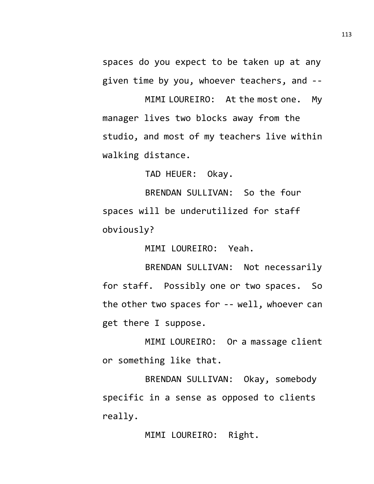spaces do you expect to be taken up at any given time by you, whoever teachers, and --

MIMI LOUREIRO: At the most one. My manager lives two blocks away from the studio, and most of my teachers live within walking distance.

TAD HEUER: Okay.

BRENDAN SULLIVAN: So the four spaces will be underutilized for staff obviously?

MIMI LOUREIRO: Yeah.

BRENDAN SULLIVAN: Not necessarily for staff. Possibly one or two spaces. So the other two spaces for -- well, whoever can get there I suppose.

MIMI LOUREIRO: Or a massage client or something like that.

BRENDAN SULLIVAN: Okay, somebody specific in a sense as opposed to clients really.

MIMI LOUREIRO: Right.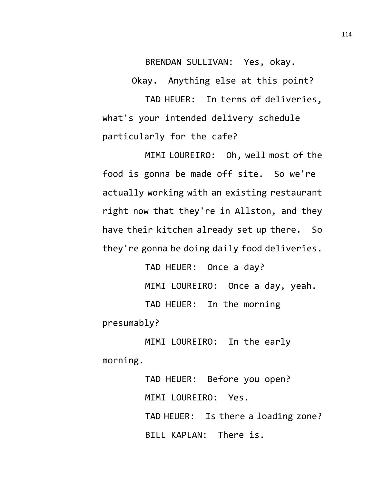BRENDAN SULLIVAN: Yes, okay.

Okay. Anything else at this point?

TAD HEUER: In terms of deliveries, what's your intended delivery schedule particularly for the cafe?

MIMI LOUREIRO: Oh, well most of the food is gonna be made off site. So we're actually working with an existing restaurant right now that they're in Allston, and they have their kitchen already set up there. So they're gonna be doing daily food deliveries.

TAD HEUER: Once a day? MIMI LOUREIRO: Once a day, yeah. TAD HEUER: In the morning presumably?

MIMI LOUREIRO: In the early morning.

> TAD HEUER: Before you open? MIMI LOUREIRO: Yes. TAD HEUER: Is there a loading zone? BILL KAPLAN: There is.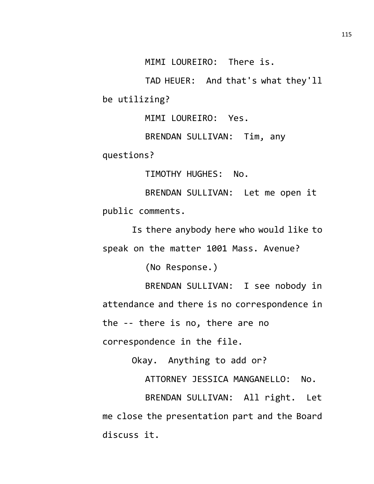MIMI LOUREIRO: There is.

TAD HEUER: And that's what they'll be utilizing?

MIMI LOUREIRO: Yes.

BRENDAN SULLIVAN: Tim, any questions?

TIMOTHY HUGHES: No.

BRENDAN SULLIVAN: Let me open it public comments.

Is there anybody here who would like to speak on the matter 1001 Mass. Avenue?

(No Response.)

BRENDAN SULLIVAN: I see nobody in attendance and there is no correspondence in the -- there is no, there are no

correspondence in the file.

Okay. Anything to add or?

ATTORNEY JESSICA MANGANELLO: No.

BRENDAN SULLIVAN: All right. Let me close the presentation part and the Board discuss it.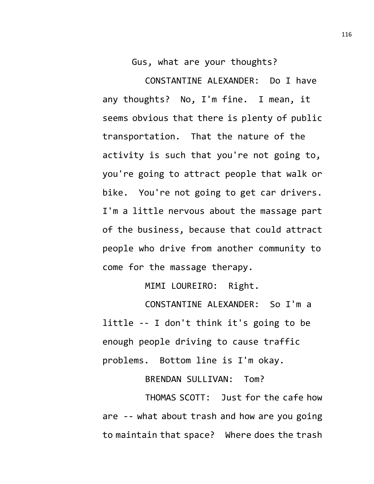Gus, what are your thoughts?

CONSTANTINE ALEXANDER: Do I have any thoughts? No, I'm fine. I mean, it seems obvious that there is plenty of public transportation. That the nature of the activity is such that you're not going to, you're going to attract people that walk or bike. You're not going to get car drivers. I'm a little nervous about the massage part of the business, because that could attract people who drive from another community to come for the massage therapy.

MIMI LOUREIRO: Right.

CONSTANTINE ALEXANDER: So I'm a little -- I don't think it's going to be enough people driving to cause traffic problems. Bottom line is I'm okay.

BRENDAN SULLIVAN: Tom?

THOMAS SCOTT: Just for the cafe how are -- what about trash and how are you going to maintain that space? Where does the trash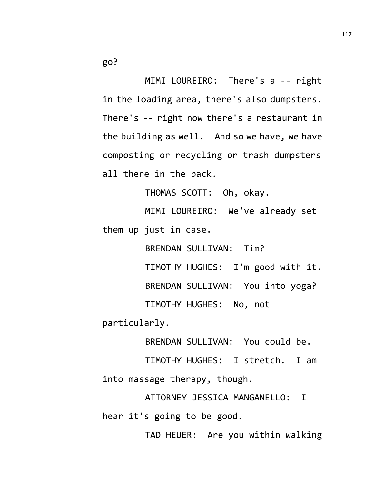MIMI LOUREIRO: There's a -- right in the loading area, there's also dumpsters. There's -- right now there's a restaurant in the building as well. And so we have, we have composting or recycling or trash dumpsters all there in the back.

THOMAS SCOTT: Oh, okay.

MIMI LOUREIRO: We've already set them up just in case.

> BRENDAN SULLIVAN: Tim? TIMOTHY HUGHES: I'm good with it. BRENDAN SULLIVAN: You into yoga? TIMOTHY HUGHES: No, not

particularly.

BRENDAN SULLIVAN: You could be.

TIMOTHY HUGHES: I stretch. I am into massage therapy, though.

ATTORNEY JESSICA MANGANELLO: I hear it's going to be good.

TAD HEUER: Are you within walking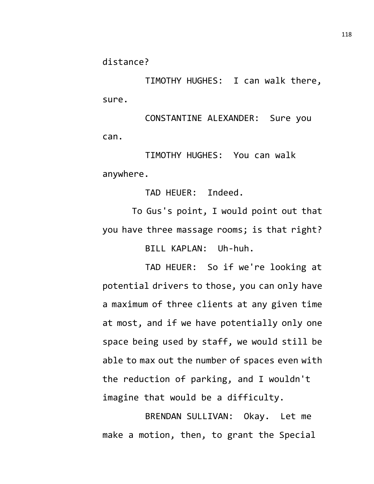distance?

TIMOTHY HUGHES: I can walk there, sure.

CONSTANTINE ALEXANDER: Sure you can.

TIMOTHY HUGHES: You can walk anywhere.

TAD HEUER: Indeed.

To Gus's point, I would point out that you have three massage rooms; is that right?

BILL KAPLAN: Uh-huh.

TAD HEUER: So if we're looking at potential drivers to those, you can only have a maximum of three clients at any given time at most, and if we have potentially only one space being used by staff, we would still be able to max out the number of spaces even with the reduction of parking, and I wouldn't imagine that would be a difficulty.

BRENDAN SULLIVAN: Okay. Let me make a motion, then, to grant the Special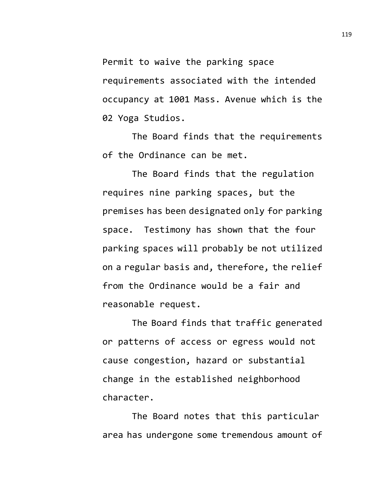Permit to waive the parking space requirements associated with the intended occupancy at 1001 Mass. Avenue which is the 02 Yoga Studios.

The Board finds that the requirements of the Ordinance can be met.

The Board finds that the regulation requires nine parking spaces, but the premises has been designated only for parking space. Testimony has shown that the four parking spaces will probably be not utilized on a regular basis and, therefore, the relief from the Ordinance would be a fair and reasonable request.

The Board finds that traffic generated or patterns of access or egress would not cause congestion, hazard or substantial change in the established neighborhood character.

The Board notes that this particular area has undergone some tremendous amount of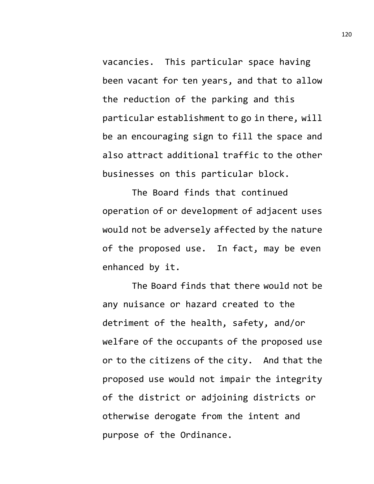vacancies. This particular space having been vacant for ten years, and that to allow the reduction of the parking and this particular establishment to go in there, will be an encouraging sign to fill the space and also attract additional traffic to the other businesses on this particular block.

The Board finds that continued operation of or development of adjacent uses would not be adversely affected by the nature of the proposed use. In fact, may be even enhanced by it.

The Board finds that there would not be any nuisance or hazard created to the detriment of the health, safety, and/or welfare of the occupants of the proposed use or to the citizens of the city. And that the proposed use would not impair the integrity of the district or adjoining districts or otherwise derogate from the intent and purpose of the Ordinance.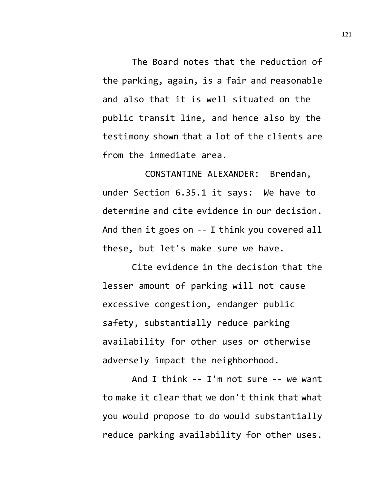The Board notes that the reduction of the parking, again, is a fair and reasonable and also that it is well situated on the public transit line, and hence also by the testimony shown that a lot of the clients are from the immediate area.

CONSTANTINE ALEXANDER: Brendan, under Section 6.35.1 it says: We have to determine and cite evidence in our decision. And then it goes on -- I think you covered all these, but let's make sure we have.

Cite evidence in the decision that the lesser amount of parking will not cause excessive congestion, endanger public safety, substantially reduce parking availability for other uses or otherwise adversely impact the neighborhood.

And I think -- I'm not sure -- we want to make it clear that we don't think that what you would propose to do would substantially reduce parking availability for other uses.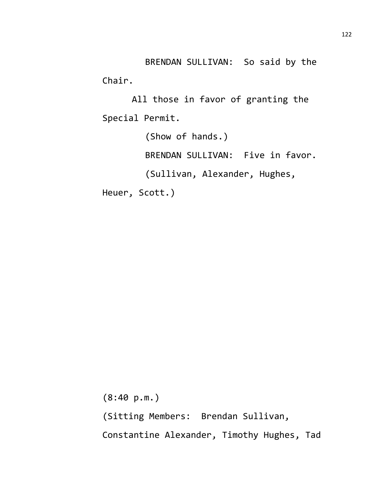BRENDAN SULLIVAN: So said by the Chair.

All those in favor of granting the Special Permit.

(Show of hands.) BRENDAN SULLIVAN: Five in favor. (Sullivan, Alexander, Hughes, Heuer, Scott.)

(8:40 p.m.) (Sitting Members: Brendan Sullivan, Constantine Alexander, Timothy Hughes, Tad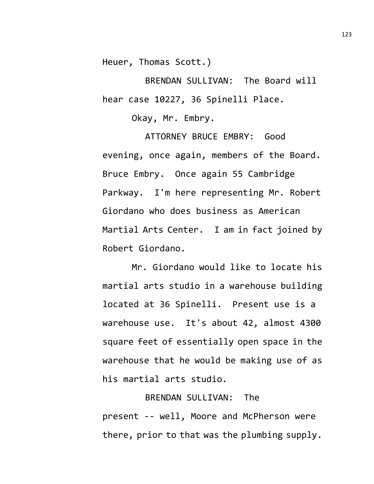Heuer, Thomas Scott.)

BRENDAN SULLIVAN: The Board will hear case 10227, 36 Spinelli Place.

Okay, Mr. Embry.

ATTORNEY BRUCE EMBRY: Good evening, once again, members of the Board. Bruce Embry. Once again 55 Cambridge Parkway. I'm here representing Mr. Robert Giordano who does business as American Martial Arts Center. I am in fact joined by Robert Giordano.

Mr. Giordano would like to locate his martial arts studio in a warehouse building located at 36 Spinelli. Present use is a warehouse use. It's about 42, almost 4300 square feet of essentially open space in the warehouse that he would be making use of as his martial arts studio.

## BRENDAN SULLIVAN: The present -- well, Moore and McPherson were there, prior to that was the plumbing supply.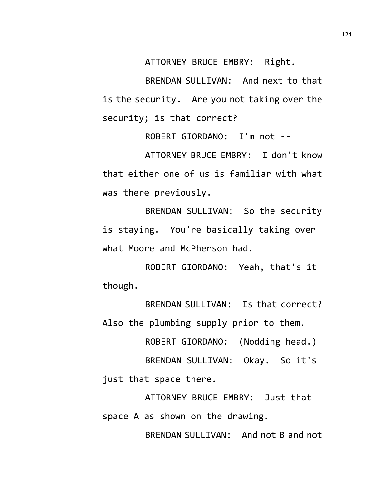ATTORNEY BRUCE EMBRY: Right.

BRENDAN SULLIVAN: And next to that is the security. Are you not taking over the security; is that correct?

ROBERT GIORDANO: I'm not --

ATTORNEY BRUCE EMBRY: I don't know that either one of us is familiar with what was there previously.

BRENDAN SULLIVAN: So the security is staying. You're basically taking over what Moore and McPherson had.

ROBERT GIORDANO: Yeah, that's it though.

BRENDAN SULLIVAN: Is that correct? Also the plumbing supply prior to them.

ROBERT GIORDANO: (Nodding head.)

BRENDAN SULLIVAN: Okay. So it's just that space there.

ATTORNEY BRUCE EMBRY: Just that space A as shown on the drawing.

BRENDAN SULLIVAN: And not B and not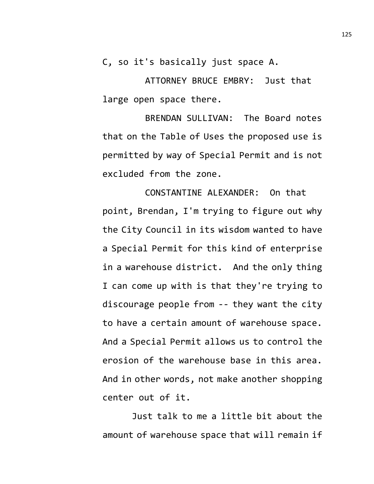C, so it's basically just space A.

ATTORNEY BRUCE EMBRY: Just that large open space there.

BRENDAN SULLIVAN: The Board notes that on the Table of Uses the proposed use is permitted by way of Special Permit and is not excluded from the zone.

CONSTANTINE ALEXANDER: On that point, Brendan, I'm trying to figure out why the City Council in its wisdom wanted to have a Special Permit for this kind of enterprise in a warehouse district. And the only thing I can come up with is that they're trying to discourage people from -- they want the city to have a certain amount of warehouse space. And a Special Permit allows us to control the erosion of the warehouse base in this area. And in other words, not make another shopping center out of it.

Just talk to me a little bit about the amount of warehouse space that will remain if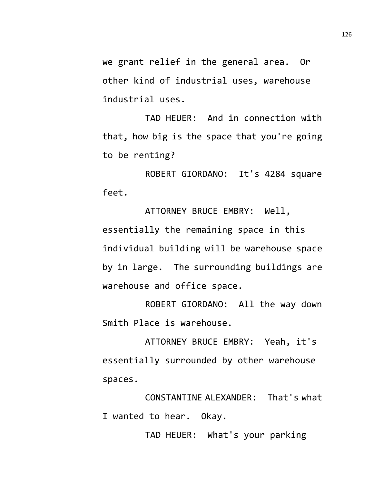we grant relief in the general area. Or other kind of industrial uses, warehouse industrial uses.

TAD HEUER: And in connection with that, how big is the space that you're going to be renting?

ROBERT GIORDANO: It's 4284 square feet.

ATTORNEY BRUCE EMBRY: Well, essentially the remaining space in this individual building will be warehouse space by in large. The surrounding buildings are warehouse and office space.

ROBERT GIORDANO: All the way down Smith Place is warehouse.

ATTORNEY BRUCE EMBRY: Yeah, it's essentially surrounded by other warehouse spaces.

CONSTANTINE ALEXANDER: That's what I wanted to hear. Okay.

TAD HEUER: What's your parking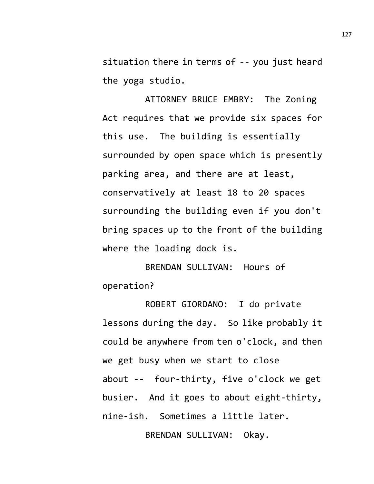situation there in terms of -- you just heard the yoga studio.

ATTORNEY BRUCE EMBRY: The Zoning Act requires that we provide six spaces for this use. The building is essentially surrounded by open space which is presently parking area, and there are at least, conservatively at least 18 to 20 spaces surrounding the building even if you don't bring spaces up to the front of the building where the loading dock is.

BRENDAN SULLIVAN: Hours of operation?

ROBERT GIORDANO: I do private lessons during the day. So like probably it could be anywhere from ten o'clock, and then we get busy when we start to close about -- four-thirty, five o'clock we get busier. And it goes to about eight-thirty, nine-ish. Sometimes a little later.

BRENDAN SULLIVAN: Okay.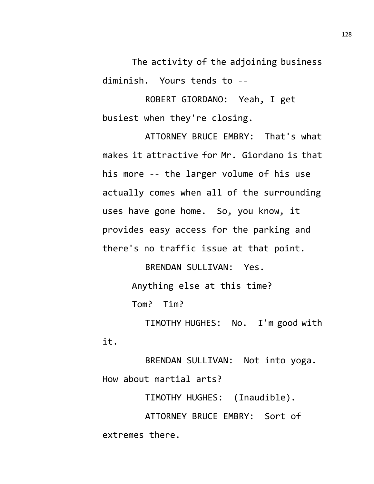The activity of the adjoining business diminish. Yours tends to --

ROBERT GIORDANO: Yeah, I get busiest when they're closing.

ATTORNEY BRUCE EMBRY: That's what makes it attractive for Mr. Giordano is that his more -- the larger volume of his use actually comes when all of the surrounding uses have gone home. So, you know, it provides easy access for the parking and there's no traffic issue at that point.

> BRENDAN SULLIVAN: Yes. Anything else at this time? Tom? Tim?

TIMOTHY HUGHES: No. I'm good with it.

BRENDAN SULLIVAN: Not into yoga. How about martial arts?

TIMOTHY HUGHES: (Inaudible). ATTORNEY BRUCE EMBRY: Sort of extremes there.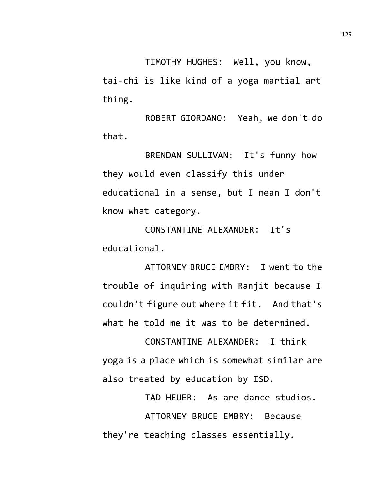TIMOTHY HUGHES: Well, you know, tai-chi is like kind of a yoga martial art thing.

ROBERT GIORDANO: Yeah, we don't do that.

BRENDAN SULLIVAN: It's funny how they would even classify this under educational in a sense, but I mean I don't know what category.

CONSTANTINE ALEXANDER: It's educational.

ATTORNEY BRUCE EMBRY: I went to the trouble of inquiring with Ranjit because I couldn't figure out where it fit. And that's what he told me it was to be determined.

CONSTANTINE ALEXANDER: I think yoga is a place which is somewhat similar are also treated by education by ISD.

TAD HEUER: As are dance studios. ATTORNEY BRUCE EMBRY: Because they're teaching classes essentially.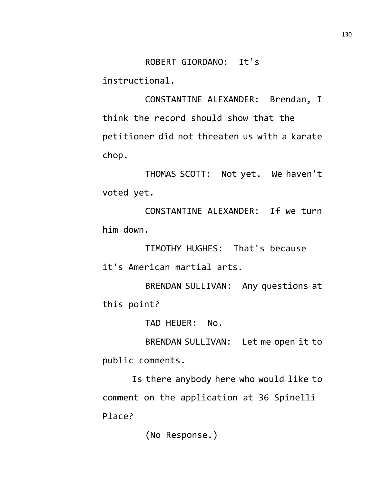ROBERT GIORDANO: It's

instructional.

CONSTANTINE ALEXANDER: Brendan, I think the record should show that the petitioner did not threaten us with a karate chop.

THOMAS SCOTT: Not yet. We haven't voted yet.

CONSTANTINE ALEXANDER: If we turn him down.

TIMOTHY HUGHES: That's because it's American martial arts.

BRENDAN SULLIVAN: Any questions at this point?

TAD HEUER: No.

BRENDAN SULLIVAN: Let me open it to public comments.

Is there anybody here who would like to comment on the application at 36 Spinelli Place?

(No Response.)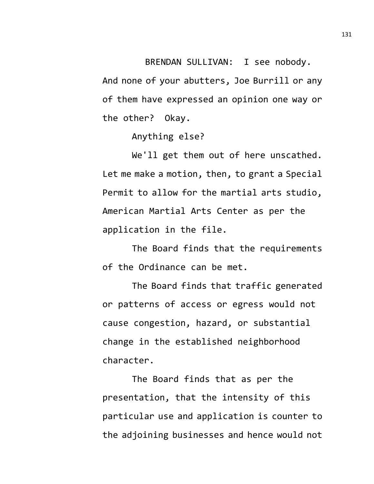BRENDAN SULLIVAN: I see nobody. And none of your abutters, Joe Burrill or any of them have expressed an opinion one way or the other? Okay.

Anything else?

We'll get them out of here unscathed. Let me make a motion, then, to grant a Special Permit to allow for the martial arts studio, American Martial Arts Center as per the application in the file.

The Board finds that the requirements of the Ordinance can be met.

The Board finds that traffic generated or patterns of access or egress would not cause congestion, hazard, or substantial change in the established neighborhood character.

The Board finds that as per the presentation, that the intensity of this particular use and application is counter to the adjoining businesses and hence would not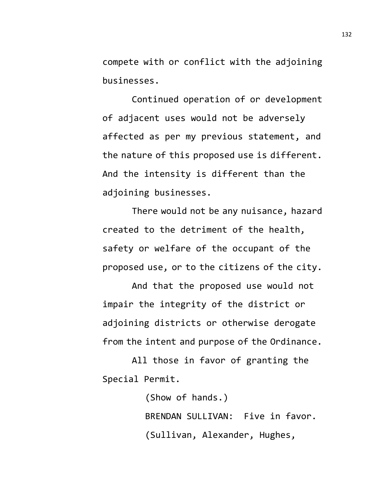compete with or conflict with the adjoining businesses.

Continued operation of or development of adjacent uses would not be adversely affected as per my previous statement, and the nature of this proposed use is different. And the intensity is different than the adjoining businesses.

There would not be any nuisance, hazard created to the detriment of the health, safety or welfare of the occupant of the proposed use, or to the citizens of the city.

And that the proposed use would not impair the integrity of the district or adjoining districts or otherwise derogate from the intent and purpose of the Ordinance.

All those in favor of granting the Special Permit.

> (Show of hands.) BRENDAN SULLIVAN: Five in favor. (Sullivan, Alexander, Hughes,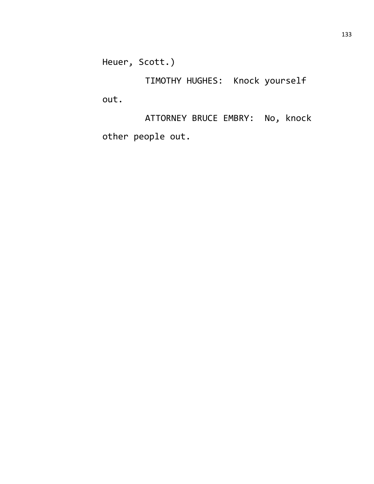Heuer, Scott.)

TIMOTHY HUGHES: Knock yourself out.

ATTORNEY BRUCE EMBRY: No, knock other people out.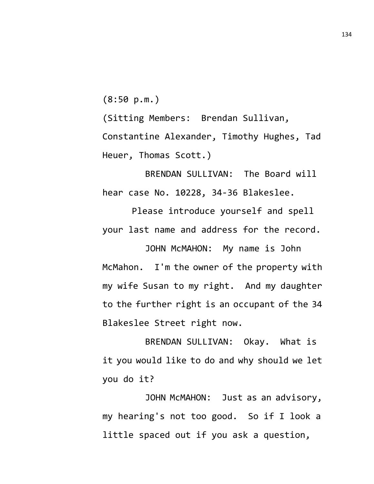(8:50 p.m.)

(Sitting Members: Brendan Sullivan, Constantine Alexander, Timothy Hughes, Tad Heuer, Thomas Scott.)

BRENDAN SULLIVAN: The Board will hear case No. 10228, 34-36 Blakeslee.

Please introduce yourself and spell your last name and address for the record.

JOHN McMAHON: My name is John McMahon. I'm the owner of the property with my wife Susan to my right. And my daughter to the further right is an occupant of the 34 Blakeslee Street right now.

BRENDAN SULLIVAN: Okay. What is it you would like to do and why should we let you do it?

JOHN McMAHON: Just as an advisory, my hearing's not too good. So if I look a little spaced out if you ask a question,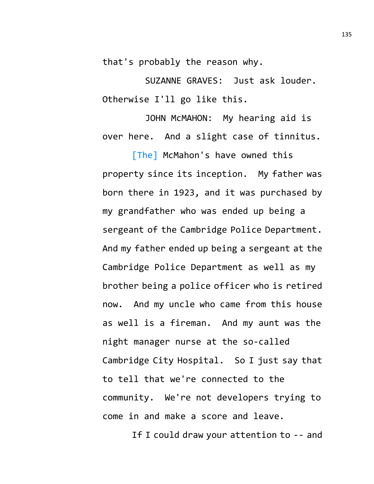that's probably the reason why.

SUZANNE GRAVES: Just ask louder. Otherwise I'll go like this.

JOHN McMAHON: My hearing aid is over here. And a slight case of tinnitus.

[The] McMahon's have owned this property since its inception. My father was born there in 1923, and it was purchased by my grandfather who was ended up being a sergeant of the Cambridge Police Department. And my father ended up being a sergeant at the Cambridge Police Department as well as my brother being a police officer who is retired now. And my uncle who came from this house as well is a fireman. And my aunt was the night manager nurse at the so-called Cambridge City Hospital. So I just say that to tell that we're connected to the community. We're not developers trying to come in and make a score and leave.

If I could draw your attention to -- and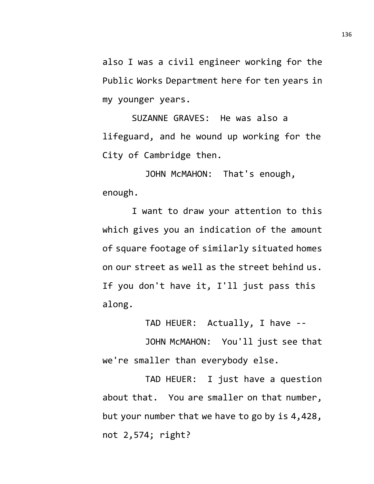also I was a civil engineer working for the Public Works Department here for ten years in my younger years.

SUZANNE GRAVES: He was also a lifeguard, and he wound up working for the City of Cambridge then.

JOHN McMAHON: That's enough, enough.

I want to draw your attention to this which gives you an indication of the amount of square footage of similarly situated homes on our street as well as the street behind us. If you don't have it, I'll just pass this along.

TAD HEUER: Actually, I have --

JOHN McMAHON: You'll just see that we're smaller than everybody else.

TAD HEUER: I just have a question about that. You are smaller on that number, but your number that we have to go by is 4,428, not 2,574; right?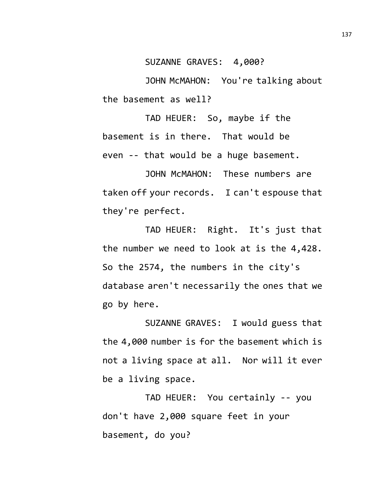SUZANNE GRAVES: 4,000?

JOHN McMAHON: You're talking about the basement as well?

TAD HEUER: So, maybe if the basement is in there. That would be even -- that would be a huge basement.

JOHN McMAHON: These numbers are taken off your records. I can't espouse that they're perfect.

TAD HEUER: Right. It's just that the number we need to look at is the 4,428. So the 2574, the numbers in the city's database aren't necessarily the ones that we go by here.

SUZANNE GRAVES: I would guess that the 4,000 number is for the basement which is not a living space at all. Nor will it ever be a living space.

TAD HEUER: You certainly -- you don't have 2,000 square feet in your basement, do you?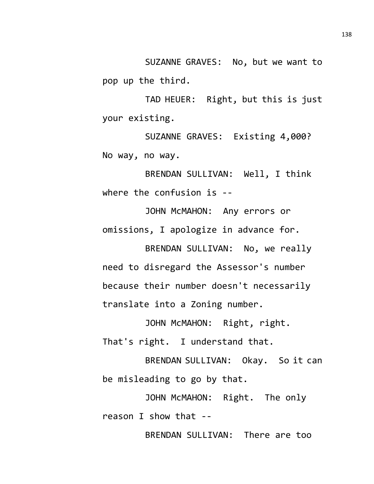SUZANNE GRAVES: No, but we want to pop up the third.

TAD HEUER: Right, but this is just your existing.

SUZANNE GRAVES: Existing 4,000? No way, no way.

BRENDAN SULLIVAN: Well, I think where the confusion is --

JOHN McMAHON: Any errors or omissions, I apologize in advance for.

BRENDAN SULLIVAN: No, we really need to disregard the Assessor's number because their number doesn't necessarily translate into a Zoning number.

JOHN McMAHON: Right, right. That's right. I understand that.

BRENDAN SULLIVAN: Okay. So it can be misleading to go by that.

JOHN McMAHON: Right. The only reason I show that --

BRENDAN SULLIVAN: There are too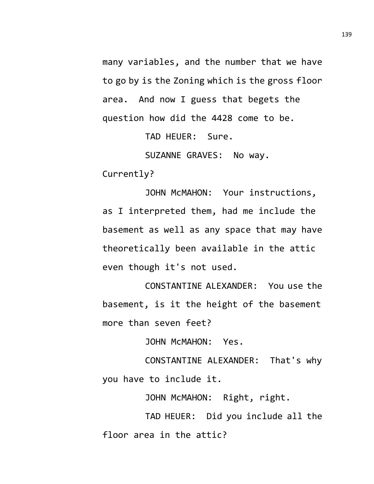many variables, and the number that we have to go by is the Zoning which is the gross floor area. And now I guess that begets the question how did the 4428 come to be.

TAD HEUER: Sure.

SUZANNE GRAVES: No way.

Currently?

JOHN McMAHON: Your instructions, as I interpreted them, had me include the basement as well as any space that may have theoretically been available in the attic even though it's not used.

CONSTANTINE ALEXANDER: You use the basement, is it the height of the basement more than seven feet?

JOHN McMAHON: Yes.

CONSTANTINE ALEXANDER: That's why you have to include it.

JOHN McMAHON: Right, right.

TAD HEUER: Did you include all the floor area in the attic?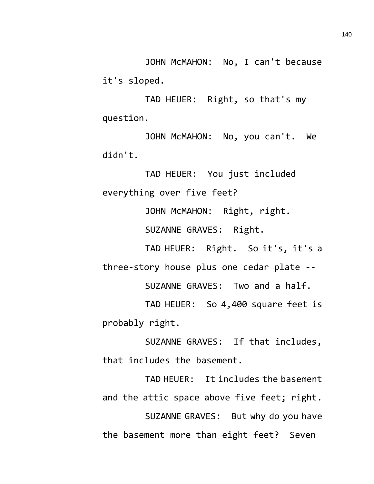JOHN McMAHON: No, I can't because it's sloped.

TAD HEUER: Right, so that's my question.

JOHN McMAHON: No, you can't. We didn't.

TAD HEUER: You just included everything over five feet?

JOHN McMAHON: Right, right.

SUZANNE GRAVES: Right.

TAD HEUER: Right. So it's, it's a three-story house plus one cedar plate --

SUZANNE GRAVES: Two and a half.

TAD HEUER: So 4,400 square feet is probably right.

SUZANNE GRAVES: If that includes, that includes the basement.

TAD HEUER: It includes the basement and the attic space above five feet; right. SUZANNE GRAVES: But why do you have the basement more than eight feet? Seven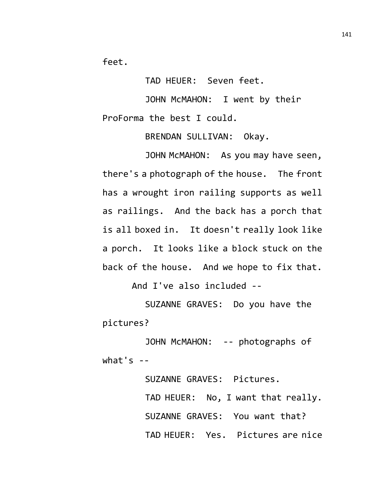feet.

TAD HEUER: Seven feet.

JOHN McMAHON: I went by their ProForma the best I could.

BRENDAN SULLIVAN: Okay.

JOHN McMAHON: As you may have seen, there's a photograph of the house. The front has a wrought iron railing supports as well as railings. And the back has a porch that is all boxed in. It doesn't really look like a porch. It looks like a block stuck on the back of the house. And we hope to fix that. And I've also included --

SUZANNE GRAVES: Do you have the pictures?

JOHN McMAHON: -- photographs of what's  $-$ 

> SUZANNE GRAVES: Pictures. TAD HEUER: No, I want that really. SUZANNE GRAVES: You want that? TAD HEUER: Yes. Pictures are nice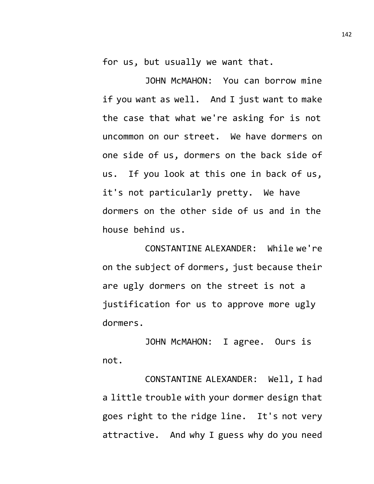for us, but usually we want that.

JOHN McMAHON: You can borrow mine if you want as well. And I just want to make the case that what we're asking for is not uncommon on our street. We have dormers on one side of us, dormers on the back side of us. If you look at this one in back of us, it's not particularly pretty. We have dormers on the other side of us and in the house behind us.

CONSTANTINE ALEXANDER: While we're on the subject of dormers, just because their are ugly dormers on the street is not a justification for us to approve more ugly dormers.

JOHN McMAHON: I agree. Ours is not.

CONSTANTINE ALEXANDER: Well, I had a little trouble with your dormer design that goes right to the ridge line. It's not very attractive. And why I guess why do you need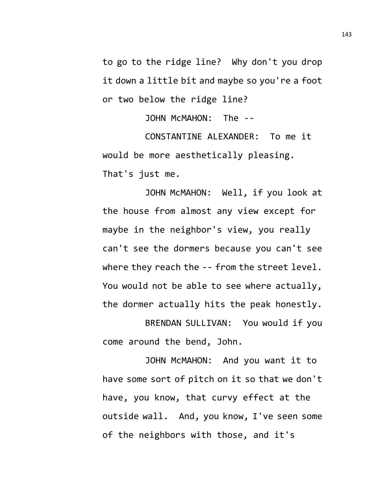to go to the ridge line? Why don't you drop it down a little bit and maybe so you're a foot or two below the ridge line?

JOHN McMAHON: The --

CONSTANTINE ALEXANDER: To me it would be more aesthetically pleasing. That's just me.

JOHN McMAHON: Well, if you look at the house from almost any view except for maybe in the neighbor's view, you really can't see the dormers because you can't see where they reach the -- from the street level. You would not be able to see where actually, the dormer actually hits the peak honestly.

BRENDAN SULLIVAN: You would if you come around the bend, John.

JOHN McMAHON: And you want it to have some sort of pitch on it so that we don't have, you know, that curvy effect at the outside wall. And, you know, I've seen some of the neighbors with those, and it's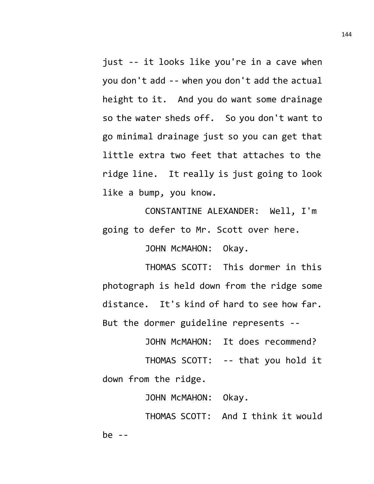just -- it looks like you're in a cave when you don't add -- when you don't add the actual height to it. And you do want some drainage so the water sheds off. So you don't want to go minimal drainage just so you can get that little extra two feet that attaches to the ridge line. It really is just going to look like a bump, you know.

CONSTANTINE ALEXANDER: Well, I'm going to defer to Mr. Scott over here.

JOHN McMAHON: Okay.

THOMAS SCOTT: This dormer in this photograph is held down from the ridge some distance. It's kind of hard to see how far. But the dormer guideline represents --

JOHN McMAHON: It does recommend?

THOMAS SCOTT: -- that you hold it down from the ridge.

JOHN McMAHON: Okay.

THOMAS SCOTT: And I think it would  $be$  --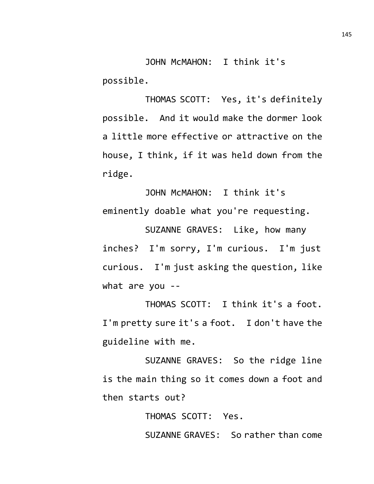JOHN McMAHON: I think it's possible.

THOMAS SCOTT: Yes, it's definitely possible. And it would make the dormer look a little more effective or attractive on the house, I think, if it was held down from the ridge.

JOHN McMAHON: I think it's eminently doable what you're requesting.

SUZANNE GRAVES: Like, how many inches? I'm sorry, I'm curious. I'm just curious. I'm just asking the question, like what are you --

THOMAS SCOTT: I think it's a foot. I'm pretty sure it's a foot. I don't have the guideline with me.

SUZANNE GRAVES: So the ridge line is the main thing so it comes down a foot and then starts out?

THOMAS SCOTT: Yes.

SUZANNE GRAVES: So rather than come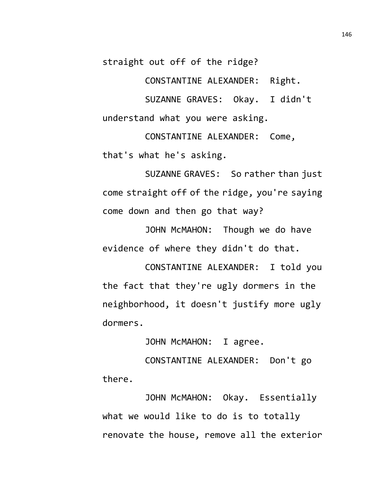straight out off of the ridge?

CONSTANTINE ALEXANDER: Right.

SUZANNE GRAVES: Okay. I didn't understand what you were asking.

CONSTANTINE ALEXANDER: Come, that's what he's asking.

SUZANNE GRAVES: So rather than just come straight off of the ridge, you're saying come down and then go that way?

JOHN McMAHON: Though we do have evidence of where they didn't do that.

CONSTANTINE ALEXANDER: I told you the fact that they're ugly dormers in the neighborhood, it doesn't justify more ugly dormers.

JOHN McMAHON: I agree.

CONSTANTINE ALEXANDER: Don't go there.

JOHN McMAHON: Okay. Essentially what we would like to do is to totally renovate the house, remove all the exterior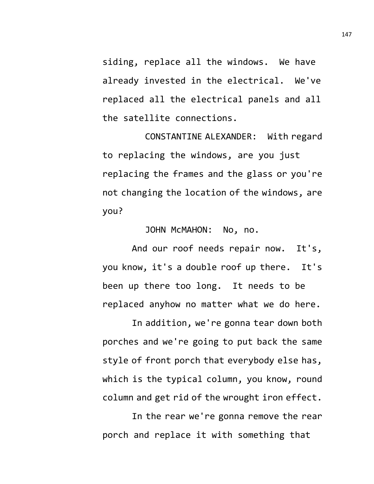siding, replace all the windows. We have already invested in the electrical. We've replaced all the electrical panels and all the satellite connections.

CONSTANTINE ALEXANDER: With regard to replacing the windows, are you just replacing the frames and the glass or you're not changing the location of the windows, are you?

JOHN McMAHON: No, no.

And our roof needs repair now. It's, you know, it's a double roof up there. It's been up there too long. It needs to be replaced anyhow no matter what we do here.

In addition, we're gonna tear down both porches and we're going to put back the same style of front porch that everybody else has, which is the typical column, you know, round column and get rid of the wrought iron effect.

In the rear we're gonna remove the rear porch and replace it with something that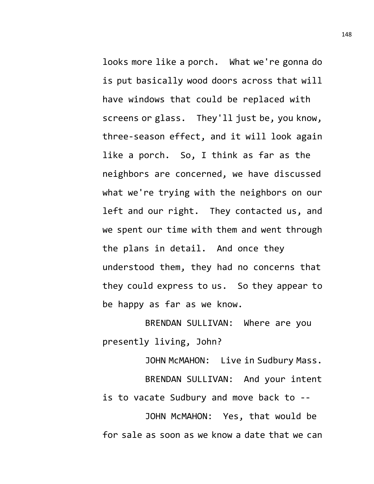looks more like a porch. What we're gonna do is put basically wood doors across that will have windows that could be replaced with screens or glass. They'll just be, you know, three-season effect, and it will look again like a porch. So, I think as far as the neighbors are concerned, we have discussed what we're trying with the neighbors on our left and our right. They contacted us, and we spent our time with them and went through the plans in detail. And once they understood them, they had no concerns that they could express to us. So they appear to be happy as far as we know.

BRENDAN SULLIVAN: Where are you presently living, John?

JOHN McMAHON: Live in Sudbury Mass. BRENDAN SULLIVAN: And your intent is to vacate Sudbury and move back to --

JOHN McMAHON: Yes, that would be for sale as soon as we know a date that we can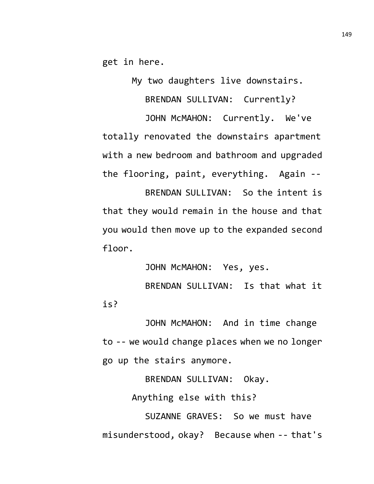get in here.

My two daughters live downstairs.

BRENDAN SULLIVAN: Currently?

JOHN McMAHON: Currently. We've totally renovated the downstairs apartment with a new bedroom and bathroom and upgraded the flooring, paint, everything. Again --

BRENDAN SULLIVAN: So the intent is that they would remain in the house and that you would then move up to the expanded second floor.

JOHN McMAHON: Yes, yes. BRENDAN SULLIVAN: Is that what it is?

JOHN McMAHON: And in time change to -- we would change places when we no longer go up the stairs anymore.

BRENDAN SULLIVAN: Okay.

Anything else with this?

SUZANNE GRAVES: So we must have misunderstood, okay? Because when -- that's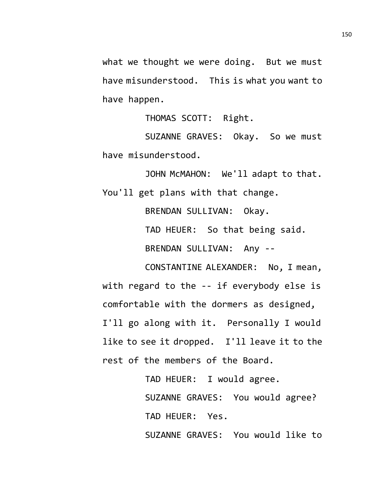what we thought we were doing. But we must have misunderstood. This is what you want to have happen.

THOMAS SCOTT: Right.

SUZANNE GRAVES: Okay. So we must have misunderstood.

JOHN McMAHON: We'll adapt to that. You'll get plans with that change.

> BRENDAN SULLIVAN: Okay. TAD HEUER: So that being said. BRENDAN SULLIVAN: Any --

CONSTANTINE ALEXANDER: No, I mean, with regard to the -- if everybody else is comfortable with the dormers as designed, I'll go along with it. Personally I would like to see it dropped. I'll leave it to the rest of the members of the Board.

> TAD HEUER: I would agree. SUZANNE GRAVES: You would agree? TAD HEUER: Yes. SUZANNE GRAVES: You would like to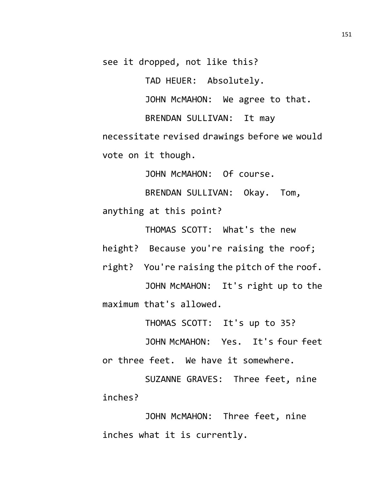see it dropped, not like this?

TAD HEUER: Absolutely.

JOHN McMAHON: We agree to that.

BRENDAN SULLIVAN: It may

necessitate revised drawings before we would vote on it though.

JOHN McMAHON: Of course.

BRENDAN SULLIVAN: Okay. Tom, anything at this point?

THOMAS SCOTT: What's the new height? Because you're raising the roof;

right? You're raising the pitch of the roof. JOHN McMAHON: It's right up to the maximum that's allowed.

THOMAS SCOTT: It's up to 35?

JOHN McMAHON: Yes. It's four feet or three feet. We have it somewhere.

SUZANNE GRAVES: Three feet, nine inches?

JOHN McMAHON: Three feet, nine inches what it is currently.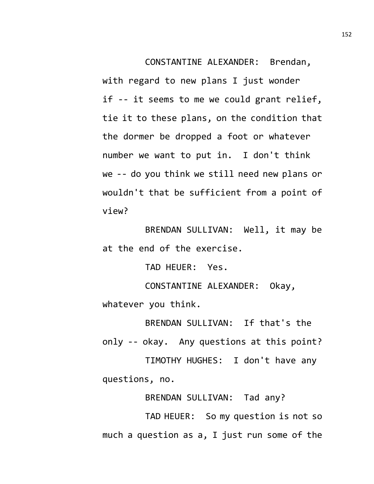CONSTANTINE ALEXANDER: Brendan, with regard to new plans I just wonder if -- it seems to me we could grant relief, tie it to these plans, on the condition that the dormer be dropped a foot or whatever number we want to put in. I don't think we -- do you think we still need new plans or wouldn't that be sufficient from a point of view?

BRENDAN SULLIVAN: Well, it may be at the end of the exercise.

TAD HEUER: Yes.

CONSTANTINE ALEXANDER: Okay, whatever you think.

BRENDAN SULLIVAN: If that's the only -- okay. Any questions at this point?

TIMOTHY HUGHES: I don't have any questions, no.

BRENDAN SULLIVAN: Tad any?

TAD HEUER: So my question is not so much a question as a, I just run some of the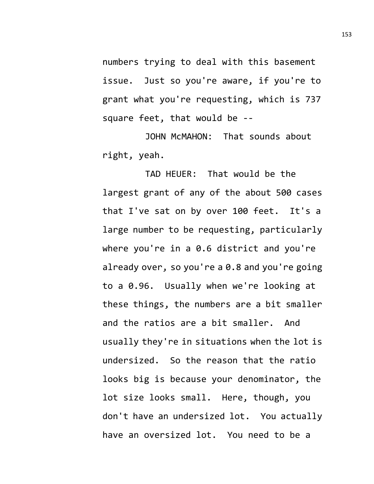numbers trying to deal with this basement issue. Just so you're aware, if you're to grant what you're requesting, which is 737 square feet, that would be --

JOHN McMAHON: That sounds about right, yeah.

TAD HEUER: That would be the largest grant of any of the about 500 cases that I've sat on by over 100 feet. It's a large number to be requesting, particularly where you're in a 0.6 district and you're already over, so you're a 0.8 and you're going to a 0.96. Usually when we're looking at these things, the numbers are a bit smaller and the ratios are a bit smaller. And usually they're in situations when the lot is undersized. So the reason that the ratio looks big is because your denominator, the lot size looks small. Here, though, you don't have an undersized lot. You actually have an oversized lot. You need to be a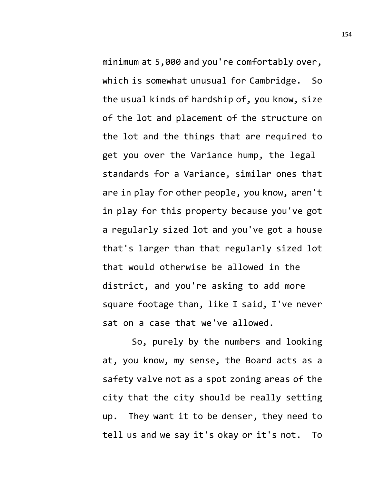minimum at 5,000 and you're comfortably over, which is somewhat unusual for Cambridge. So the usual kinds of hardship of, you know, size of the lot and placement of the structure on the lot and the things that are required to get you over the Variance hump, the legal standards for a Variance, similar ones that are in play for other people, you know, aren't in play for this property because you've got a regularly sized lot and you've got a house that's larger than that regularly sized lot that would otherwise be allowed in the district, and you're asking to add more square footage than, like I said, I've never sat on a case that we've allowed.

So, purely by the numbers and looking at, you know, my sense, the Board acts as a safety valve not as a spot zoning areas of the city that the city should be really setting up. They want it to be denser, they need to tell us and we say it's okay or it's not. To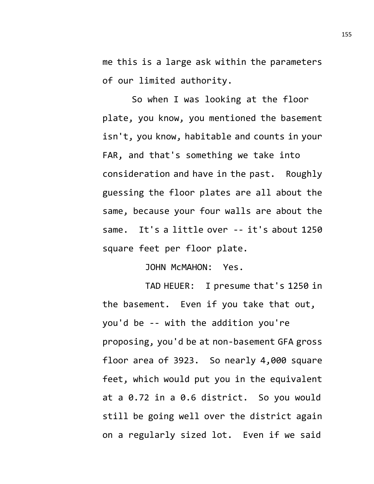me this is a large ask within the parameters of our limited authority.

So when I was looking at the floor plate, you know, you mentioned the basement isn't, you know, habitable and counts in your FAR, and that's something we take into consideration and have in the past. Roughly guessing the floor plates are all about the same, because your four walls are about the same. It's a little over -- it's about 1250 square feet per floor plate.

JOHN McMAHON: Yes.

TAD HEUER: I presume that's 1250 in the basement. Even if you take that out, you'd be -- with the addition you're proposing, you'd be at non-basement GFA gross floor area of 3923. So nearly 4,000 square feet, which would put you in the equivalent at a 0.72 in a 0.6 district. So you would still be going well over the district again on a regularly sized lot. Even if we said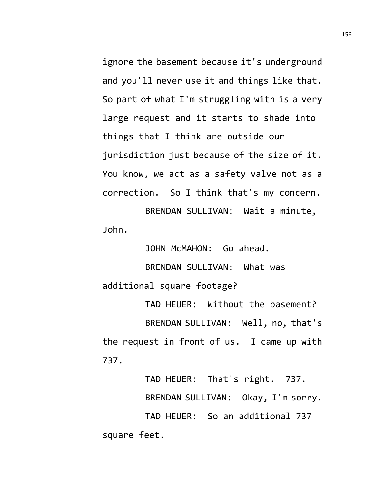ignore the basement because it's underground and you'll never use it and things like that. So part of what I'm struggling with is a very large request and it starts to shade into things that I think are outside our jurisdiction just because of the size of it. You know, we act as a safety valve not as a correction. So I think that's my concern.

BRENDAN SULLIVAN: Wait a minute, John.

JOHN McMAHON: Go ahead.

BRENDAN SULLIVAN: What was additional square footage?

TAD HEUER: Without the basement? BRENDAN SULLIVAN: Well, no, that's the request in front of us. I came up with 737.

TAD HEUER: That's right. 737. BRENDAN SULLIVAN: Okay, I'm sorry. TAD HEUER: So an additional 737 square feet.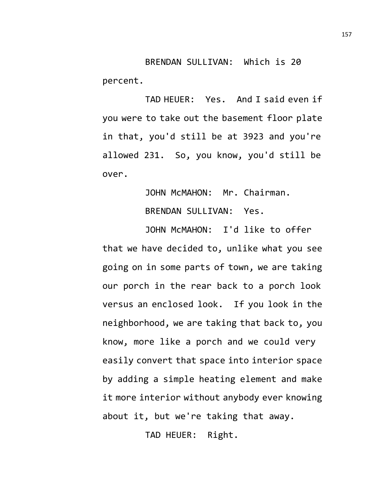BRENDAN SULLIVAN: Which is 20 percent.

TAD HEUER: Yes. And I said even if you were to take out the basement floor plate in that, you'd still be at 3923 and you're allowed 231. So, you know, you'd still be over.

> JOHN McMAHON: Mr. Chairman. BRENDAN SULLIVAN: Yes.

JOHN McMAHON: I'd like to offer that we have decided to, unlike what you see going on in some parts of town, we are taking our porch in the rear back to a porch look versus an enclosed look. If you look in the neighborhood, we are taking that back to, you know, more like a porch and we could very easily convert that space into interior space by adding a simple heating element and make it more interior without anybody ever knowing about it, but we're taking that away.

TAD HEUER: Right.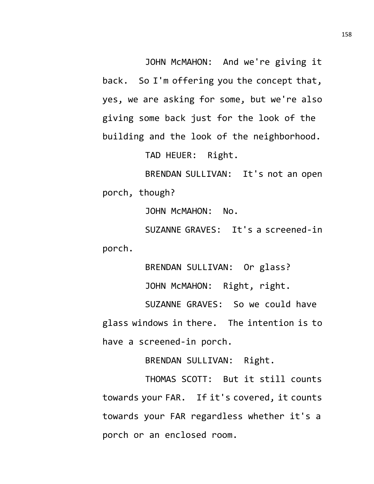JOHN McMAHON: And we're giving it back. So I'm offering you the concept that, yes, we are asking for some, but we're also giving some back just for the look of the building and the look of the neighborhood.

TAD HEUER: Right.

BRENDAN SULLIVAN: It's not an open porch, though?

JOHN McMAHON: No.

SUZANNE GRAVES: It's a screened-in porch.

BRENDAN SULLIVAN: Or glass?

JOHN McMAHON: Right, right.

SUZANNE GRAVES: So we could have glass windows in there. The intention is to have a screened-in porch.

BRENDAN SULLIVAN: Right.

THOMAS SCOTT: But it still counts towards your FAR. If it's covered, it counts towards your FAR regardless whether it's a porch or an enclosed room.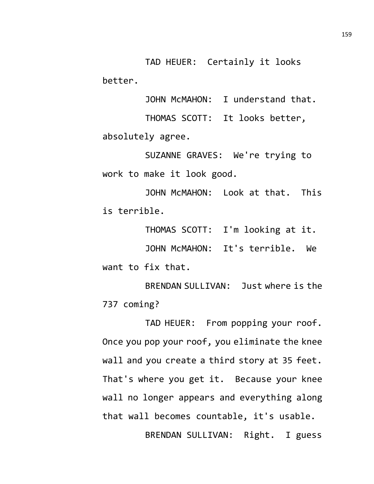TAD HEUER: Certainly it looks better.

JOHN McMAHON: I understand that.

THOMAS SCOTT: It looks better, absolutely agree.

SUZANNE GRAVES: We're trying to work to make it look good.

JOHN McMAHON: Look at that. This is terrible.

THOMAS SCOTT: I'm looking at it. JOHN McMAHON: It's terrible. We

want to fix that.

BRENDAN SULLIVAN: Just where is the 737 coming?

TAD HEUER: From popping your roof. Once you pop your roof, you eliminate the knee wall and you create a third story at 35 feet. That's where you get it. Because your knee wall no longer appears and everything along that wall becomes countable, it's usable.

BRENDAN SULLIVAN: Right. I guess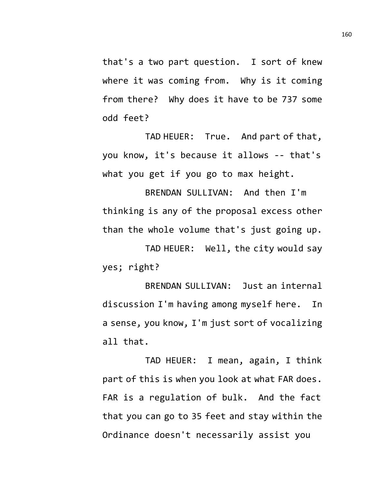that's a two part question. I sort of knew where it was coming from. Why is it coming from there? Why does it have to be 737 some odd feet?

TAD HEUER: True. And part of that, you know, it's because it allows -- that's what you get if you go to max height.

BRENDAN SULLIVAN: And then I'm thinking is any of the proposal excess other than the whole volume that's just going up.

TAD HEUER: Well, the city would say yes; right?

BRENDAN SULLIVAN: Just an internal discussion I'm having among myself here. In a sense, you know, I'm just sort of vocalizing all that.

TAD HEUER: I mean, again, I think part of this is when you look at what FAR does. FAR is a regulation of bulk. And the fact that you can go to 35 feet and stay within the Ordinance doesn't necessarily assist you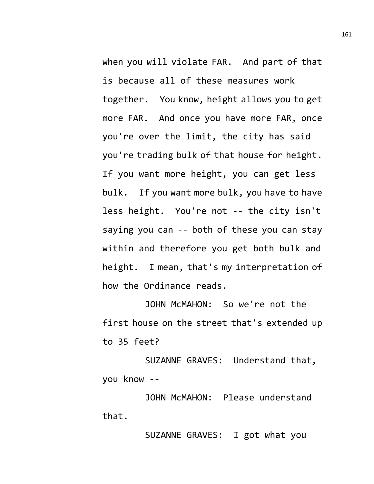when you will violate FAR. And part of that is because all of these measures work together. You know, height allows you to get more FAR. And once you have more FAR, once you're over the limit, the city has said you're trading bulk of that house for height. If you want more height, you can get less bulk. If you want more bulk, you have to have less height. You're not -- the city isn't saying you can -- both of these you can stay within and therefore you get both bulk and height. I mean, that's my interpretation of how the Ordinance reads.

JOHN McMAHON: So we're not the first house on the street that's extended up to 35 feet?

SUZANNE GRAVES: Understand that, you know --

JOHN McMAHON: Please understand that.

SUZANNE GRAVES: I got what you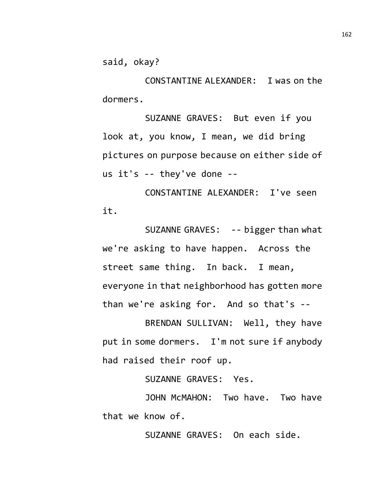said, okay?

CONSTANTINE ALEXANDER: I was on the dormers.

SUZANNE GRAVES: But even if you look at, you know, I mean, we did bring pictures on purpose because on either side of us it's -- they've done --

CONSTANTINE ALEXANDER: I've seen it.

SUZANNE GRAVES: -- bigger than what we're asking to have happen. Across the street same thing. In back. I mean, everyone in that neighborhood has gotten more than we're asking for. And so that's --

BRENDAN SULLIVAN: Well, they have put in some dormers. I'm not sure if anybody had raised their roof up.

SUZANNE GRAVES: Yes.

JOHN McMAHON: Two have. Two have that we know of.

SUZANNE GRAVES: On each side.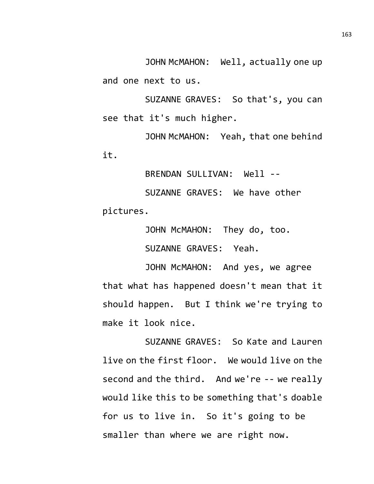JOHN McMAHON: Well, actually one up and one next to us.

SUZANNE GRAVES: So that's, you can see that it's much higher.

JOHN McMAHON: Yeah, that one behind it.

BRENDAN SULLIVAN: Well --

SUZANNE GRAVES: We have other pictures.

JOHN McMAHON: They do, too.

SUZANNE GRAVES: Yeah.

JOHN McMAHON: And yes, we agree that what has happened doesn't mean that it should happen. But I think we're trying to make it look nice.

SUZANNE GRAVES: So Kate and Lauren live on the first floor. We would live on the second and the third. And we're -- we really would like this to be something that's doable for us to live in. So it's going to be smaller than where we are right now.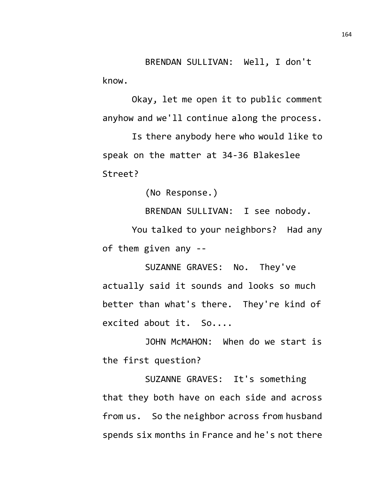BRENDAN SULLIVAN: Well, I don't know.

Okay, let me open it to public comment anyhow and we'll continue along the process.

Is there anybody here who would like to speak on the matter at 34-36 Blakeslee Street?

(No Response.)

BRENDAN SULLIVAN: I see nobody.

You talked to your neighbors? Had any of them given any --

SUZANNE GRAVES: No. They've actually said it sounds and looks so much better than what's there. They're kind of excited about it. So....

JOHN McMAHON: When do we start is the first question?

SUZANNE GRAVES: It's something that they both have on each side and across from us. So the neighbor across from husband spends six months in France and he's not there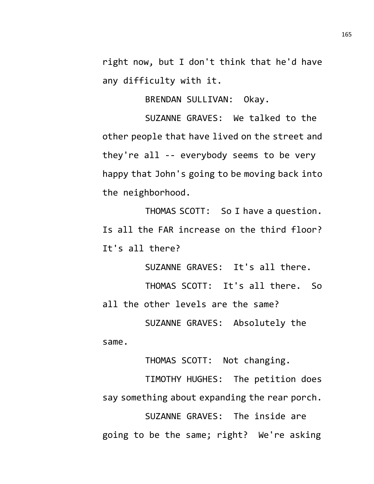right now, but I don't think that he'd have any difficulty with it.

BRENDAN SULLIVAN: Okay.

SUZANNE GRAVES: We talked to the other people that have lived on the street and they're all -- everybody seems to be very happy that John's going to be moving back into the neighborhood.

THOMAS SCOTT: So I have a question. Is all the FAR increase on the third floor? It's all there?

SUZANNE GRAVES: It's all there. THOMAS SCOTT: It's all there. So all the other levels are the same? SUZANNE GRAVES: Absolutely the

same.

THOMAS SCOTT: Not changing.

TIMOTHY HUGHES: The petition does say something about expanding the rear porch.

SUZANNE GRAVES: The inside are going to be the same; right? We're asking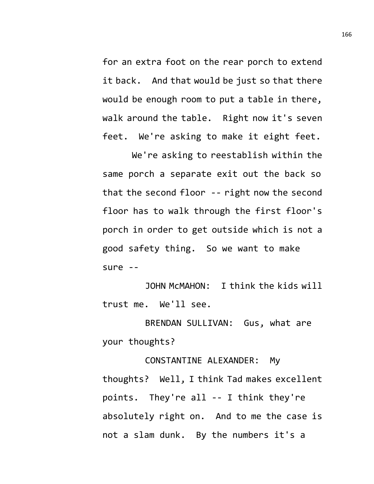for an extra foot on the rear porch to extend it back. And that would be just so that there would be enough room to put a table in there, walk around the table. Right now it's seven feet. We're asking to make it eight feet.

We're asking to reestablish within the same porch a separate exit out the back so that the second floor -- right now the second floor has to walk through the first floor's porch in order to get outside which is not a good safety thing. So we want to make sure --

JOHN McMAHON: I think the kids will trust me. We'll see.

BRENDAN SULLIVAN: Gus, what are your thoughts?

CONSTANTINE ALEXANDER: My thoughts? Well, I think Tad makes excellent points. They're all -- I think they're absolutely right on. And to me the case is not a slam dunk. By the numbers it's a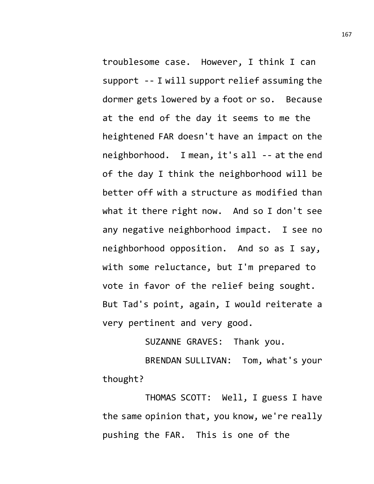troublesome case. However, I think I can support -- I will support relief assuming the dormer gets lowered by a foot or so. Because at the end of the day it seems to me the heightened FAR doesn't have an impact on the neighborhood. I mean, it's all -- at the end of the day I think the neighborhood will be better off with a structure as modified than what it there right now. And so I don't see any negative neighborhood impact. I see no neighborhood opposition. And so as I say, with some reluctance, but I'm prepared to vote in favor of the relief being sought. But Tad's point, again, I would reiterate a very pertinent and very good.

SUZANNE GRAVES: Thank you.

BRENDAN SULLIVAN: Tom, what's your thought?

THOMAS SCOTT: Well, I guess I have the same opinion that, you know, we're really pushing the FAR. This is one of the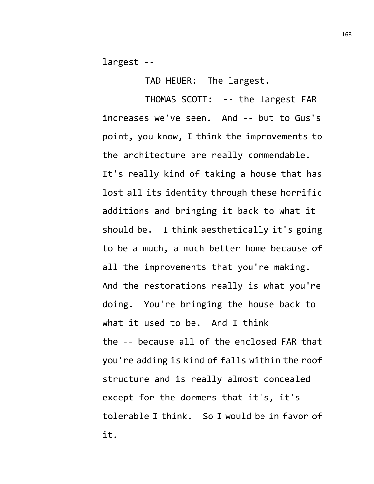largest --

TAD HEUER: The largest.

THOMAS SCOTT: -- the largest FAR increases we've seen. And -- but to Gus's point, you know, I think the improvements to the architecture are really commendable. It's really kind of taking a house that has lost all its identity through these horrific additions and bringing it back to what it should be. I think aesthetically it's going to be a much, a much better home because of all the improvements that you're making. And the restorations really is what you're doing. You're bringing the house back to what it used to be. And I think the -- because all of the enclosed FAR that you're adding is kind of falls within the roof structure and is really almost concealed except for the dormers that it's, it's tolerable I think. So I would be in favor of it.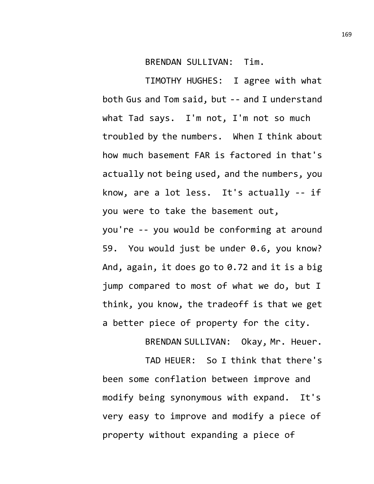BRENDAN SULLIVAN: Tim.

TIMOTHY HUGHES: I agree with what both Gus and Tom said, but -- and I understand what Tad says. I'm not, I'm not so much troubled by the numbers. When I think about how much basement FAR is factored in that's actually not being used, and the numbers, you know, are a lot less. It's actually -- if you were to take the basement out,

you're -- you would be conforming at around 59. You would just be under 0.6, you know? And, again, it does go to 0.72 and it is a big jump compared to most of what we do, but I think, you know, the tradeoff is that we get a better piece of property for the city.

BRENDAN SULLIVAN: Okay, Mr. Heuer.

TAD HEUER: So I think that there's been some conflation between improve and modify being synonymous with expand. It's very easy to improve and modify a piece of property without expanding a piece of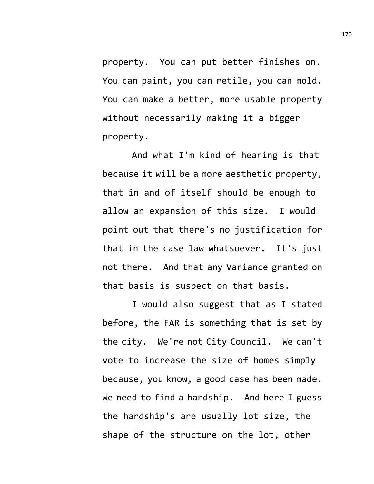property. You can put better finishes on. You can paint, you can retile, you can mold. You can make a better, more usable property without necessarily making it a bigger property.

And what I'm kind of hearing is that because it will be a more aesthetic property, that in and of itself should be enough to allow an expansion of this size. I would point out that there's no justification for that in the case law whatsoever. It's just not there. And that any Variance granted on that basis is suspect on that basis.

I would also suggest that as I stated before, the FAR is something that is set by the city. We're not City Council. We can't vote to increase the size of homes simply because, you know, a good case has been made. We need to find a hardship. And here I guess the hardship's are usually lot size, the shape of the structure on the lot, other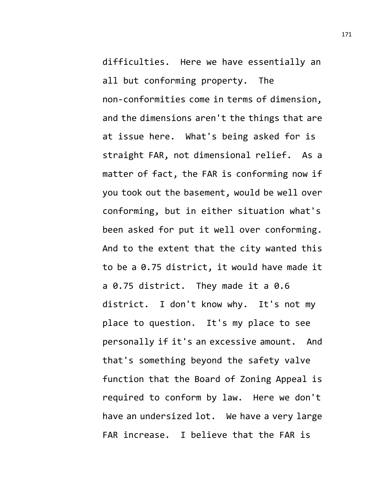difficulties. Here we have essentially an all but conforming property. The non-conformities come in terms of dimension, and the dimensions aren't the things that are at issue here. What's being asked for is straight FAR, not dimensional relief. As a matter of fact, the FAR is conforming now if you took out the basement, would be well over conforming, but in either situation what's been asked for put it well over conforming. And to the extent that the city wanted this to be a 0.75 district, it would have made it a 0.75 district. They made it a 0.6 district. I don't know why. It's not my place to question. It's my place to see personally if it's an excessive amount. And that's something beyond the safety valve function that the Board of Zoning Appeal is required to conform by law. Here we don't have an undersized lot. We have a very large FAR increase. I believe that the FAR is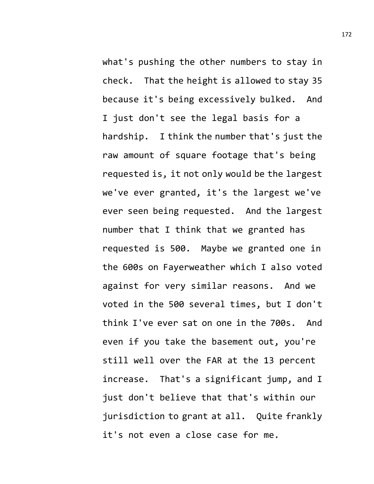what's pushing the other numbers to stay in check. That the height is allowed to stay 35 because it's being excessively bulked. And I just don't see the legal basis for a hardship. I think the number that's just the raw amount of square footage that's being requested is, it not only would be the largest we've ever granted, it's the largest we've ever seen being requested. And the largest number that I think that we granted has requested is 500. Maybe we granted one in the 600s on Fayerweather which I also voted against for very similar reasons. And we voted in the 500 several times, but I don't think I've ever sat on one in the 700s. And even if you take the basement out, you're still well over the FAR at the 13 percent increase. That's a significant jump, and I just don't believe that that's within our jurisdiction to grant at all. Quite frankly it's not even a close case for me.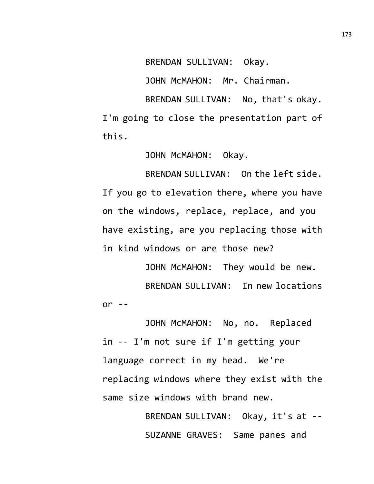BRENDAN SULLIVAN: Okay.

JOHN McMAHON: Mr. Chairman.

BRENDAN SULLIVAN: No, that's okay. I'm going to close the presentation part of this.

JOHN McMAHON: Okay.

BRENDAN SULLIVAN: On the left side. If you go to elevation there, where you have on the windows, replace, replace, and you have existing, are you replacing those with in kind windows or are those new?

JOHN McMAHON: They would be new. BRENDAN SULLIVAN: In new locations or  $-$ 

JOHN McMAHON: No, no. Replaced in -- I'm not sure if I'm getting your language correct in my head. We're replacing windows where they exist with the same size windows with brand new.

> BRENDAN SULLIVAN: Okay, it's at -- SUZANNE GRAVES: Same panes and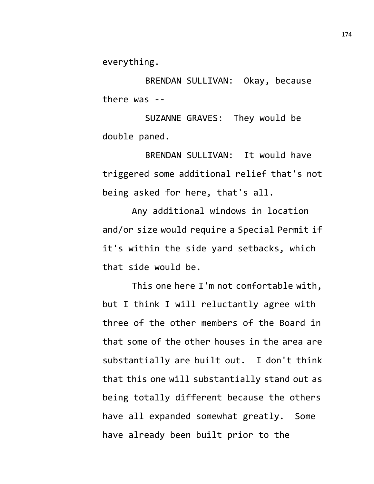everything.

BRENDAN SULLIVAN: Okay, because there was --

SUZANNE GRAVES: They would be double paned.

BRENDAN SULLIVAN: It would have triggered some additional relief that's not being asked for here, that's all.

Any additional windows in location and/or size would require a Special Permit if it's within the side yard setbacks, which that side would be.

This one here I'm not comfortable with, but I think I will reluctantly agree with three of the other members of the Board in that some of the other houses in the area are substantially are built out. I don't think that this one will substantially stand out as being totally different because the others have all expanded somewhat greatly. Some have already been built prior to the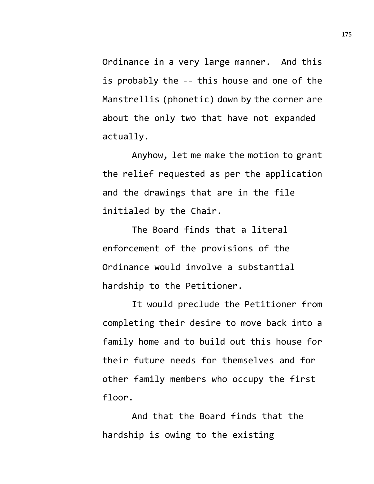Ordinance in a very large manner. And this is probably the -- this house and one of the Manstrellis (phonetic) down by the corner are about the only two that have not expanded actually.

Anyhow, let me make the motion to grant the relief requested as per the application and the drawings that are in the file initialed by the Chair.

The Board finds that a literal enforcement of the provisions of the Ordinance would involve a substantial hardship to the Petitioner.

It would preclude the Petitioner from completing their desire to move back into a family home and to build out this house for their future needs for themselves and for other family members who occupy the first floor.

And that the Board finds that the hardship is owing to the existing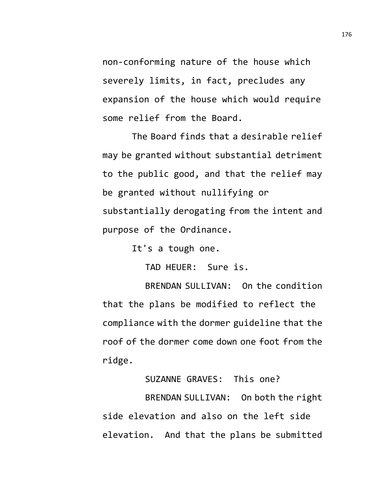non-conforming nature of the house which severely limits, in fact, precludes any expansion of the house which would require some relief from the Board.

The Board finds that a desirable relief may be granted without substantial detriment to the public good, and that the relief may be granted without nullifying or substantially derogating from the intent and purpose of the Ordinance.

It's a tough one.

TAD HEUER: Sure is.

BRENDAN SULLIVAN: On the condition that the plans be modified to reflect the compliance with the dormer guideline that the roof of the dormer come down one foot from the ridge.

SUZANNE GRAVES: This one?

BRENDAN SULLIVAN: On both the right side elevation and also on the left side elevation. And that the plans be submitted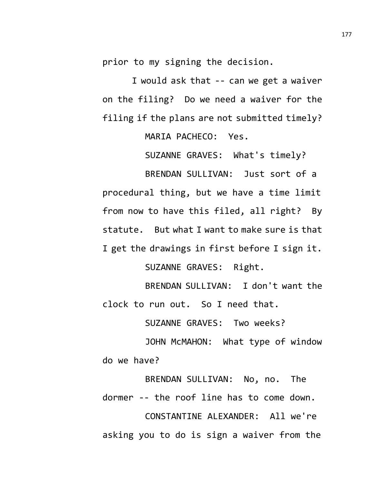prior to my signing the decision.

I would ask that -- can we get a waiver on the filing? Do we need a waiver for the filing if the plans are not submitted timely?

MARIA PACHECO: Yes.

SUZANNE GRAVES: What's timely?

BRENDAN SULLIVAN: Just sort of a procedural thing, but we have a time limit from now to have this filed, all right? By statute. But what I want to make sure is that I get the drawings in first before I sign it.

SUZANNE GRAVES: Right.

BRENDAN SULLIVAN: I don't want the clock to run out. So I need that.

SUZANNE GRAVES: Two weeks?

JOHN McMAHON: What type of window do we have?

BRENDAN SULLIVAN: No, no. The dormer -- the roof line has to come down. CONSTANTINE ALEXANDER: All we're asking you to do is sign a waiver from the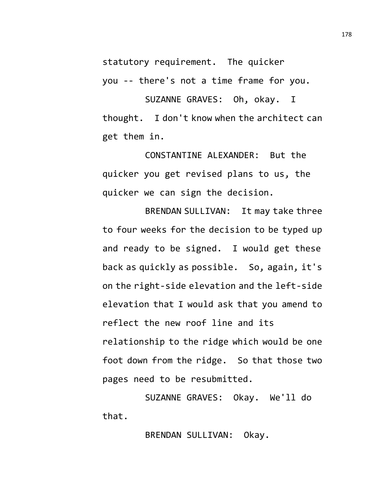statutory requirement. The quicker

you -- there's not a time frame for you.

SUZANNE GRAVES: Oh, okay. I thought. I don't know when the architect can get them in.

CONSTANTINE ALEXANDER: But the quicker you get revised plans to us, the quicker we can sign the decision.

BRENDAN SULLIVAN: It may take three to four weeks for the decision to be typed up and ready to be signed. I would get these back as quickly as possible. So, again, it's on the right-side elevation and the left-side elevation that I would ask that you amend to reflect the new roof line and its relationship to the ridge which would be one foot down from the ridge. So that those two pages need to be resubmitted.

SUZANNE GRAVES: Okay. We'll do that.

BRENDAN SULLIVAN: Okay.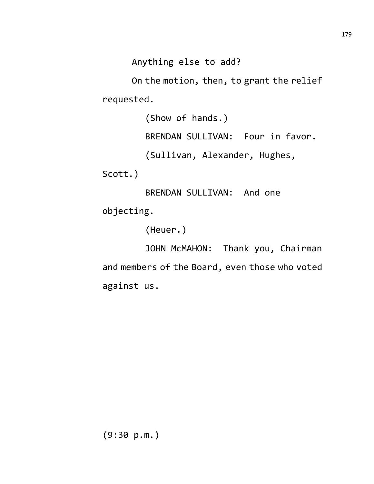Anything else to add?

On the motion, then, to grant the relief requested.

> (Show of hands.) BRENDAN SULLIVAN: Four in favor. (Sullivan, Alexander, Hughes,

Scott.)

BRENDAN SULLIVAN: And one objecting.

(Heuer.)

JOHN McMAHON: Thank you, Chairman and members of the Board, even those who voted against us.

(9:30 p.m.)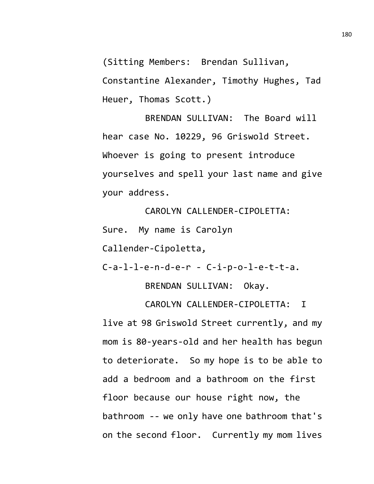(Sitting Members: Brendan Sullivan,

Constantine Alexander, Timothy Hughes, Tad Heuer, Thomas Scott.)

BRENDAN SULLIVAN: The Board will hear case No. 10229, 96 Griswold Street. Whoever is going to present introduce yourselves and spell your last name and give your address.

CAROLYN CALLENDER-CIPOLETTA:

Sure. My name is Carolyn

Callender-Cipoletta,

C-a-l-l-e-n-d-e-r - C-i-p-o-l-e-t-t-a.

BRENDAN SULLIVAN: Okay.

CAROLYN CALLENDER-CIPOLETTA: I live at 98 Griswold Street currently, and my mom is 80-years-old and her health has begun to deteriorate. So my hope is to be able to add a bedroom and a bathroom on the first floor because our house right now, the bathroom -- we only have one bathroom that's on the second floor. Currently my mom lives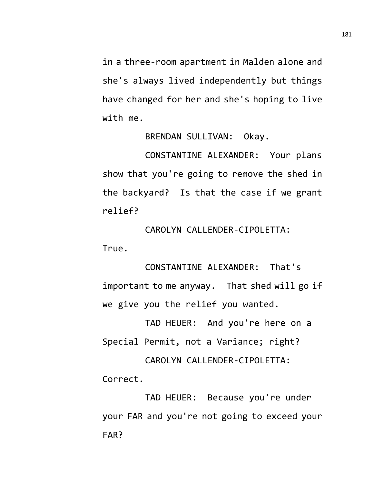in a three-room apartment in Malden alone and she's always lived independently but things have changed for her and she's hoping to live with me.

BRENDAN SULLIVAN: Okay.

CONSTANTINE ALEXANDER: Your plans show that you're going to remove the shed in the backyard? Is that the case if we grant relief?

CAROLYN CALLENDER-CIPOLETTA: True.

CONSTANTINE ALEXANDER: That's important to me anyway. That shed will go if we give you the relief you wanted.

TAD HEUER: And you're here on a Special Permit, not a Variance; right?

CAROLYN CALLENDER-CIPOLETTA: Correct.

TAD HEUER: Because you're under your FAR and you're not going to exceed your FAR?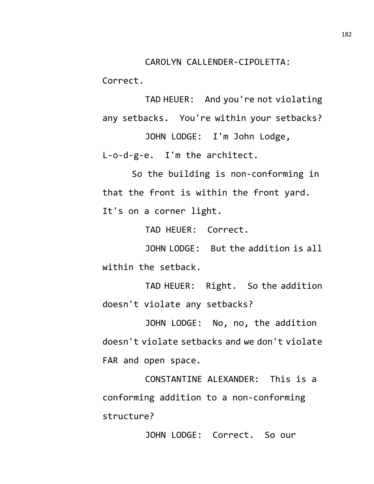Correct.

TAD HEUER: And you're not violating any setbacks. You're within your setbacks?

JOHN LODGE: I'm John Lodge, L-o-d-g-e. I'm the architect.

So the building is non-conforming in that the front is within the front yard. It's on a corner light.

TAD HEUER: Correct.

JOHN LODGE: But the addition is all within the setback.

TAD HEUER: Right. So the addition doesn't violate any setbacks?

JOHN LODGE: No, no, the addition doesn't violate setbacks and we don't violate FAR and open space.

CONSTANTINE ALEXANDER: This is a conforming addition to a non-conforming structure?

JOHN LODGE: Correct. So our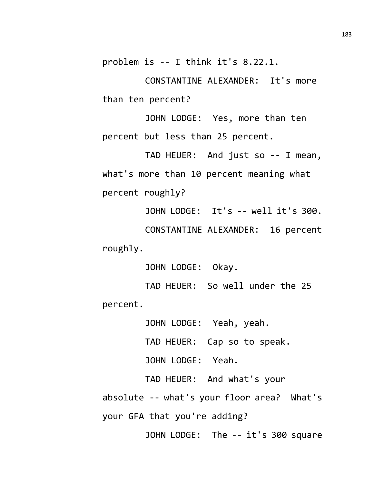problem is -- I think it's 8.22.1.

CONSTANTINE ALEXANDER: It's more than ten percent?

JOHN LODGE: Yes, more than ten percent but less than 25 percent.

TAD HEUER: And just so -- I mean, what's more than 10 percent meaning what percent roughly?

JOHN LODGE: It's -- well it's 300.

CONSTANTINE ALEXANDER: 16 percent roughly.

JOHN LODGE: Okay.

TAD HEUER: So well under the 25 percent.

JOHN LODGE: Yeah, yeah.

TAD HEUER: Cap so to speak.

JOHN LODGE: Yeah.

TAD HEUER: And what's your absolute -- what's your floor area? What's your GFA that you're adding?

JOHN LODGE: The -- it's 300 square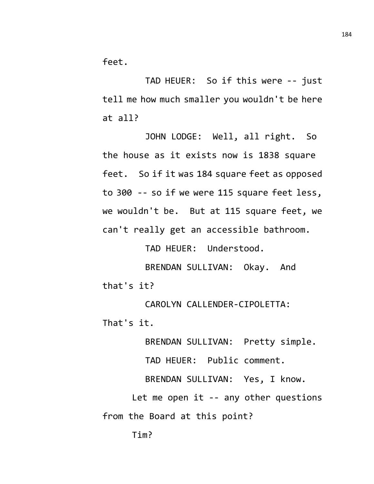feet.

TAD HEUER: So if this were -- just tell me how much smaller you wouldn't be here at all?

JOHN LODGE: Well, all right. So the house as it exists now is 1838 square feet. So if it was 184 square feet as opposed to 300 -- so if we were 115 square feet less, we wouldn't be. But at 115 square feet, we can't really get an accessible bathroom.

TAD HEUER: Understood.

BRENDAN SULLIVAN: Okay. And that's it?

CAROLYN CALLENDER-CIPOLETTA: That's it.

BRENDAN SULLIVAN: Pretty simple.

TAD HEUER: Public comment.

BRENDAN SULLIVAN: Yes, I know.

Let me open it -- any other questions from the Board at this point?

Tim?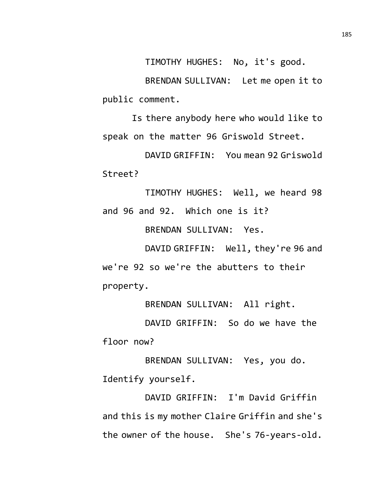TIMOTHY HUGHES: No, it's good.

BRENDAN SULLIVAN: Let me open it to public comment.

Is there anybody here who would like to speak on the matter 96 Griswold Street.

DAVID GRIFFIN: You mean 92 Griswold Street?

TIMOTHY HUGHES: Well, we heard 98 and 96 and 92. Which one is it?

BRENDAN SULLIVAN: Yes.

DAVID GRIFFIN: Well, they're 96 and we're 92 so we're the abutters to their property.

BRENDAN SULLIVAN: All right.

DAVID GRIFFIN: So do we have the floor now?

BRENDAN SULLIVAN: Yes, you do. Identify yourself.

DAVID GRIFFIN: I'm David Griffin and this is my mother Claire Griffin and she's the owner of the house. She's 76-years-old.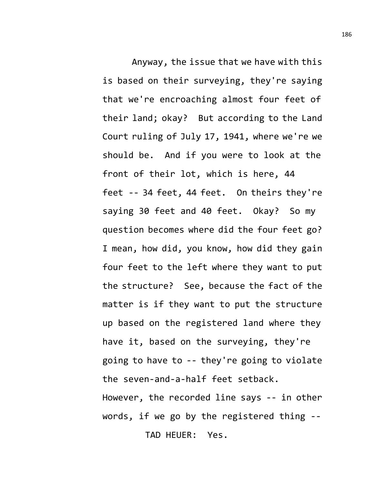Anyway, the issue that we have with this is based on their surveying, they're saying that we're encroaching almost four feet of their land; okay? But according to the Land Court ruling of July 17, 1941, where we're we should be. And if you were to look at the front of their lot, which is here, 44 feet -- 34 feet, 44 feet. On theirs they're saying 30 feet and 40 feet. Okay? So my question becomes where did the four feet go? I mean, how did, you know, how did they gain four feet to the left where they want to put the structure? See, because the fact of the matter is if they want to put the structure up based on the registered land where they have it, based on the surveying, they're going to have to -- they're going to violate the seven-and-a-half feet setback. However, the recorded line says -- in other words, if we go by the registered thing -- TAD HEUER: Yes.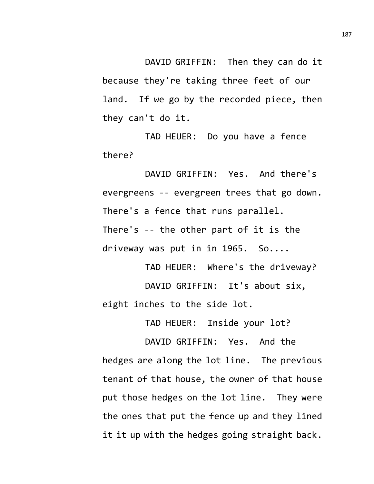DAVID GRIFFIN: Then they can do it because they're taking three feet of our land. If we go by the recorded piece, then they can't do it.

TAD HEUER: Do you have a fence there?

DAVID GRIFFIN: Yes. And there's evergreens -- evergreen trees that go down. There's a fence that runs parallel. There's -- the other part of it is the driveway was put in in 1965. So....

TAD HEUER: Where's the driveway? DAVID GRIFFIN: It's about six, eight inches to the side lot.

TAD HEUER: Inside your lot?

DAVID GRIFFIN: Yes. And the hedges are along the lot line. The previous tenant of that house, the owner of that house put those hedges on the lot line. They were the ones that put the fence up and they lined it it up with the hedges going straight back.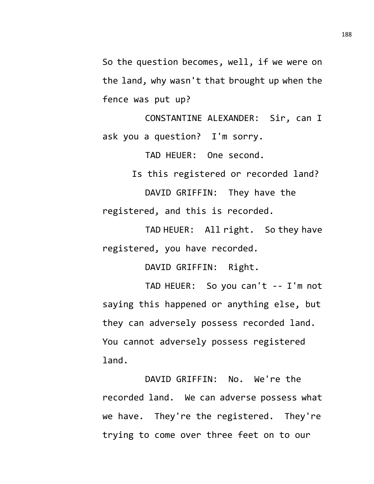So the question becomes, well, if we were on the land, why wasn't that brought up when the fence was put up?

CONSTANTINE ALEXANDER: Sir, can I ask you a question? I'm sorry.

TAD HEUER: One second.

Is this registered or recorded land? DAVID GRIFFIN: They have the registered, and this is recorded.

TAD HEUER: All right. So they have registered, you have recorded.

DAVID GRIFFIN: Right.

TAD HEUER: So you can't -- I'm not saying this happened or anything else, but they can adversely possess recorded land. You cannot adversely possess registered land.

DAVID GRIFFIN: No. We're the recorded land. We can adverse possess what we have. They're the registered. They're trying to come over three feet on to our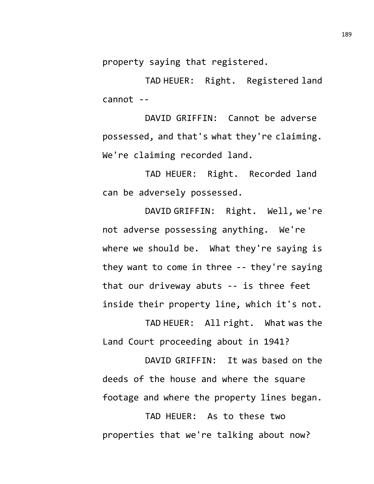property saying that registered.

TAD HEUER: Right. Registered land cannot --

DAVID GRIFFIN: Cannot be adverse possessed, and that's what they're claiming. We're claiming recorded land.

TAD HEUER: Right. Recorded land can be adversely possessed.

DAVID GRIFFIN: Right. Well, we're not adverse possessing anything. We're where we should be. What they're saying is they want to come in three -- they're saying that our driveway abuts -- is three feet inside their property line, which it's not.

TAD HEUER: All right. What was the Land Court proceeding about in 1941?

DAVID GRIFFIN: It was based on the deeds of the house and where the square footage and where the property lines began.

TAD HEUER: As to these two properties that we're talking about now?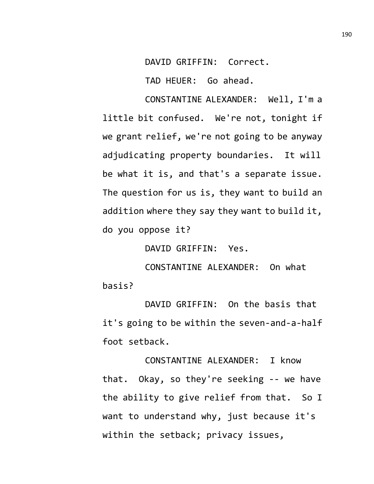DAVID GRIFFIN: Correct.

TAD HEUER: Go ahead.

CONSTANTINE ALEXANDER: Well, I'm a little bit confused. We're not, tonight if we grant relief, we're not going to be anyway adjudicating property boundaries. It will be what it is, and that's a separate issue. The question for us is, they want to build an addition where they say they want to build it, do you oppose it?

DAVID GRIFFIN: Yes.

CONSTANTINE ALEXANDER: On what basis?

DAVID GRIFFIN: On the basis that it's going to be within the seven-and-a-half foot setback.

CONSTANTINE ALEXANDER: I know that. Okay, so they're seeking -- we have the ability to give relief from that. So I want to understand why, just because it's within the setback; privacy issues,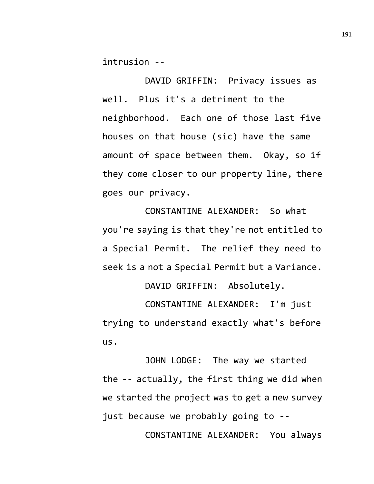intrusion --

DAVID GRIFFIN: Privacy issues as well. Plus it's a detriment to the neighborhood. Each one of those last five houses on that house (sic) have the same amount of space between them. Okay, so if they come closer to our property line, there goes our privacy.

CONSTANTINE ALEXANDER: So what you're saying is that they're not entitled to a Special Permit. The relief they need to seek is a not a Special Permit but a Variance.

DAVID GRIFFIN: Absolutely.

CONSTANTINE ALEXANDER: I'm just trying to understand exactly what's before us.

JOHN LODGE: The way we started the -- actually, the first thing we did when we started the project was to get a new survey just because we probably going to --

CONSTANTINE ALEXANDER: You always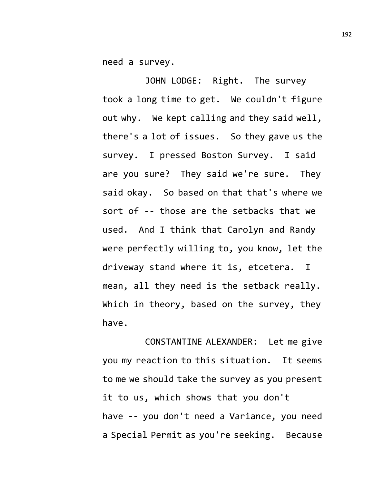need a survey.

JOHN LODGE: Right. The survey took a long time to get. We couldn't figure out why. We kept calling and they said well, there's a lot of issues. So they gave us the survey. I pressed Boston Survey. I said are you sure? They said we're sure. They said okay. So based on that that's where we sort of -- those are the setbacks that we used. And I think that Carolyn and Randy were perfectly willing to, you know, let the driveway stand where it is, etcetera. I mean, all they need is the setback really. Which in theory, based on the survey, they have.

CONSTANTINE ALEXANDER: Let me give you my reaction to this situation. It seems to me we should take the survey as you present it to us, which shows that you don't have -- you don't need a Variance, you need a Special Permit as you're seeking. Because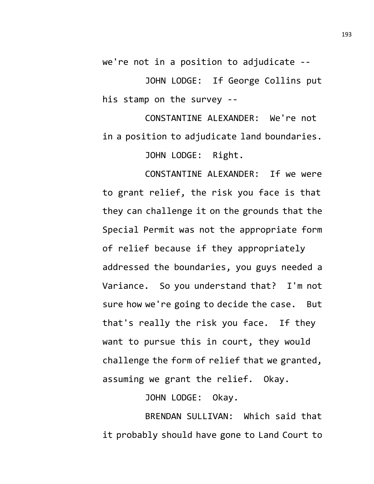we're not in a position to adjudicate --

JOHN LODGE: If George Collins put his stamp on the survey --

CONSTANTINE ALEXANDER: We're not in a position to adjudicate land boundaries.

JOHN LODGE: Right.

CONSTANTINE ALEXANDER: If we were to grant relief, the risk you face is that they can challenge it on the grounds that the Special Permit was not the appropriate form of relief because if they appropriately addressed the boundaries, you guys needed a Variance. So you understand that? I'm not sure how we're going to decide the case. But that's really the risk you face. If they want to pursue this in court, they would challenge the form of relief that we granted, assuming we grant the relief. Okay.

JOHN LODGE: Okay.

BRENDAN SULLIVAN: Which said that it probably should have gone to Land Court to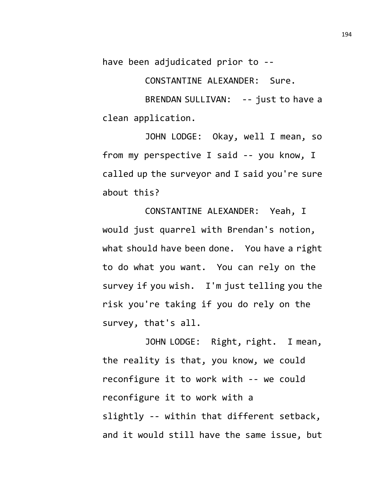have been adjudicated prior to --

CONSTANTINE ALEXANDER: Sure.

BRENDAN SULLIVAN: -- just to have a clean application.

JOHN LODGE: Okay, well I mean, so from my perspective I said -- you know, I called up the surveyor and I said you're sure about this?

CONSTANTINE ALEXANDER: Yeah, I would just quarrel with Brendan's notion, what should have been done. You have a right to do what you want. You can rely on the survey if you wish. I'm just telling you the risk you're taking if you do rely on the survey, that's all.

JOHN LODGE: Right, right. I mean, the reality is that, you know, we could reconfigure it to work with -- we could reconfigure it to work with a slightly -- within that different setback, and it would still have the same issue, but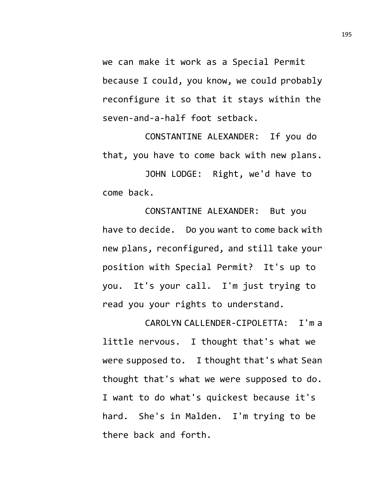we can make it work as a Special Permit because I could, you know, we could probably reconfigure it so that it stays within the seven-and-a-half foot setback.

CONSTANTINE ALEXANDER: If you do that, you have to come back with new plans.

JOHN LODGE: Right, we'd have to come back.

CONSTANTINE ALEXANDER: But you have to decide. Do you want to come back with new plans, reconfigured, and still take your position with Special Permit? It's up to you. It's your call. I'm just trying to read you your rights to understand.

CAROLYN CALLENDER-CIPOLETTA: I'm a little nervous. I thought that's what we were supposed to. I thought that's what Sean thought that's what we were supposed to do. I want to do what's quickest because it's hard. She's in Malden. I'm trying to be there back and forth.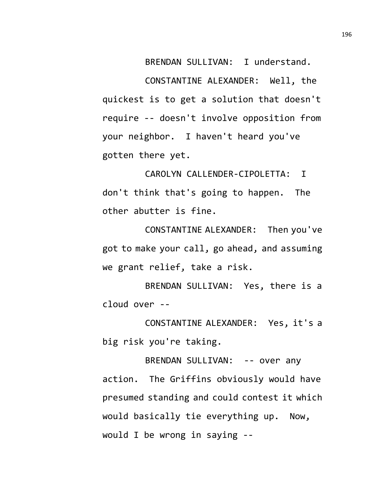BRENDAN SULLIVAN: I understand.

CONSTANTINE ALEXANDER: Well, the quickest is to get a solution that doesn't require -- doesn't involve opposition from your neighbor. I haven't heard you've gotten there yet.

CAROLYN CALLENDER-CIPOLETTA: I don't think that's going to happen. The other abutter is fine.

CONSTANTINE ALEXANDER: Then you've got to make your call, go ahead, and assuming we grant relief, take a risk.

BRENDAN SULLIVAN: Yes, there is a cloud over --

CONSTANTINE ALEXANDER: Yes, it's a big risk you're taking.

BRENDAN SULLIVAN: -- over any action. The Griffins obviously would have presumed standing and could contest it which would basically tie everything up. Now, would I be wrong in saying --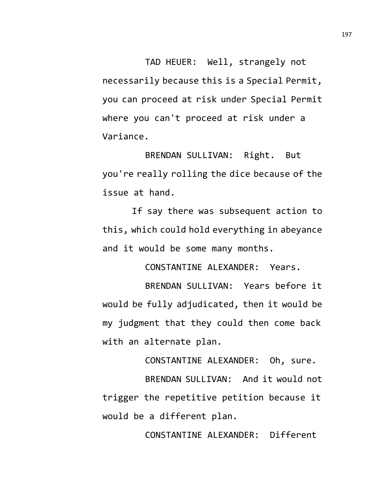TAD HEUER: Well, strangely not necessarily because this is a Special Permit, you can proceed at risk under Special Permit where you can't proceed at risk under a Variance.

BRENDAN SULLIVAN: Right. But you're really rolling the dice because of the issue at hand.

If say there was subsequent action to this, which could hold everything in abeyance and it would be some many months.

CONSTANTINE ALEXANDER: Years.

BRENDAN SULLIVAN: Years before it would be fully adjudicated, then it would be my judgment that they could then come back with an alternate plan.

CONSTANTINE ALEXANDER: Oh, sure.

BRENDAN SULLIVAN: And it would not trigger the repetitive petition because it would be a different plan.

CONSTANTINE ALEXANDER: Different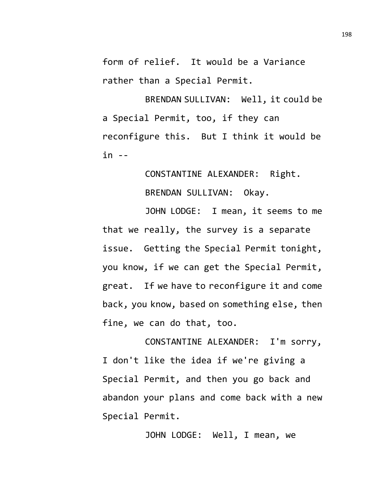form of relief. It would be a Variance rather than a Special Permit.

BRENDAN SULLIVAN: Well, it could be a Special Permit, too, if they can reconfigure this. But I think it would be in --

> CONSTANTINE ALEXANDER: Right. BRENDAN SULLIVAN: Okay.

JOHN LODGE: I mean, it seems to me that we really, the survey is a separate issue. Getting the Special Permit tonight, you know, if we can get the Special Permit, great. If we have to reconfigure it and come back, you know, based on something else, then fine, we can do that, too.

CONSTANTINE ALEXANDER: I'm sorry, I don't like the idea if we're giving a Special Permit, and then you go back and abandon your plans and come back with a new Special Permit.

JOHN LODGE: Well, I mean, we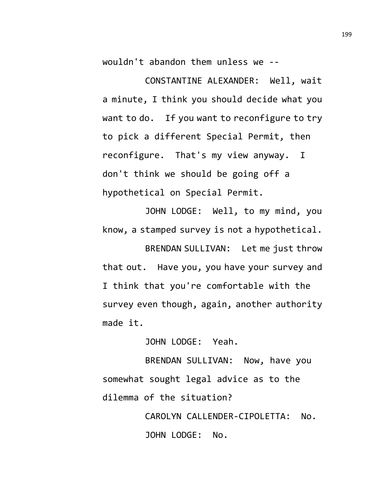wouldn't abandon them unless we --

CONSTANTINE ALEXANDER: Well, wait a minute, I think you should decide what you want to do. If you want to reconfigure to try to pick a different Special Permit, then reconfigure. That's my view anyway. I don't think we should be going off a hypothetical on Special Permit.

JOHN LODGE: Well, to my mind, you know, a stamped survey is not a hypothetical.

BRENDAN SULLIVAN: Let me just throw that out. Have you, you have your survey and I think that you're comfortable with the survey even though, again, another authority made it.

JOHN LODGE: Yeah.

BRENDAN SULLIVAN: Now, have you somewhat sought legal advice as to the dilemma of the situation?

> CAROLYN CALLENDER-CIPOLETTA: No. JOHN LODGE: No.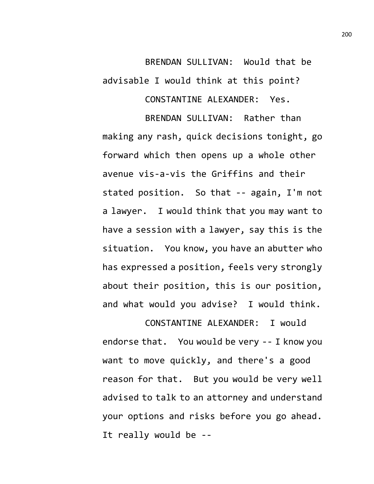## BRENDAN SULLIVAN: Would that be advisable I would think at this point?

CONSTANTINE ALEXANDER: Yes.

BRENDAN SULLIVAN: Rather than making any rash, quick decisions tonight, go forward which then opens up a whole other avenue vis-a-vis the Griffins and their stated position. So that -- again, I'm not a lawyer. I would think that you may want to have a session with a lawyer, say this is the situation. You know, you have an abutter who has expressed a position, feels very strongly about their position, this is our position, and what would you advise? I would think.

CONSTANTINE ALEXANDER: I would endorse that. You would be very -- I know you want to move quickly, and there's a good reason for that. But you would be very well advised to talk to an attorney and understand your options and risks before you go ahead. It really would be --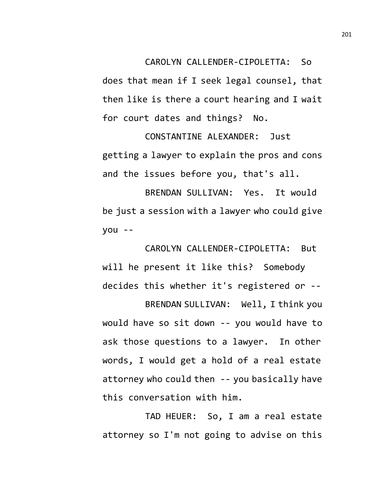CAROLYN CALLENDER-CIPOLETTA: So

does that mean if I seek legal counsel, that then like is there a court hearing and I wait for court dates and things? No.

CONSTANTINE ALEXANDER: Just getting a lawyer to explain the pros and cons and the issues before you, that's all.

BRENDAN SULLIVAN: Yes. It would be just a session with a lawyer who could give you --

CAROLYN CALLENDER-CIPOLETTA: But will he present it like this? Somebody decides this whether it's registered or --

BRENDAN SULLIVAN: Well, I think you would have so sit down -- you would have to ask those questions to a lawyer. In other words, I would get a hold of a real estate attorney who could then -- you basically have this conversation with him.

TAD HEUER: So, I am a real estate attorney so I'm not going to advise on this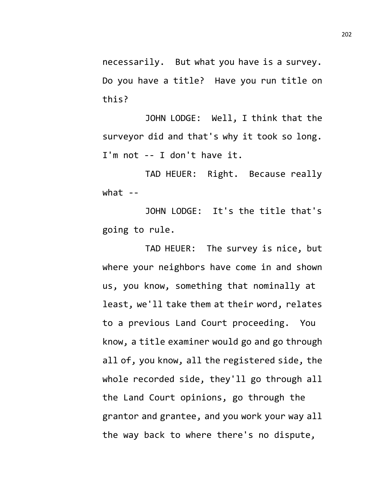necessarily. But what you have is a survey. Do you have a title? Have you run title on this?

JOHN LODGE: Well, I think that the surveyor did and that's why it took so long. I'm not -- I don't have it.

TAD HEUER: Right. Because really what  $-$ 

JOHN LODGE: It's the title that's going to rule.

TAD HEUER: The survey is nice, but where your neighbors have come in and shown us, you know, something that nominally at least, we'll take them at their word, relates to a previous Land Court proceeding. You know, a title examiner would go and go through all of, you know, all the registered side, the whole recorded side, they'll go through all the Land Court opinions, go through the grantor and grantee, and you work your way all the way back to where there's no dispute,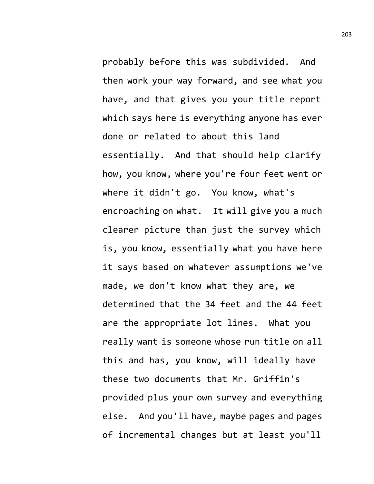probably before this was subdivided. And then work your way forward, and see what you have, and that gives you your title report which says here is everything anyone has ever done or related to about this land essentially. And that should help clarify how, you know, where you're four feet went or where it didn't go. You know, what's encroaching on what. It will give you a much clearer picture than just the survey which is, you know, essentially what you have here it says based on whatever assumptions we've made, we don't know what they are, we determined that the 34 feet and the 44 feet are the appropriate lot lines. What you really want is someone whose run title on all this and has, you know, will ideally have these two documents that Mr. Griffin's provided plus your own survey and everything else. And you'll have, maybe pages and pages of incremental changes but at least you'll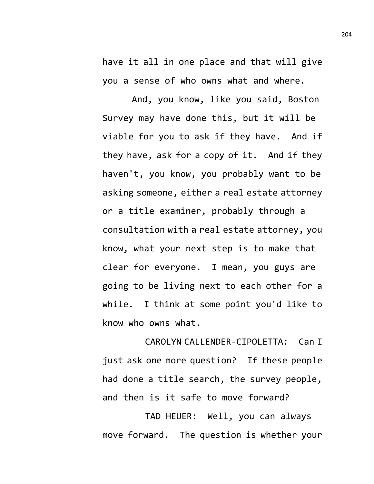have it all in one place and that will give you a sense of who owns what and where.

And, you know, like you said, Boston Survey may have done this, but it will be viable for you to ask if they have. And if they have, ask for a copy of it. And if they haven't, you know, you probably want to be asking someone, either a real estate attorney or a title examiner, probably through a consultation with a real estate attorney, you know, what your next step is to make that clear for everyone. I mean, you guys are going to be living next to each other for a while. I think at some point you'd like to know who owns what.

CAROLYN CALLENDER-CIPOLETTA: Can I just ask one more question? If these people had done a title search, the survey people, and then is it safe to move forward?

TAD HEUER: Well, you can always move forward. The question is whether your 204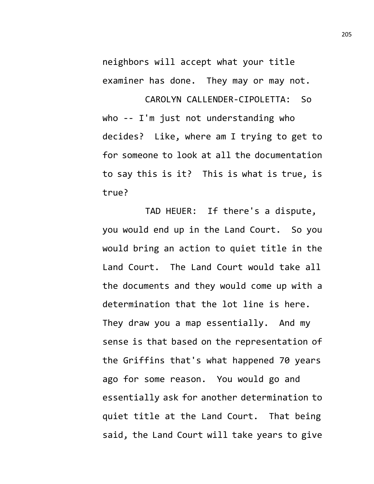neighbors will accept what your title examiner has done. They may or may not.

CAROLYN CALLENDER-CIPOLETTA: So who -- I'm just not understanding who decides? Like, where am I trying to get to for someone to look at all the documentation to say this is it? This is what is true, is true?

TAD HEUER: If there's a dispute, you would end up in the Land Court. So you would bring an action to quiet title in the Land Court. The Land Court would take all the documents and they would come up with a determination that the lot line is here. They draw you a map essentially. And my sense is that based on the representation of the Griffins that's what happened 70 years ago for some reason. You would go and essentially ask for another determination to quiet title at the Land Court. That being said, the Land Court will take years to give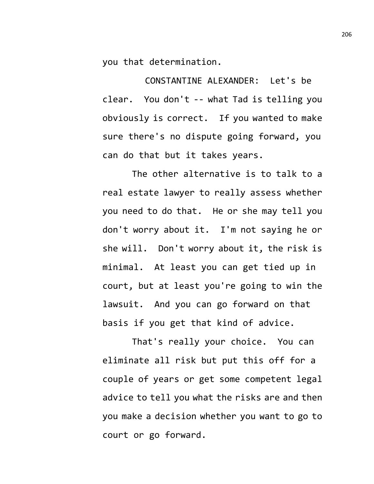you that determination.

CONSTANTINE ALEXANDER: Let's be clear. You don't -- what Tad is telling you obviously is correct. If you wanted to make sure there's no dispute going forward, you can do that but it takes years.

The other alternative is to talk to a real estate lawyer to really assess whether you need to do that. He or she may tell you don't worry about it. I'm not saying he or she will. Don't worry about it, the risk is minimal. At least you can get tied up in court, but at least you're going to win the lawsuit. And you can go forward on that basis if you get that kind of advice.

That's really your choice. You can eliminate all risk but put this off for a couple of years or get some competent legal advice to tell you what the risks are and then you make a decision whether you want to go to court or go forward.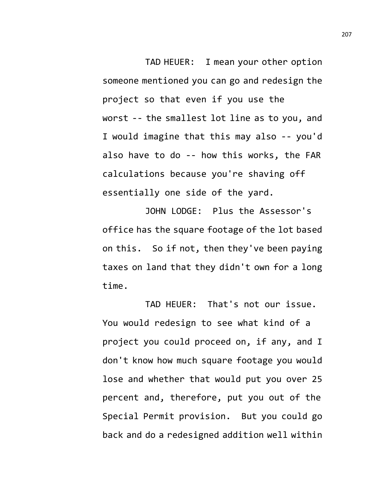TAD HEUER: I mean your other option someone mentioned you can go and redesign the project so that even if you use the worst -- the smallest lot line as to you, and I would imagine that this may also -- you'd also have to do -- how this works, the FAR calculations because you're shaving off essentially one side of the yard.

JOHN LODGE: Plus the Assessor's office has the square footage of the lot based on this. So if not, then they've been paying taxes on land that they didn't own for a long time.

TAD HEUER: That's not our issue. You would redesign to see what kind of a project you could proceed on, if any, and I don't know how much square footage you would lose and whether that would put you over 25 percent and, therefore, put you out of the Special Permit provision. But you could go back and do a redesigned addition well within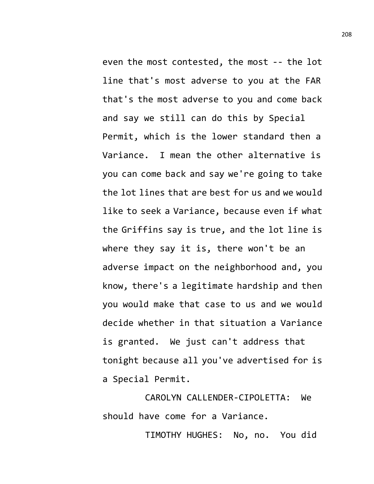even the most contested, the most -- the lot line that's most adverse to you at the FAR that's the most adverse to you and come back and say we still can do this by Special Permit, which is the lower standard then a Variance. I mean the other alternative is you can come back and say we're going to take the lot lines that are best for us and we would like to seek a Variance, because even if what the Griffins say is true, and the lot line is where they say it is, there won't be an adverse impact on the neighborhood and, you know, there's a legitimate hardship and then you would make that case to us and we would decide whether in that situation a Variance is granted. We just can't address that tonight because all you've advertised for is a Special Permit.

CAROLYN CALLENDER-CIPOLETTA: We should have come for a Variance.

TIMOTHY HUGHES: No, no. You did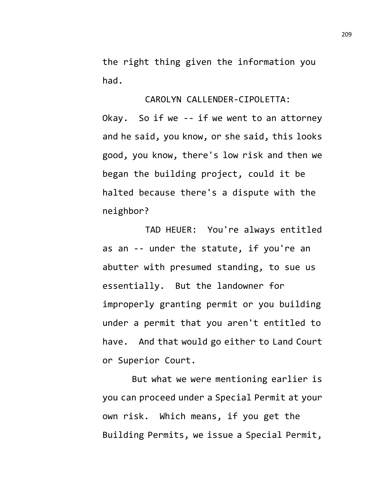the right thing given the information you had.

CAROLYN CALLENDER-CIPOLETTA:

Okay. So if we -- if we went to an attorney and he said, you know, or she said, this looks good, you know, there's low risk and then we began the building project, could it be halted because there's a dispute with the neighbor?

TAD HEUER: You're always entitled as an -- under the statute, if you're an abutter with presumed standing, to sue us essentially. But the landowner for improperly granting permit or you building under a permit that you aren't entitled to have. And that would go either to Land Court or Superior Court.

But what we were mentioning earlier is you can proceed under a Special Permit at your own risk. Which means, if you get the Building Permits, we issue a Special Permit,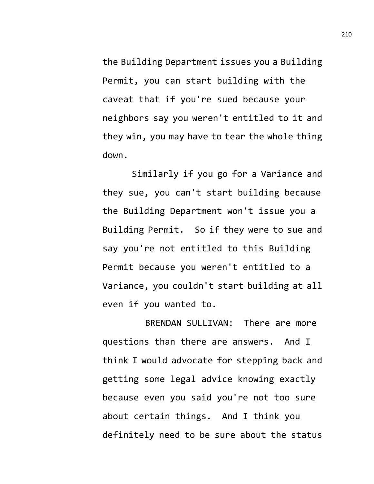the Building Department issues you a Building Permit, you can start building with the caveat that if you're sued because your neighbors say you weren't entitled to it and they win, you may have to tear the whole thing down.

Similarly if you go for a Variance and they sue, you can't start building because the Building Department won't issue you a Building Permit. So if they were to sue and say you're not entitled to this Building Permit because you weren't entitled to a Variance, you couldn't start building at all even if you wanted to.

BRENDAN SULLIVAN: There are more questions than there are answers. And I think I would advocate for stepping back and getting some legal advice knowing exactly because even you said you're not too sure about certain things. And I think you definitely need to be sure about the status

210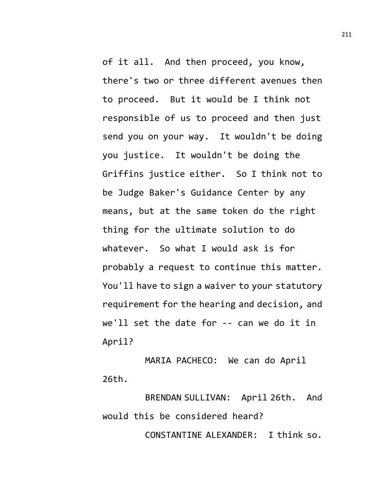of it all. And then proceed, you know, there's two or three different avenues then to proceed. But it would be I think not responsible of us to proceed and then just send you on your way. It wouldn't be doing you justice. It wouldn't be doing the Griffins justice either. So I think not to be Judge Baker's Guidance Center by any means, but at the same token do the right thing for the ultimate solution to do whatever. So what I would ask is for probably a request to continue this matter. You'll have to sign a waiver to your statutory requirement for the hearing and decision, and we'll set the date for -- can we do it in April?

MARIA PACHECO: We can do April 26th.

BRENDAN SULLIVAN: April 26th. And would this be considered heard?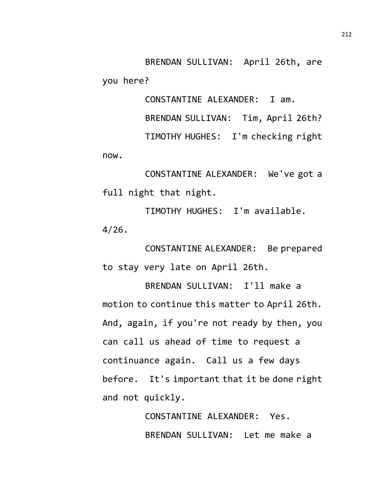BRENDAN SULLIVAN: April 26th, are you here?

CONSTANTINE ALEXANDER: I am.

BRENDAN SULLIVAN: Tim, April 26th?

TIMOTHY HUGHES: I'm checking right now.

CONSTANTINE ALEXANDER: We've got a full night that night.

TIMOTHY HUGHES: I'm available. 4/26.

CONSTANTINE ALEXANDER: Be prepared to stay very late on April 26th.

BRENDAN SULLIVAN: I'll make a motion to continue this matter to April 26th. And, again, if you're not ready by then, you can call us ahead of time to request a continuance again. Call us a few days before. It's important that it be done right and not quickly.

> CONSTANTINE ALEXANDER: Yes. BRENDAN SULLIVAN: Let me make a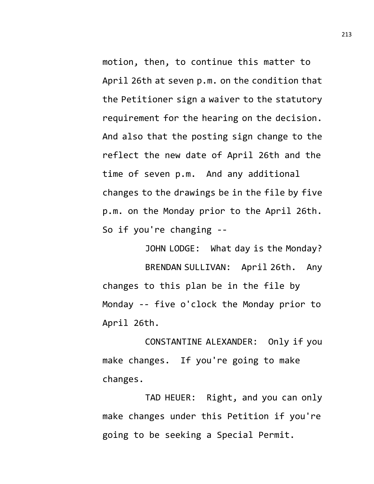motion, then, to continue this matter to April 26th at seven p.m. on the condition that the Petitioner sign a waiver to the statutory requirement for the hearing on the decision. And also that the posting sign change to the reflect the new date of April 26th and the time of seven p.m. And any additional changes to the drawings be in the file by five p.m. on the Monday prior to the April 26th. So if you're changing --

JOHN LODGE: What day is the Monday? BRENDAN SULLIVAN: April 26th. Any changes to this plan be in the file by Monday -- five o'clock the Monday prior to April 26th.

CONSTANTINE ALEXANDER: Only if you make changes. If you're going to make changes.

TAD HEUER: Right, and you can only make changes under this Petition if you're going to be seeking a Special Permit.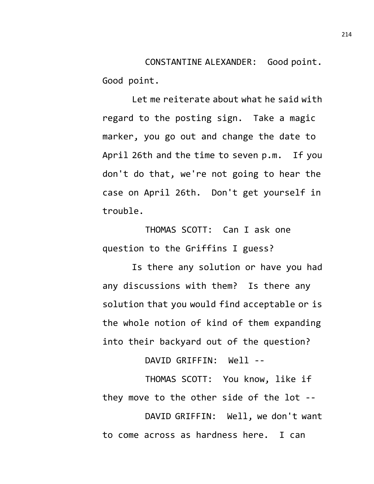CONSTANTINE ALEXANDER: Good point. Good point.

Let me reiterate about what he said with regard to the posting sign. Take a magic marker, you go out and change the date to April 26th and the time to seven p.m. If you don't do that, we're not going to hear the case on April 26th. Don't get yourself in trouble.

THOMAS SCOTT: Can I ask one question to the Griffins I guess?

Is there any solution or have you had any discussions with them? Is there any solution that you would find acceptable or is the whole notion of kind of them expanding into their backyard out of the question?

DAVID GRIFFIN: Well --

THOMAS SCOTT: You know, like if they move to the other side of the lot --

DAVID GRIFFIN: Well, we don't want to come across as hardness here. I can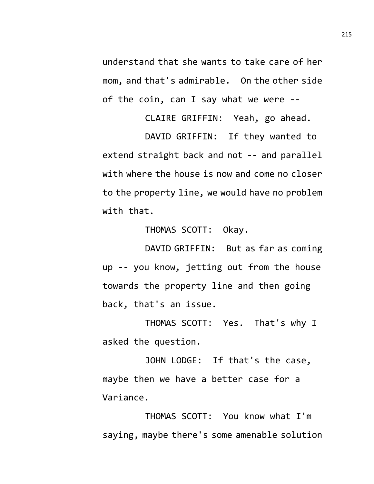understand that she wants to take care of her mom, and that's admirable. On the other side of the coin, can I say what we were --

CLAIRE GRIFFIN: Yeah, go ahead.

DAVID GRIFFIN: If they wanted to extend straight back and not -- and parallel with where the house is now and come no closer to the property line, we would have no problem with that.

THOMAS SCOTT: Okay.

DAVID GRIFFIN: But as far as coming up -- you know, jetting out from the house towards the property line and then going back, that's an issue.

THOMAS SCOTT: Yes. That's why I asked the question.

JOHN LODGE: If that's the case, maybe then we have a better case for a Variance.

THOMAS SCOTT: You know what I'm saying, maybe there's some amenable solution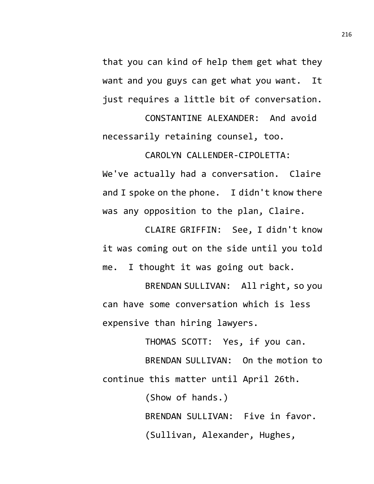that you can kind of help them get what they want and you guys can get what you want. It just requires a little bit of conversation.

CONSTANTINE ALEXANDER: And avoid necessarily retaining counsel, too.

CAROLYN CALLENDER-CIPOLETTA: We've actually had a conversation. Claire and I spoke on the phone. I didn't know there was any opposition to the plan, Claire.

CLAIRE GRIFFIN: See, I didn't know it was coming out on the side until you told me. I thought it was going out back.

BRENDAN SULLIVAN: All right, so you can have some conversation which is less expensive than hiring lawyers.

THOMAS SCOTT: Yes, if you can.

BRENDAN SULLIVAN: On the motion to continue this matter until April 26th.

> (Show of hands.) BRENDAN SULLIVAN: Five in favor. (Sullivan, Alexander, Hughes,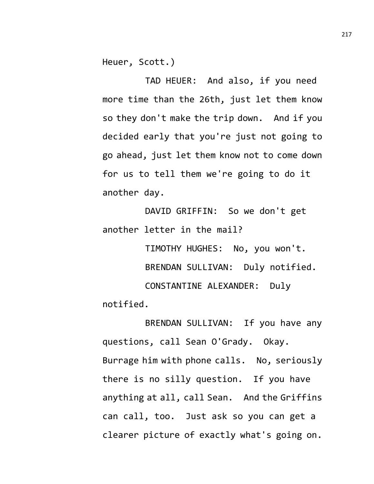Heuer, Scott.)

TAD HEUER: And also, if you need more time than the 26th, just let them know so they don't make the trip down. And if you decided early that you're just not going to go ahead, just let them know not to come down for us to tell them we're going to do it another day.

DAVID GRIFFIN: So we don't get another letter in the mail?

TIMOTHY HUGHES: No, you won't. BRENDAN SULLIVAN: Duly notified. CONSTANTINE ALEXANDER: Duly notified.

BRENDAN SULLIVAN: If you have any questions, call Sean O'Grady. Okay. Burrage him with phone calls. No, seriously there is no silly question. If you have anything at all, call Sean. And the Griffins can call, too. Just ask so you can get a clearer picture of exactly what's going on.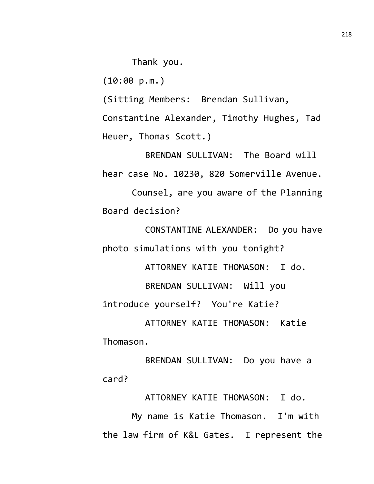Thank you.

(10:00 p.m.)

(Sitting Members: Brendan Sullivan,

Constantine Alexander, Timothy Hughes, Tad Heuer, Thomas Scott.)

BRENDAN SULLIVAN: The Board will hear case No. 10230, 820 Somerville Avenue.

Counsel, are you aware of the Planning Board decision?

CONSTANTINE ALEXANDER: Do you have photo simulations with you tonight?

ATTORNEY KATIE THOMASON: I do.

BRENDAN SULLIVAN: Will you

introduce yourself? You're Katie?

ATTORNEY KATIE THOMASON: Katie Thomason.

BRENDAN SULLIVAN: Do you have a card?

ATTORNEY KATIE THOMASON: I do.

My name is Katie Thomason. I'm with the law firm of K&L Gates. I represent the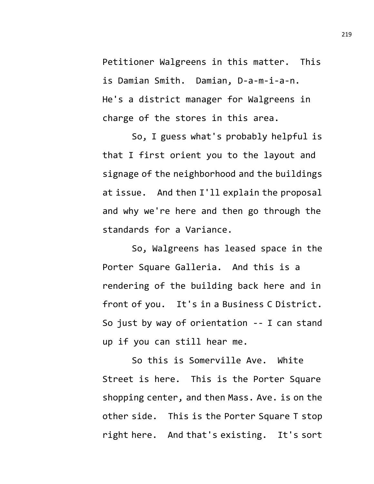Petitioner Walgreens in this matter. This is Damian Smith. Damian, D-a-m-i-a-n. He's a district manager for Walgreens in charge of the stores in this area.

So, I guess what's probably helpful is that I first orient you to the layout and signage of the neighborhood and the buildings at issue. And then I'll explain the proposal and why we're here and then go through the standards for a Variance.

So, Walgreens has leased space in the Porter Square Galleria. And this is a rendering of the building back here and in front of you. It's in a Business C District. So just by way of orientation -- I can stand up if you can still hear me.

So this is Somerville Ave. White Street is here. This is the Porter Square shopping center, and then Mass. Ave. is on the other side. This is the Porter Square T stop right here. And that's existing. It's sort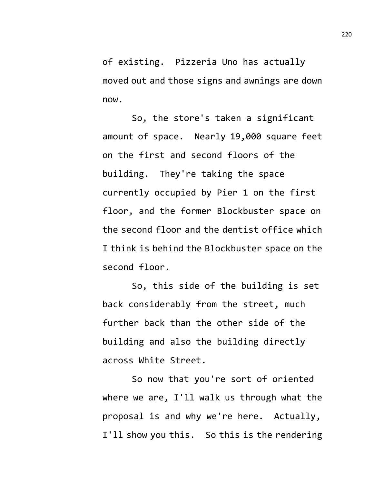of existing. Pizzeria Uno has actually moved out and those signs and awnings are down now.

So, the store's taken a significant amount of space. Nearly 19,000 square feet on the first and second floors of the building. They're taking the space currently occupied by Pier 1 on the first floor, and the former Blockbuster space on the second floor and the dentist office which I think is behind the Blockbuster space on the second floor.

So, this side of the building is set back considerably from the street, much further back than the other side of the building and also the building directly across White Street.

So now that you're sort of oriented where we are, I'll walk us through what the proposal is and why we're here. Actually, I'll show you this. So this is the rendering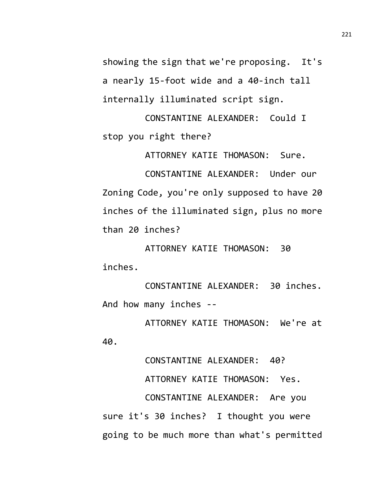showing the sign that we're proposing. It's a nearly 15-foot wide and a 40-inch tall internally illuminated script sign.

CONSTANTINE ALEXANDER: Could I stop you right there?

ATTORNEY KATIE THOMASON: Sure.

CONSTANTINE ALEXANDER: Under our Zoning Code, you're only supposed to have 20 inches of the illuminated sign, plus no more than 20 inches?

ATTORNEY KATIE THOMASON: 30 inches.

CONSTANTINE ALEXANDER: 30 inches. And how many inches --

ATTORNEY KATIE THOMASON: We're at 40.

CONSTANTINE ALEXANDER: 40? ATTORNEY KATIE THOMASON: Yes. CONSTANTINE ALEXANDER: Are you sure it's 30 inches? I thought you were going to be much more than what's permitted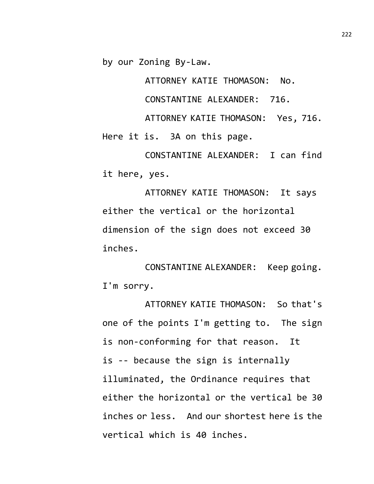by our Zoning By-Law.

ATTORNEY KATIE THOMASON: No.

CONSTANTINE ALEXANDER: 716.

ATTORNEY KATIE THOMASON: Yes, 716. Here it is. 3A on this page.

CONSTANTINE ALEXANDER: I can find it here, yes.

ATTORNEY KATIE THOMASON: It says either the vertical or the horizontal dimension of the sign does not exceed 30 inches.

CONSTANTINE ALEXANDER: Keep going. I'm sorry.

ATTORNEY KATIE THOMASON: So that's one of the points I'm getting to. The sign is non-conforming for that reason. It is -- because the sign is internally illuminated, the Ordinance requires that either the horizontal or the vertical be 30 inches or less. And our shortest here is the vertical which is 40 inches.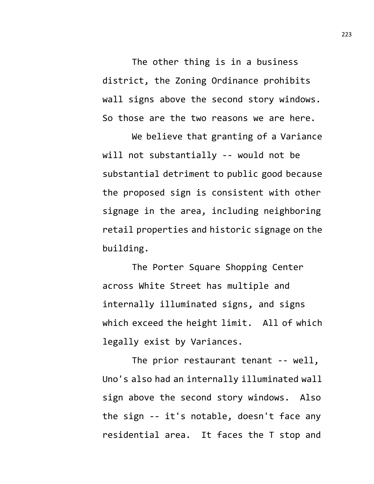The other thing is in a business district, the Zoning Ordinance prohibits wall signs above the second story windows. So those are the two reasons we are here.

We believe that granting of a Variance will not substantially -- would not be substantial detriment to public good because the proposed sign is consistent with other signage in the area, including neighboring retail properties and historic signage on the building.

The Porter Square Shopping Center across White Street has multiple and internally illuminated signs, and signs which exceed the height limit. All of which legally exist by Variances.

The prior restaurant tenant -- well, Uno's also had an internally illuminated wall sign above the second story windows. Also the sign -- it's notable, doesn't face any residential area. It faces the T stop and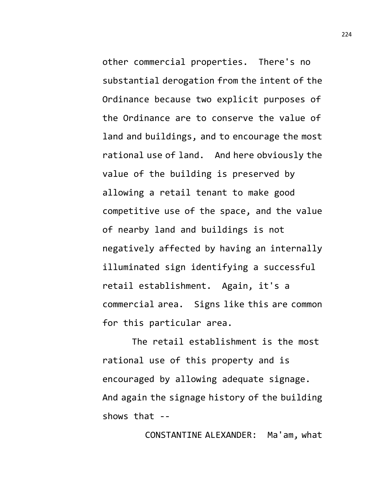other commercial properties. There's no substantial derogation from the intent of the Ordinance because two explicit purposes of the Ordinance are to conserve the value of land and buildings, and to encourage the most rational use of land. And here obviously the value of the building is preserved by allowing a retail tenant to make good competitive use of the space, and the value of nearby land and buildings is not negatively affected by having an internally illuminated sign identifying a successful retail establishment. Again, it's a commercial area. Signs like this are common for this particular area.

The retail establishment is the most rational use of this property and is encouraged by allowing adequate signage. And again the signage history of the building shows that --

CONSTANTINE ALEXANDER: Ma'am, what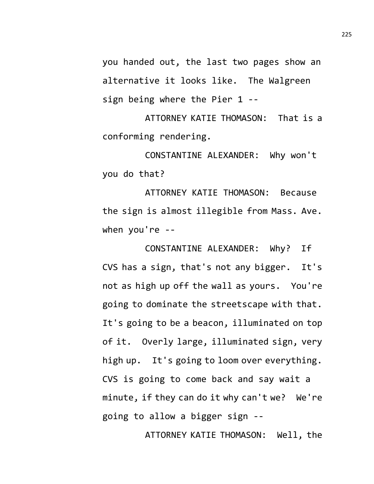you handed out, the last two pages show an alternative it looks like. The Walgreen sign being where the Pier 1 --

ATTORNEY KATIE THOMASON: That is a conforming rendering.

CONSTANTINE ALEXANDER: Why won't you do that?

ATTORNEY KATIE THOMASON: Because the sign is almost illegible from Mass. Ave. when you're --

CONSTANTINE ALEXANDER: Why? If CVS has a sign, that's not any bigger. It's not as high up off the wall as yours. You're going to dominate the streetscape with that. It's going to be a beacon, illuminated on top of it. Overly large, illuminated sign, very high up. It's going to loom over everything. CVS is going to come back and say wait a minute, if they can do it why can't we? We're going to allow a bigger sign --

ATTORNEY KATIE THOMASON: Well, the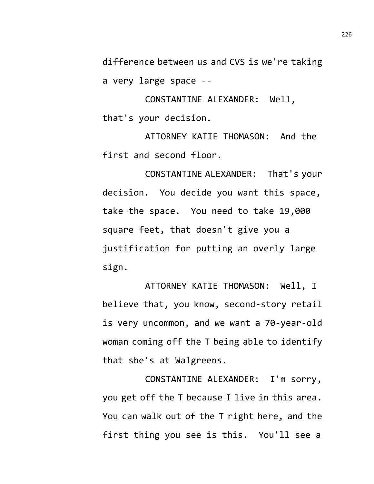difference between us and CVS is we're taking a very large space --

CONSTANTINE ALEXANDER: Well, that's your decision.

ATTORNEY KATIE THOMASON: And the first and second floor.

CONSTANTINE ALEXANDER: That's your decision. You decide you want this space, take the space. You need to take 19,000 square feet, that doesn't give you a justification for putting an overly large sign.

ATTORNEY KATIE THOMASON: Well, I believe that, you know, second-story retail is very uncommon, and we want a 70-year-old woman coming off the T being able to identify that she's at Walgreens.

CONSTANTINE ALEXANDER: I'm sorry, you get off the T because I live in this area. You can walk out of the T right here, and the first thing you see is this. You'll see a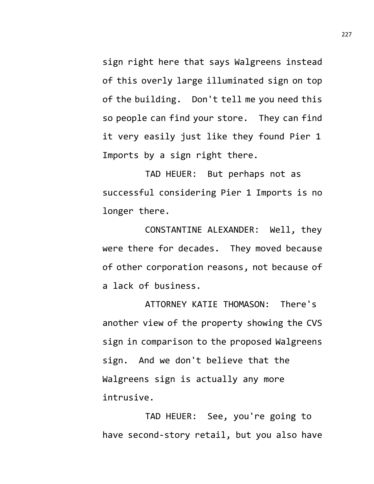sign right here that says Walgreens instead of this overly large illuminated sign on top of the building. Don't tell me you need this so people can find your store. They can find it very easily just like they found Pier 1 Imports by a sign right there.

TAD HEUER: But perhaps not as successful considering Pier 1 Imports is no longer there.

CONSTANTINE ALEXANDER: Well, they were there for decades. They moved because of other corporation reasons, not because of a lack of business.

ATTORNEY KATIE THOMASON: There's another view of the property showing the CVS sign in comparison to the proposed Walgreens sign. And we don't believe that the Walgreens sign is actually any more intrusive.

TAD HEUER: See, you're going to have second-story retail, but you also have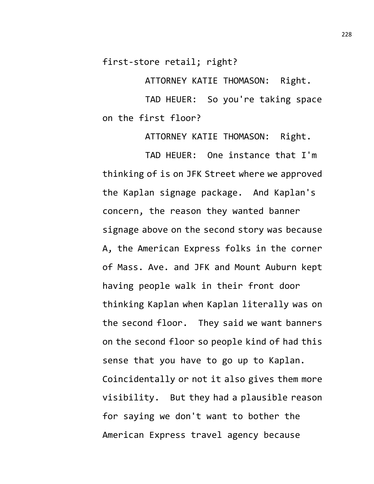first-store retail; right?

ATTORNEY KATIE THOMASON: Right.

TAD HEUER: So you're taking space on the first floor?

ATTORNEY KATIE THOMASON: Right.

TAD HEUER: One instance that I'm thinking of is on JFK Street where we approved the Kaplan signage package. And Kaplan's concern, the reason they wanted banner signage above on the second story was because A, the American Express folks in the corner of Mass. Ave. and JFK and Mount Auburn kept having people walk in their front door thinking Kaplan when Kaplan literally was on the second floor. They said we want banners on the second floor so people kind of had this sense that you have to go up to Kaplan. Coincidentally or not it also gives them more visibility. But they had a plausible reason for saying we don't want to bother the American Express travel agency because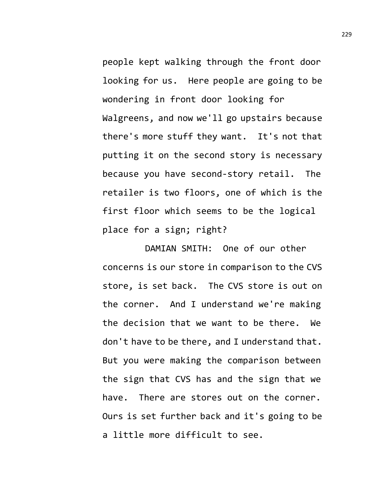people kept walking through the front door looking for us. Here people are going to be wondering in front door looking for Walgreens, and now we'll go upstairs because there's more stuff they want. It's not that putting it on the second story is necessary because you have second-story retail. The retailer is two floors, one of which is the first floor which seems to be the logical place for a sign; right?

DAMIAN SMITH: One of our other concerns is our store in comparison to the CVS store, is set back. The CVS store is out on the corner. And I understand we're making the decision that we want to be there. We don't have to be there, and I understand that. But you were making the comparison between the sign that CVS has and the sign that we have. There are stores out on the corner. Ours is set further back and it's going to be a little more difficult to see.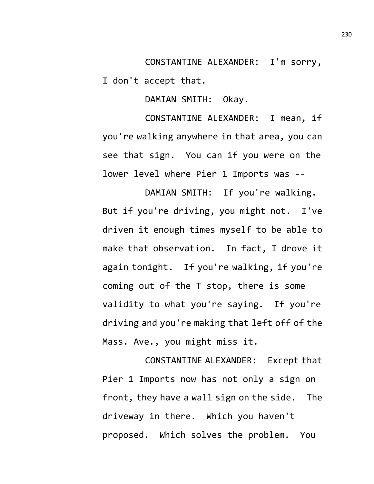CONSTANTINE ALEXANDER: I'm sorry, I don't accept that.

DAMIAN SMITH: Okay.

CONSTANTINE ALEXANDER: I mean, if you're walking anywhere in that area, you can see that sign. You can if you were on the lower level where Pier 1 Imports was --

DAMIAN SMITH: If you're walking. But if you're driving, you might not. I've driven it enough times myself to be able to make that observation. In fact, I drove it again tonight. If you're walking, if you're coming out of the T stop, there is some validity to what you're saying. If you're driving and you're making that left off of the Mass. Ave., you might miss it.

CONSTANTINE ALEXANDER: Except that Pier 1 Imports now has not only a sign on front, they have a wall sign on the side. The driveway in there. Which you haven't proposed. Which solves the problem. You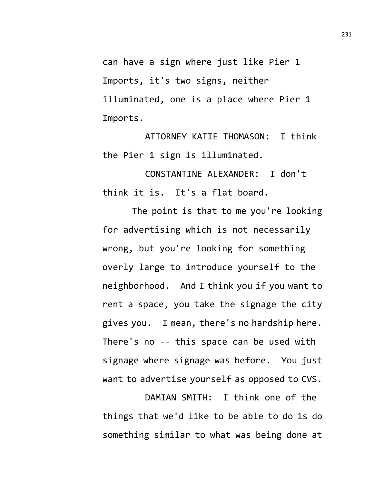can have a sign where just like Pier 1 Imports, it's two signs, neither illuminated, one is a place where Pier 1 Imports.

ATTORNEY KATIE THOMASON: I think the Pier 1 sign is illuminated.

CONSTANTINE ALEXANDER: I don't think it is. It's a flat board.

The point is that to me you're looking for advertising which is not necessarily wrong, but you're looking for something overly large to introduce yourself to the neighborhood. And I think you if you want to rent a space, you take the signage the city gives you. I mean, there's no hardship here. There's no -- this space can be used with signage where signage was before. You just want to advertise yourself as opposed to CVS.

DAMIAN SMITH: I think one of the things that we'd like to be able to do is do something similar to what was being done at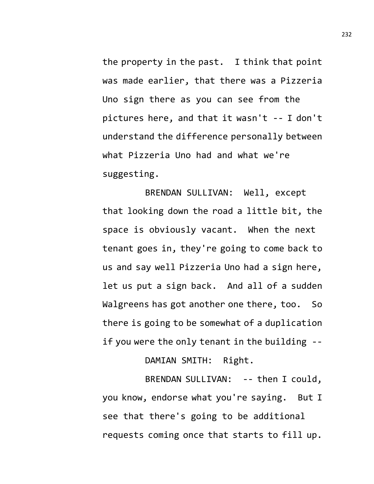the property in the past. I think that point was made earlier, that there was a Pizzeria Uno sign there as you can see from the pictures here, and that it wasn't -- I don't understand the difference personally between what Pizzeria Uno had and what we're suggesting.

BRENDAN SULLIVAN: Well, except that looking down the road a little bit, the space is obviously vacant. When the next tenant goes in, they're going to come back to us and say well Pizzeria Uno had a sign here, let us put a sign back. And all of a sudden Walgreens has got another one there, too. So there is going to be somewhat of a duplication if you were the only tenant in the building --

DAMIAN SMITH: Right.

BRENDAN SULLIVAN: -- then I could, you know, endorse what you're saying. But I see that there's going to be additional requests coming once that starts to fill up.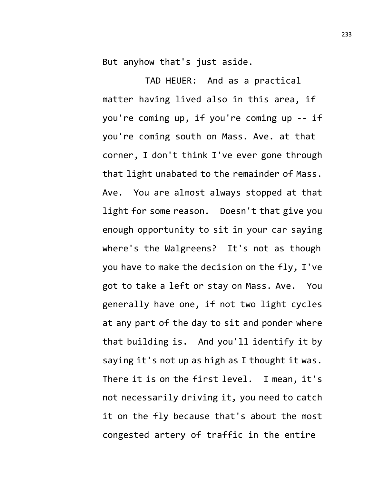But anyhow that's just aside.

TAD HEUER: And as a practical matter having lived also in this area, if you're coming up, if you're coming up -- if you're coming south on Mass. Ave. at that corner, I don't think I've ever gone through that light unabated to the remainder of Mass. Ave. You are almost always stopped at that light for some reason. Doesn't that give you enough opportunity to sit in your car saying where's the Walgreens? It's not as though you have to make the decision on the fly, I've got to take a left or stay on Mass. Ave. You generally have one, if not two light cycles at any part of the day to sit and ponder where that building is. And you'll identify it by saying it's not up as high as I thought it was. There it is on the first level. I mean, it's not necessarily driving it, you need to catch it on the fly because that's about the most congested artery of traffic in the entire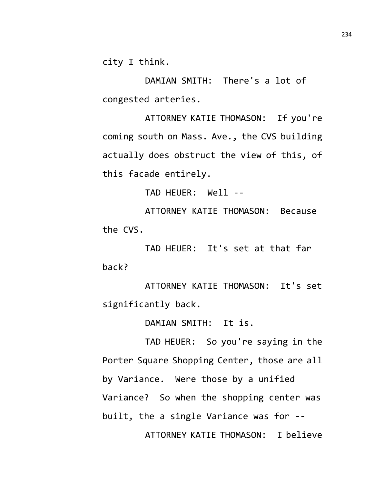city I think.

DAMIAN SMITH: There's a lot of congested arteries.

ATTORNEY KATIE THOMASON: If you're coming south on Mass. Ave., the CVS building actually does obstruct the view of this, of this facade entirely.

TAD HEUER: Well --

ATTORNEY KATIE THOMASON: Because the CVS.

TAD HEUER: It's set at that far back?

ATTORNEY KATIE THOMASON: It's set significantly back.

DAMIAN SMITH: It is.

TAD HEUER: So you're saying in the Porter Square Shopping Center, those are all by Variance. Were those by a unified Variance? So when the shopping center was built, the a single Variance was for -- ATTORNEY KATIE THOMASON: I believe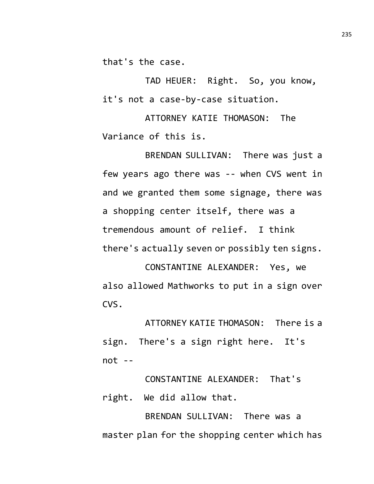that's the case.

TAD HEUER: Right. So, you know, it's not a case-by-case situation.

ATTORNEY KATIE THOMASON: The Variance of this is.

BRENDAN SULLIVAN: There was just a few years ago there was -- when CVS went in and we granted them some signage, there was a shopping center itself, there was a tremendous amount of relief. I think there's actually seven or possibly ten signs.

CONSTANTINE ALEXANDER: Yes, we also allowed Mathworks to put in a sign over CVS.

ATTORNEY KATIE THOMASON: There is a sign. There's a sign right here. It's not --

CONSTANTINE ALEXANDER: That's right. We did allow that.

BRENDAN SULLIVAN: There was a master plan for the shopping center which has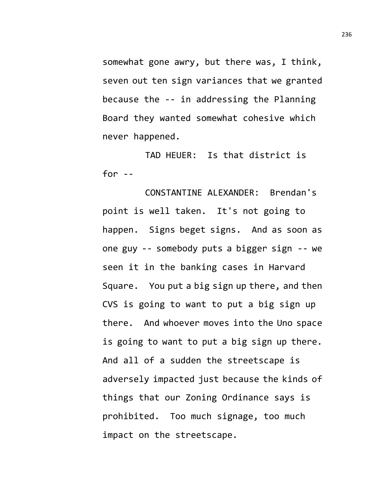somewhat gone awry, but there was, I think, seven out ten sign variances that we granted because the -- in addressing the Planning Board they wanted somewhat cohesive which never happened.

TAD HEUER: Is that district is for  $--$ 

CONSTANTINE ALEXANDER: Brendan's point is well taken. It's not going to happen. Signs beget signs. And as soon as one guy -- somebody puts a bigger sign -- we seen it in the banking cases in Harvard Square. You put a big sign up there, and then CVS is going to want to put a big sign up there. And whoever moves into the Uno space is going to want to put a big sign up there. And all of a sudden the streetscape is adversely impacted just because the kinds of things that our Zoning Ordinance says is prohibited. Too much signage, too much impact on the streetscape.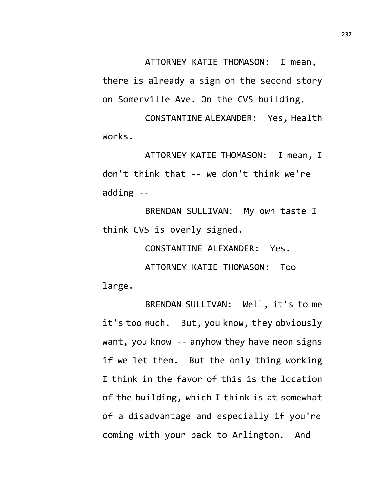ATTORNEY KATIE THOMASON: I mean, there is already a sign on the second story on Somerville Ave. On the CVS building.

CONSTANTINE ALEXANDER: Yes, Health Works.

ATTORNEY KATIE THOMASON: I mean, I don't think that -- we don't think we're adding --

BRENDAN SULLIVAN: My own taste I think CVS is overly signed.

CONSTANTINE ALEXANDER: Yes.

ATTORNEY KATIE THOMASON: Too large.

BRENDAN SULLIVAN: Well, it's to me it's too much. But, you know, they obviously want, you know -- anyhow they have neon signs if we let them. But the only thing working I think in the favor of this is the location of the building, which I think is at somewhat of a disadvantage and especially if you're coming with your back to Arlington. And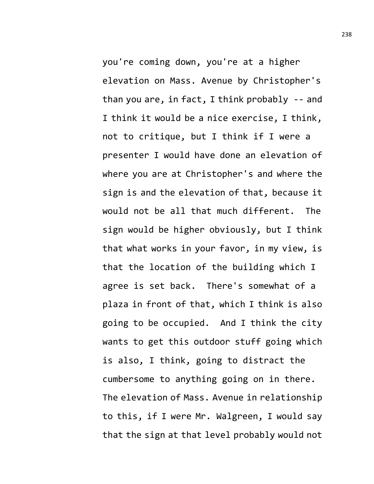you're coming down, you're at a higher elevation on Mass. Avenue by Christopher's than you are, in fact, I think probably -- and I think it would be a nice exercise, I think, not to critique, but I think if I were a presenter I would have done an elevation of where you are at Christopher's and where the sign is and the elevation of that, because it would not be all that much different. The sign would be higher obviously, but I think that what works in your favor, in my view, is that the location of the building which I agree is set back. There's somewhat of a plaza in front of that, which I think is also going to be occupied. And I think the city wants to get this outdoor stuff going which is also, I think, going to distract the cumbersome to anything going on in there. The elevation of Mass. Avenue in relationship to this, if I were Mr. Walgreen, I would say that the sign at that level probably would not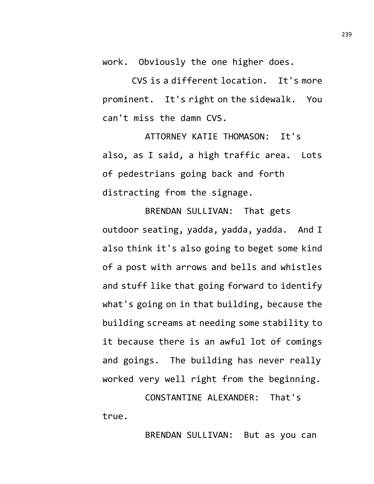work. Obviously the one higher does.

CVS is a different location. It's more prominent. It's right on the sidewalk. You can't miss the damn CVS.

ATTORNEY KATIE THOMASON: It's also, as I said, a high traffic area. Lots of pedestrians going back and forth distracting from the signage.

BRENDAN SULLIVAN: That gets outdoor seating, yadda, yadda, yadda. And I also think it's also going to beget some kind of a post with arrows and bells and whistles and stuff like that going forward to identify what's going on in that building, because the building screams at needing some stability to it because there is an awful lot of comings and goings. The building has never really worked very well right from the beginning.

CONSTANTINE ALEXANDER: That's true.

BRENDAN SULLIVAN: But as you can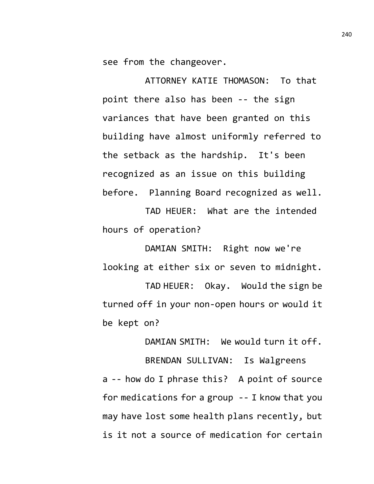see from the changeover.

ATTORNEY KATIE THOMASON: To that point there also has been -- the sign variances that have been granted on this building have almost uniformly referred to the setback as the hardship. It's been recognized as an issue on this building before. Planning Board recognized as well.

TAD HEUER: What are the intended hours of operation?

DAMIAN SMITH: Right now we're looking at either six or seven to midnight.

TAD HEUER: Okay. Would the sign be turned off in your non-open hours or would it be kept on?

DAMIAN SMITH: We would turn it off.

BRENDAN SULLIVAN: Is Walgreens a -- how do I phrase this? A point of source for medications for a group -- I know that you may have lost some health plans recently, but is it not a source of medication for certain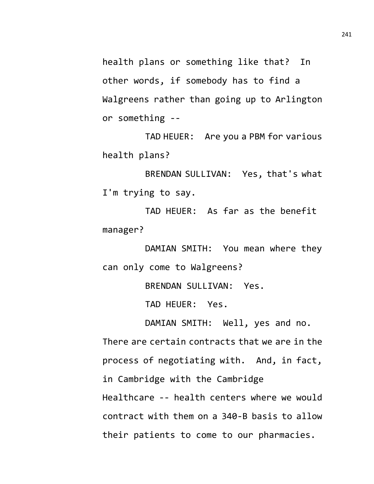health plans or something like that? In other words, if somebody has to find a Walgreens rather than going up to Arlington or something --

TAD HEUER: Are you a PBM for various health plans?

BRENDAN SULLIVAN: Yes, that's what I'm trying to say.

TAD HEUER: As far as the benefit manager?

DAMIAN SMITH: You mean where they can only come to Walgreens?

BRENDAN SULLIVAN: Yes.

TAD HEUER: Yes.

DAMIAN SMITH: Well, yes and no.

There are certain contracts that we are in the process of negotiating with. And, in fact, in Cambridge with the Cambridge Healthcare -- health centers where we would contract with them on a 340-B basis to allow their patients to come to our pharmacies.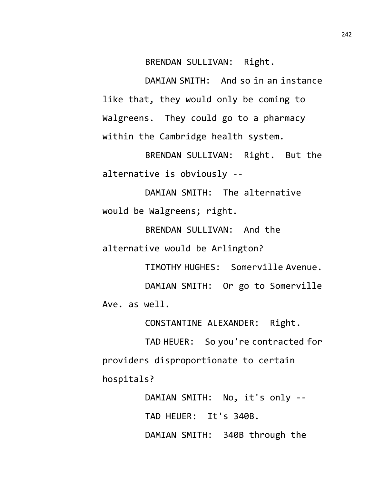BRENDAN SULLIVAN: Right.

DAMIAN SMITH: And so in an instance like that, they would only be coming to Walgreens. They could go to a pharmacy within the Cambridge health system.

BRENDAN SULLIVAN: Right. But the alternative is obviously --

DAMIAN SMITH: The alternative would be Walgreens; right.

BRENDAN SULLIVAN: And the alternative would be Arlington?

TIMOTHY HUGHES: Somerville Avenue. DAMIAN SMITH: Or go to Somerville Ave. as well.

CONSTANTINE ALEXANDER: Right.

TAD HEUER: So you're contracted for providers disproportionate to certain hospitals?

> DAMIAN SMITH: No, it's only -- TAD HEUER: It's 340B. DAMIAN SMITH: 340B through the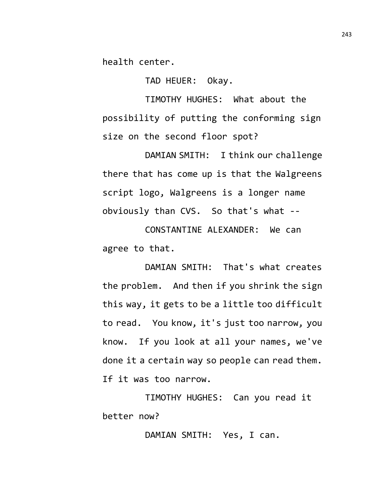health center.

TAD HEUER: Okay.

TIMOTHY HUGHES: What about the possibility of putting the conforming sign size on the second floor spot?

DAMIAN SMITH: I think our challenge there that has come up is that the Walgreens script logo, Walgreens is a longer name obviously than CVS. So that's what --

CONSTANTINE ALEXANDER: We can agree to that.

DAMIAN SMITH: That's what creates the problem. And then if you shrink the sign this way, it gets to be a little too difficult to read. You know, it's just too narrow, you know. If you look at all your names, we've done it a certain way so people can read them. If it was too narrow.

TIMOTHY HUGHES: Can you read it better now?

DAMIAN SMITH: Yes, I can.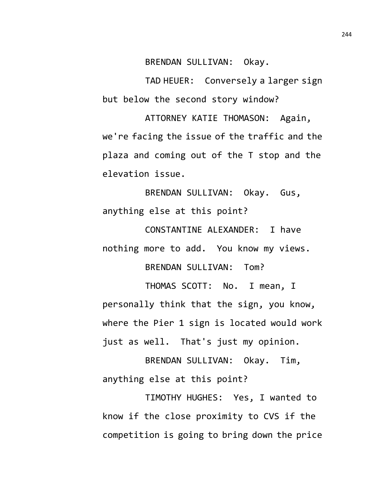BRENDAN SULLIVAN: Okay.

TAD HEUER: Conversely a larger sign but below the second story window?

ATTORNEY KATIE THOMASON: Again, we're facing the issue of the traffic and the plaza and coming out of the T stop and the elevation issue.

BRENDAN SULLIVAN: Okay. Gus, anything else at this point?

CONSTANTINE ALEXANDER: I have nothing more to add. You know my views.

BRENDAN SULLIVAN: Tom?

THOMAS SCOTT: No. I mean, I personally think that the sign, you know, where the Pier 1 sign is located would work just as well. That's just my opinion.

BRENDAN SULLIVAN: Okay. Tim, anything else at this point?

TIMOTHY HUGHES: Yes, I wanted to know if the close proximity to CVS if the competition is going to bring down the price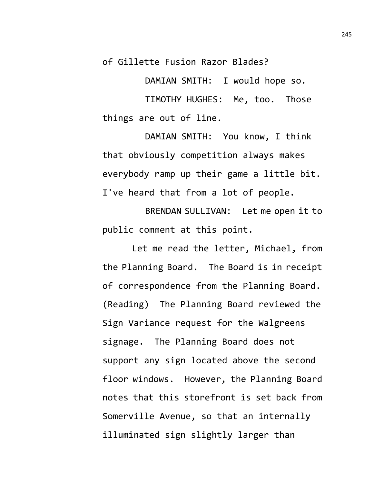of Gillette Fusion Razor Blades?

DAMIAN SMITH: I would hope so.

TIMOTHY HUGHES: Me, too. Those things are out of line.

DAMIAN SMITH: You know, I think that obviously competition always makes everybody ramp up their game a little bit. I've heard that from a lot of people.

BRENDAN SULLIVAN: Let me open it to public comment at this point.

Let me read the letter, Michael, from the Planning Board. The Board is in receipt of correspondence from the Planning Board. (Reading) The Planning Board reviewed the Sign Variance request for the Walgreens signage. The Planning Board does not support any sign located above the second floor windows. However, the Planning Board notes that this storefront is set back from Somerville Avenue, so that an internally illuminated sign slightly larger than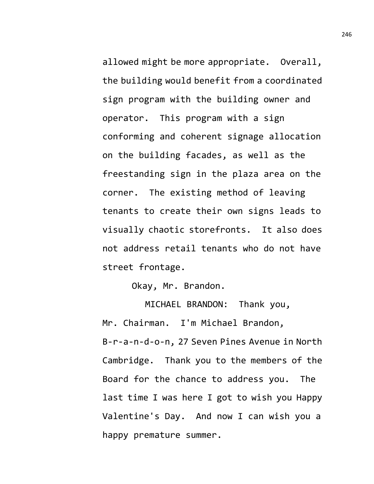allowed might be more appropriate. Overall, the building would benefit from a coordinated sign program with the building owner and operator. This program with a sign conforming and coherent signage allocation on the building facades, as well as the freestanding sign in the plaza area on the corner. The existing method of leaving tenants to create their own signs leads to visually chaotic storefronts. It also does not address retail tenants who do not have street frontage.

Okay, Mr. Brandon.

MICHAEL BRANDON: Thank you, Mr. Chairman. I'm Michael Brandon, B-r-a-n-d-o-n, 27 Seven Pines Avenue in North Cambridge. Thank you to the members of the Board for the chance to address you. The last time I was here I got to wish you Happy Valentine's Day. And now I can wish you a happy premature summer.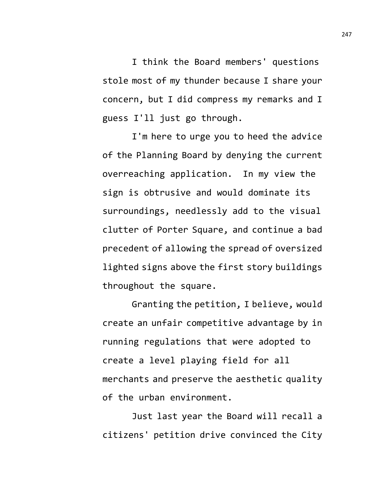I think the Board members' questions stole most of my thunder because I share your concern, but I did compress my remarks and I guess I'll just go through.

I'm here to urge you to heed the advice of the Planning Board by denying the current overreaching application. In my view the sign is obtrusive and would dominate its surroundings, needlessly add to the visual clutter of Porter Square, and continue a bad precedent of allowing the spread of oversized lighted signs above the first story buildings throughout the square.

Granting the petition, I believe, would create an unfair competitive advantage by in running regulations that were adopted to create a level playing field for all merchants and preserve the aesthetic quality of the urban environment.

Just last year the Board will recall a citizens' petition drive convinced the City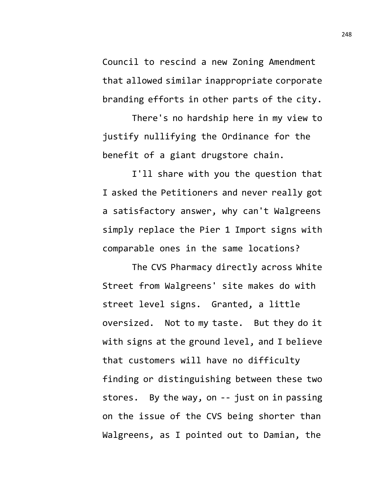Council to rescind a new Zoning Amendment that allowed similar inappropriate corporate branding efforts in other parts of the city.

There's no hardship here in my view to justify nullifying the Ordinance for the benefit of a giant drugstore chain.

I'll share with you the question that I asked the Petitioners and never really got a satisfactory answer, why can't Walgreens simply replace the Pier 1 Import signs with comparable ones in the same locations?

The CVS Pharmacy directly across White Street from Walgreens' site makes do with street level signs. Granted, a little oversized. Not to my taste. But they do it with signs at the ground level, and I believe that customers will have no difficulty finding or distinguishing between these two stores. By the way, on -- just on in passing on the issue of the CVS being shorter than Walgreens, as I pointed out to Damian, the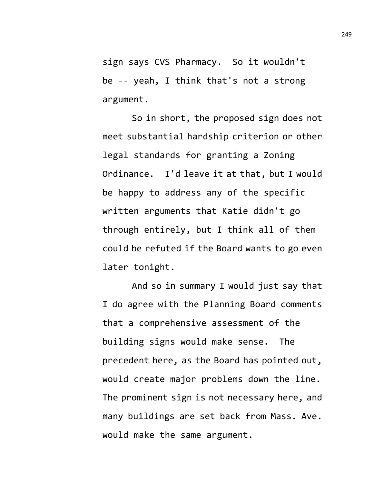sign says CVS Pharmacy. So it wouldn't be -- yeah, I think that's not a strong argument.

So in short, the proposed sign does not meet substantial hardship criterion or other legal standards for granting a Zoning Ordinance. I'd leave it at that, but I would be happy to address any of the specific written arguments that Katie didn't go through entirely, but I think all of them could be refuted if the Board wants to go even later tonight.

And so in summary I would just say that I do agree with the Planning Board comments that a comprehensive assessment of the building signs would make sense. The precedent here, as the Board has pointed out, would create major problems down the line. The prominent sign is not necessary here, and many buildings are set back from Mass. Ave. would make the same argument.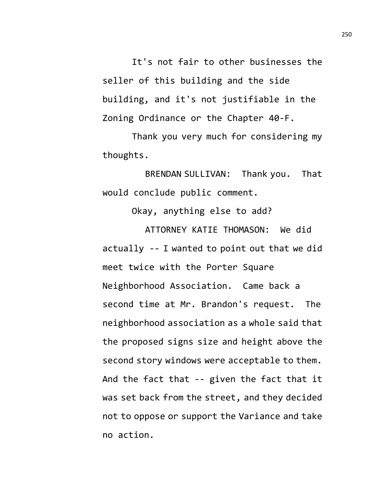It's not fair to other businesses the seller of this building and the side building, and it's not justifiable in the Zoning Ordinance or the Chapter 40-F.

Thank you very much for considering my thoughts.

BRENDAN SULLIVAN: Thank you. That would conclude public comment.

Okay, anything else to add?

ATTORNEY KATIE THOMASON: We did actually -- I wanted to point out that we did meet twice with the Porter Square Neighborhood Association. Came back a second time at Mr. Brandon's request. The neighborhood association as a whole said that the proposed signs size and height above the second story windows were acceptable to them. And the fact that -- given the fact that it was set back from the street, and they decided not to oppose or support the Variance and take no action.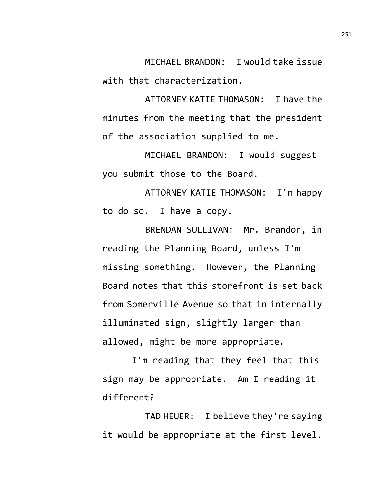MICHAEL BRANDON: I would take issue with that characterization.

ATTORNEY KATIE THOMASON: I have the minutes from the meeting that the president of the association supplied to me.

MICHAEL BRANDON: I would suggest you submit those to the Board.

ATTORNEY KATIE THOMASON: I'm happy to do so. I have a copy.

BRENDAN SULLIVAN: Mr. Brandon, in reading the Planning Board, unless I'm missing something. However, the Planning Board notes that this storefront is set back from Somerville Avenue so that in internally illuminated sign, slightly larger than allowed, might be more appropriate.

I'm reading that they feel that this sign may be appropriate. Am I reading it different?

TAD HEUER: I believe they're saying it would be appropriate at the first level.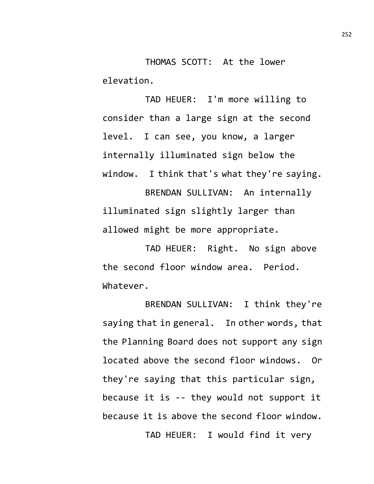THOMAS SCOTT: At the lower elevation.

TAD HEUER: I'm more willing to consider than a large sign at the second level. I can see, you know, a larger internally illuminated sign below the window. I think that's what they're saying.

BRENDAN SULLIVAN: An internally illuminated sign slightly larger than allowed might be more appropriate.

TAD HEUER: Right. No sign above the second floor window area. Period. Whatever.

BRENDAN SULLIVAN: I think they're saying that in general. In other words, that the Planning Board does not support any sign located above the second floor windows. Or they're saying that this particular sign, because it is -- they would not support it because it is above the second floor window. TAD HEUER: I would find it very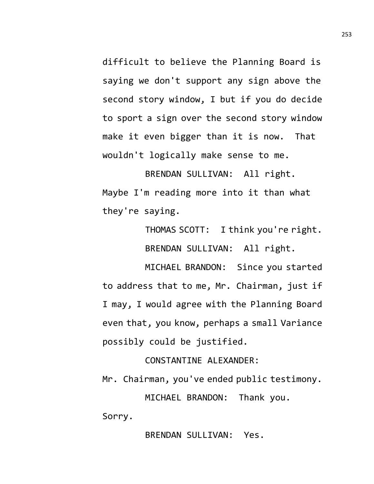difficult to believe the Planning Board is saying we don't support any sign above the second story window, I but if you do decide to sport a sign over the second story window make it even bigger than it is now. That wouldn't logically make sense to me.

BRENDAN SULLIVAN: All right. Maybe I'm reading more into it than what they're saying.

> THOMAS SCOTT: I think you're right. BRENDAN SULLIVAN: All right.

MICHAEL BRANDON: Since you started to address that to me, Mr. Chairman, just if I may, I would agree with the Planning Board even that, you know, perhaps a small Variance possibly could be justified.

CONSTANTINE ALEXANDER:

Mr. Chairman, you've ended public testimony.

MICHAEL BRANDON: Thank you.

Sorry.

BRENDAN SULLIVAN: Yes.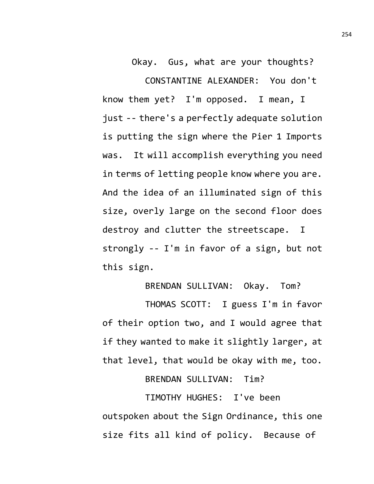Okay. Gus, what are your thoughts?

CONSTANTINE ALEXANDER: You don't know them yet? I'm opposed. I mean, I just -- there's a perfectly adequate solution is putting the sign where the Pier 1 Imports was. It will accomplish everything you need in terms of letting people know where you are. And the idea of an illuminated sign of this size, overly large on the second floor does destroy and clutter the streetscape. I strongly -- I'm in favor of a sign, but not this sign.

### BRENDAN SULLIVAN: Okay. Tom?

THOMAS SCOTT: I guess I'm in favor of their option two, and I would agree that if they wanted to make it slightly larger, at that level, that would be okay with me, too.

BRENDAN SULLIVAN: Tim?

TIMOTHY HUGHES: I've been outspoken about the Sign Ordinance, this one size fits all kind of policy. Because of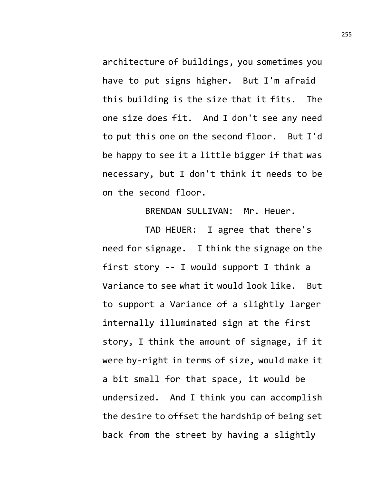architecture of buildings, you sometimes you have to put signs higher. But I'm afraid this building is the size that it fits. The one size does fit. And I don't see any need to put this one on the second floor. But I'd be happy to see it a little bigger if that was necessary, but I don't think it needs to be on the second floor.

BRENDAN SULLIVAN: Mr. Heuer.

TAD HEUER: I agree that there's need for signage. I think the signage on the first story -- I would support I think a Variance to see what it would look like. But to support a Variance of a slightly larger internally illuminated sign at the first story, I think the amount of signage, if it were by-right in terms of size, would make it a bit small for that space, it would be undersized. And I think you can accomplish the desire to offset the hardship of being set back from the street by having a slightly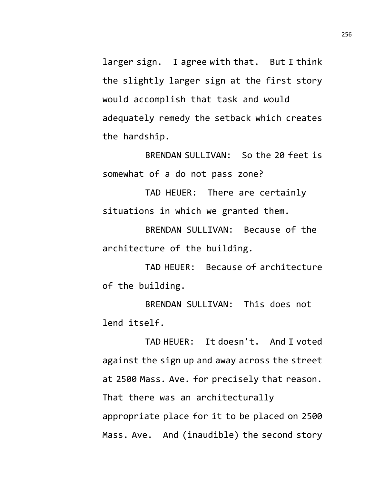larger sign. I agree with that. But I think the slightly larger sign at the first story would accomplish that task and would adequately remedy the setback which creates the hardship.

BRENDAN SULLIVAN: So the 20 feet is somewhat of a do not pass zone?

TAD HEUER: There are certainly situations in which we granted them.

BRENDAN SULLIVAN: Because of the architecture of the building.

TAD HEUER: Because of architecture of the building.

BRENDAN SULLIVAN: This does not lend itself.

TAD HEUER: It doesn't. And I voted against the sign up and away across the street at 2500 Mass. Ave. for precisely that reason. That there was an architecturally appropriate place for it to be placed on 2500 Mass. Ave. And (inaudible) the second story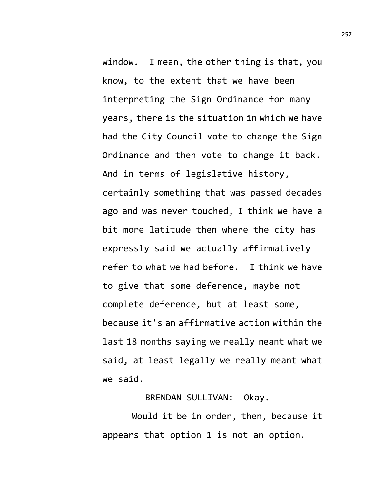window. I mean, the other thing is that, you know, to the extent that we have been interpreting the Sign Ordinance for many years, there is the situation in which we have had the City Council vote to change the Sign Ordinance and then vote to change it back. And in terms of legislative history, certainly something that was passed decades ago and was never touched, I think we have a bit more latitude then where the city has expressly said we actually affirmatively refer to what we had before. I think we have to give that some deference, maybe not complete deference, but at least some, because it's an affirmative action within the last 18 months saying we really meant what we said, at least legally we really meant what we said.

BRENDAN SULLIVAN: Okay.

Would it be in order, then, because it appears that option 1 is not an option.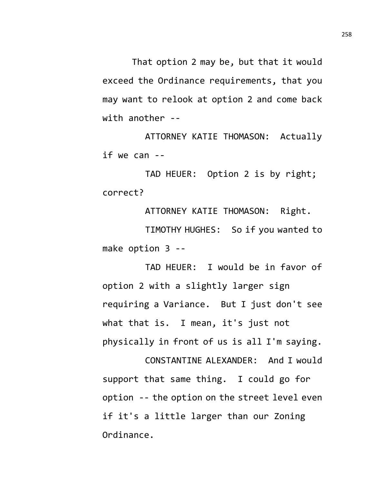That option 2 may be, but that it would exceed the Ordinance requirements, that you may want to relook at option 2 and come back with another --

ATTORNEY KATIE THOMASON: Actually if we can --

TAD HEUER: Option 2 is by right; correct?

ATTORNEY KATIE THOMASON: Right.

TIMOTHY HUGHES: So if you wanted to make option 3 --

TAD HEUER: I would be in favor of option 2 with a slightly larger sign requiring a Variance. But I just don't see what that is. I mean, it's just not physically in front of us is all I'm saying.

CONSTANTINE ALEXANDER: And I would support that same thing. I could go for option -- the option on the street level even if it's a little larger than our Zoning Ordinance.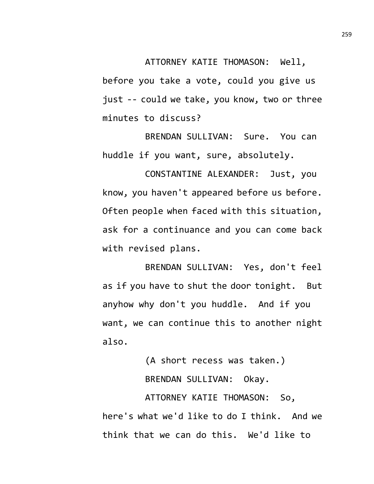ATTORNEY KATIE THOMASON: Well,

before you take a vote, could you give us just -- could we take, you know, two or three minutes to discuss?

BRENDAN SULLIVAN: Sure. You can huddle if you want, sure, absolutely.

CONSTANTINE ALEXANDER: Just, you know, you haven't appeared before us before. Often people when faced with this situation, ask for a continuance and you can come back with revised plans.

BRENDAN SULLIVAN: Yes, don't feel as if you have to shut the door tonight. But anyhow why don't you huddle. And if you want, we can continue this to another night also.

> (A short recess was taken.) BRENDAN SULLIVAN: Okay.

ATTORNEY KATIE THOMASON: So, here's what we'd like to do I think. And we think that we can do this. We'd like to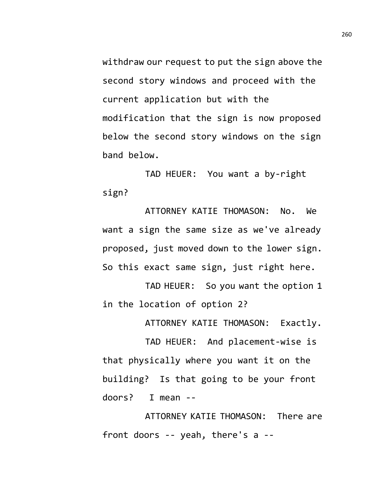withdraw our request to put the sign above the second story windows and proceed with the current application but with the modification that the sign is now proposed below the second story windows on the sign band below.

TAD HEUER: You want a by-right sign?

ATTORNEY KATIE THOMASON: No. We want a sign the same size as we've already proposed, just moved down to the lower sign. So this exact same sign, just right here.

TAD HEUER: So you want the option 1 in the location of option 2?

ATTORNEY KATIE THOMASON: Exactly.

TAD HEUER: And placement-wise is that physically where you want it on the building? Is that going to be your front doors? I mean --

ATTORNEY KATIE THOMASON: There are front doors -- yeah, there's a --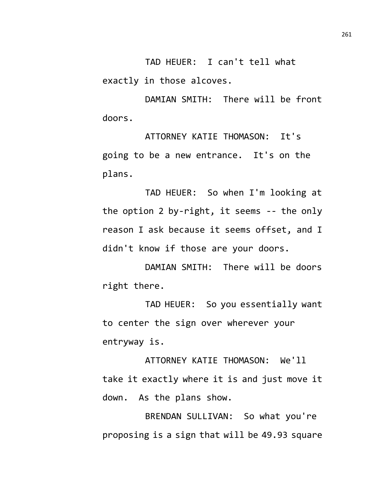TAD HEUER: I can't tell what exactly in those alcoves.

DAMIAN SMITH: There will be front doors.

ATTORNEY KATIE THOMASON: It's going to be a new entrance. It's on the plans.

TAD HEUER: So when I'm looking at the option 2 by-right, it seems -- the only reason I ask because it seems offset, and I didn't know if those are your doors.

DAMIAN SMITH: There will be doors right there.

TAD HEUER: So you essentially want to center the sign over wherever your entryway is.

ATTORNEY KATIE THOMASON: We'll take it exactly where it is and just move it down. As the plans show.

BRENDAN SULLIVAN: So what you're proposing is a sign that will be 49.93 square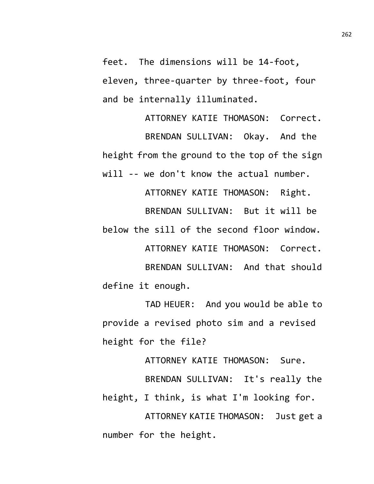feet. The dimensions will be 14-foot, eleven, three-quarter by three-foot, four and be internally illuminated.

ATTORNEY KATIE THOMASON: Correct. BRENDAN SULLIVAN: Okay. And the height from the ground to the top of the sign will -- we don't know the actual number.

ATTORNEY KATIE THOMASON: Right. BRENDAN SULLIVAN: But it will be below the sill of the second floor window. ATTORNEY KATIE THOMASON: Correct.

BRENDAN SULLIVAN: And that should define it enough.

TAD HEUER: And you would be able to provide a revised photo sim and a revised height for the file?

ATTORNEY KATIE THOMASON: Sure.

BRENDAN SULLIVAN: It's really the height, I think, is what I'm looking for.

ATTORNEY KATIE THOMASON: Just get a number for the height.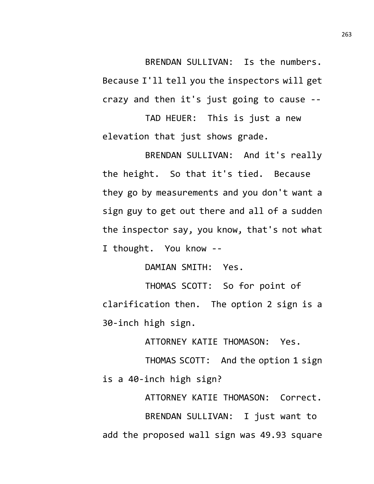BRENDAN SULLIVAN: Is the numbers. Because I'll tell you the inspectors will get crazy and then it's just going to cause --

TAD HEUER: This is just a new elevation that just shows grade.

BRENDAN SULLIVAN: And it's really the height. So that it's tied. Because they go by measurements and you don't want a sign guy to get out there and all of a sudden the inspector say, you know, that's not what I thought. You know --

DAMIAN SMITH: Yes.

THOMAS SCOTT: So for point of clarification then. The option 2 sign is a 30-inch high sign.

ATTORNEY KATIE THOMASON: Yes.

THOMAS SCOTT: And the option 1 sign is a 40-inch high sign?

ATTORNEY KATIE THOMASON: Correct. BRENDAN SULLIVAN: I just want to add the proposed wall sign was 49.93 square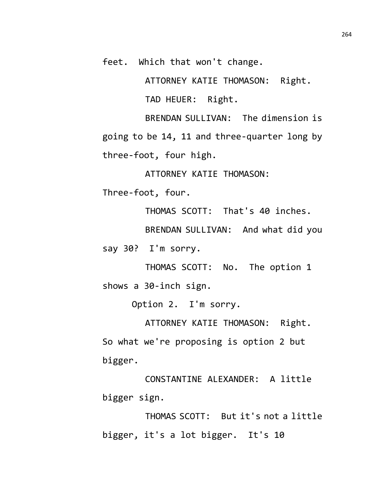feet. Which that won't change.

ATTORNEY KATIE THOMASON: Right.

TAD HEUER: Right.

BRENDAN SULLIVAN: The dimension is going to be 14, 11 and three-quarter long by three-foot, four high.

ATTORNEY KATIE THOMASON:

Three-foot, four.

THOMAS SCOTT: That's 40 inches.

BRENDAN SULLIVAN: And what did you

say 30? I'm sorry.

THOMAS SCOTT: No. The option 1 shows a 30-inch sign.

Option 2. I'm sorry.

ATTORNEY KATIE THOMASON: Right. So what we're proposing is option 2 but bigger.

CONSTANTINE ALEXANDER: A little bigger sign.

THOMAS SCOTT: But it's not a little bigger, it's a lot bigger. It's 10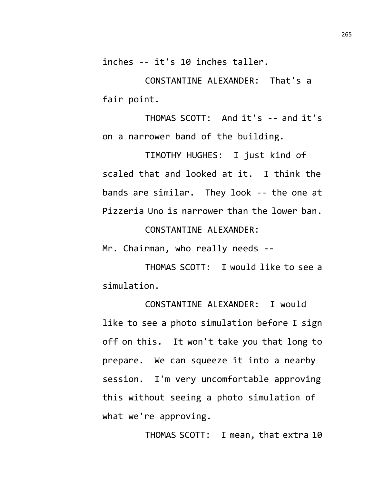inches -- it's 10 inches taller.

CONSTANTINE ALEXANDER: That's a fair point.

THOMAS SCOTT: And it's -- and it's on a narrower band of the building.

TIMOTHY HUGHES: I just kind of scaled that and looked at it. I think the bands are similar. They look -- the one at Pizzeria Uno is narrower than the lower ban.

CONSTANTINE ALEXANDER:

Mr. Chairman, who really needs --

THOMAS SCOTT: I would like to see a simulation.

CONSTANTINE ALEXANDER: I would like to see a photo simulation before I sign off on this. It won't take you that long to prepare. We can squeeze it into a nearby session. I'm very uncomfortable approving this without seeing a photo simulation of what we're approving.

THOMAS SCOTT: I mean, that extra 10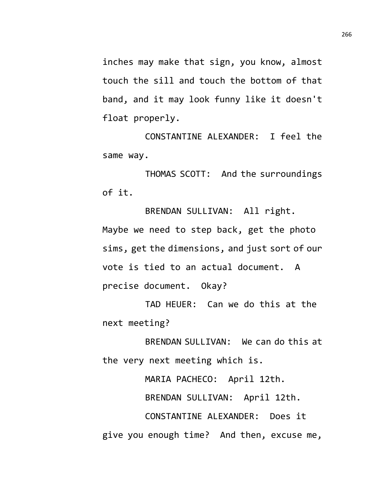inches may make that sign, you know, almost touch the sill and touch the bottom of that band, and it may look funny like it doesn't float properly.

CONSTANTINE ALEXANDER: I feel the same way.

THOMAS SCOTT: And the surroundings of it.

BRENDAN SULLIVAN: All right. Maybe we need to step back, get the photo sims, get the dimensions, and just sort of our vote is tied to an actual document. A precise document. Okay?

TAD HEUER: Can we do this at the next meeting?

BRENDAN SULLIVAN: We can do this at the very next meeting which is.

MARIA PACHECO: April 12th.

BRENDAN SULLIVAN: April 12th.

CONSTANTINE ALEXANDER: Does it give you enough time? And then, excuse me,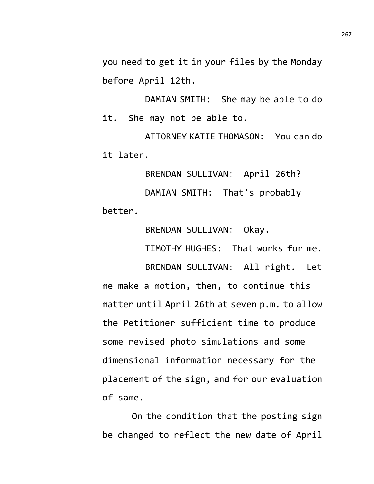you need to get it in your files by the Monday before April 12th.

DAMIAN SMITH: She may be able to do it. She may not be able to.

ATTORNEY KATIE THOMASON: You can do it later.

BRENDAN SULLIVAN: April 26th? DAMIAN SMITH: That's probably better.

BRENDAN SULLIVAN: Okay.

TIMOTHY HUGHES: That works for me.

BRENDAN SULLIVAN: All right. Let me make a motion, then, to continue this matter until April 26th at seven p.m. to allow the Petitioner sufficient time to produce some revised photo simulations and some dimensional information necessary for the placement of the sign, and for our evaluation of same.

On the condition that the posting sign be changed to reflect the new date of April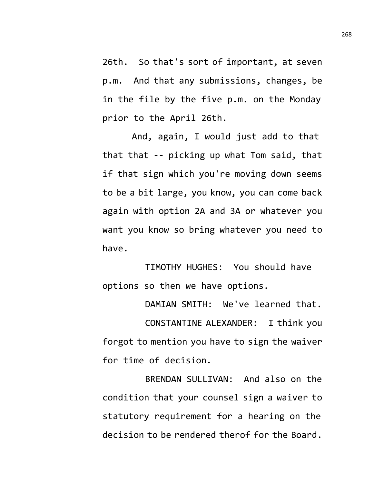26th. So that's sort of important, at seven p.m. And that any submissions, changes, be in the file by the five p.m. on the Monday prior to the April 26th.

And, again, I would just add to that that that -- picking up what Tom said, that if that sign which you're moving down seems to be a bit large, you know, you can come back again with option 2A and 3A or whatever you want you know so bring whatever you need to have.

TIMOTHY HUGHES: You should have options so then we have options.

DAMIAN SMITH: We've learned that.

CONSTANTINE ALEXANDER: I think you forgot to mention you have to sign the waiver for time of decision.

BRENDAN SULLIVAN: And also on the condition that your counsel sign a waiver to statutory requirement for a hearing on the decision to be rendered therof for the Board.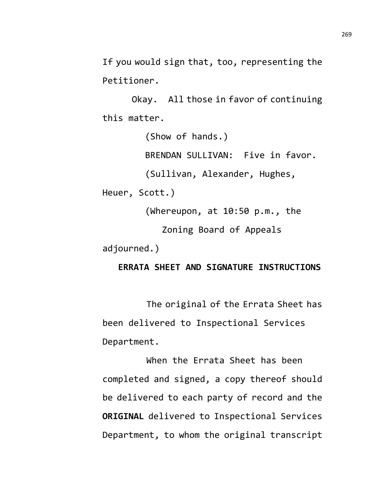If you would sign that, too, representing the Petitioner.

Okay. All those in favor of continuing this matter.

(Show of hands.)

BRENDAN SULLIVAN: Five in favor.

(Sullivan, Alexander, Hughes,

Heuer, Scott.)

(Whereupon, at 10:50 p.m., the

Zoning Board of Appeals

adjourned.)

## **ERRATA SHEET AND SIGNATURE INSTRUCTIONS**

The original of the Errata Sheet has been delivered to Inspectional Services Department.

When the Errata Sheet has been completed and signed, a copy thereof should be delivered to each party of record and the **ORIGINAL** delivered to Inspectional Services Department, to whom the original transcript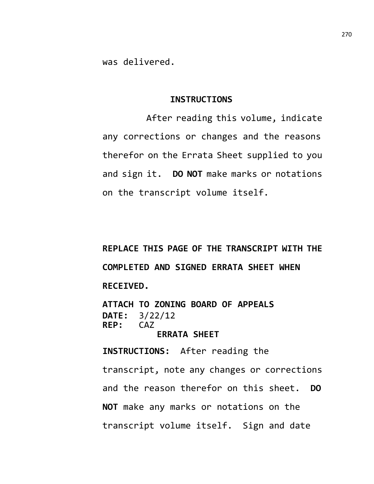was delivered.

#### **INSTRUCTIONS**

After reading this volume, indicate any corrections or changes and the reasons therefor on the Errata Sheet supplied to you and sign it. **DO NOT** make marks or notations on the transcript volume itself.

**REPLACE THIS PAGE OF THE TRANSCRIPT WITH THE COMPLETED AND SIGNED ERRATA SHEET WHEN RECEIVED.**

**ATTACH TO ZONING BOARD OF APPEALS DATE:** 3/22/12 REP:

# **ERRATA SHEET**

**INSTRUCTIONS:** After reading the transcript, note any changes or corrections and the reason therefor on this sheet. **DO NOT** make any marks or notations on the transcript volume itself. Sign and date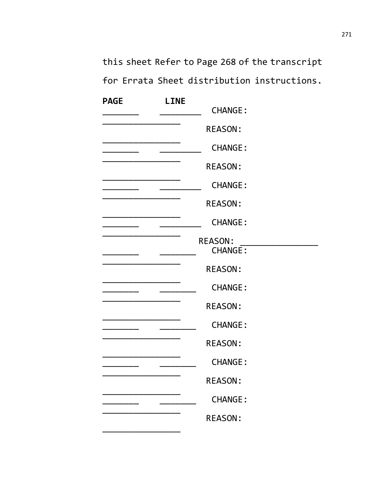this sheet Refer to Page 268 of the transcript for Errata Sheet distribution instructions.

| <b>PAGE</b> | <b>LINE</b> |                                  |  |
|-------------|-------------|----------------------------------|--|
|             |             | <b>CHANGE:</b>                   |  |
|             |             | <b>REASON:</b>                   |  |
|             |             | <b>CHANGE:</b>                   |  |
|             |             | <b>REASON:</b>                   |  |
|             |             | <b>CHANGE:</b>                   |  |
|             |             | <b>REASON:</b>                   |  |
|             |             | <b>CHANGE:</b>                   |  |
|             |             | <b>REASON:</b><br><b>CHANGE:</b> |  |
|             |             | <b>REASON:</b>                   |  |
|             |             | <b>CHANGE:</b>                   |  |
|             |             | <b>REASON:</b>                   |  |
|             |             | <b>CHANGE:</b>                   |  |
|             |             | <b>REASON:</b>                   |  |
|             |             | <b>CHANGE:</b>                   |  |
|             |             | <b>REASON:</b>                   |  |
|             |             | <b>CHANGE:</b>                   |  |
|             |             | <b>REASON:</b>                   |  |
|             |             |                                  |  |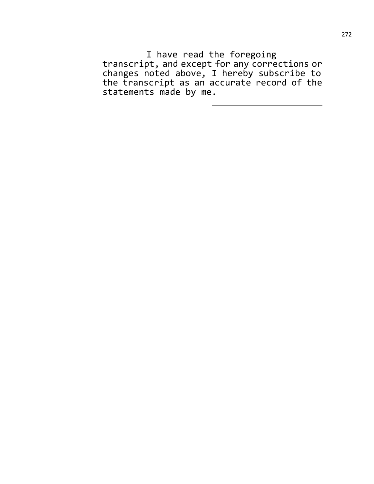I have read the foregoing transcript, and except for any corrections or changes noted above, I hereby subscribe to the transcript as an accurate record of the statements made by me.